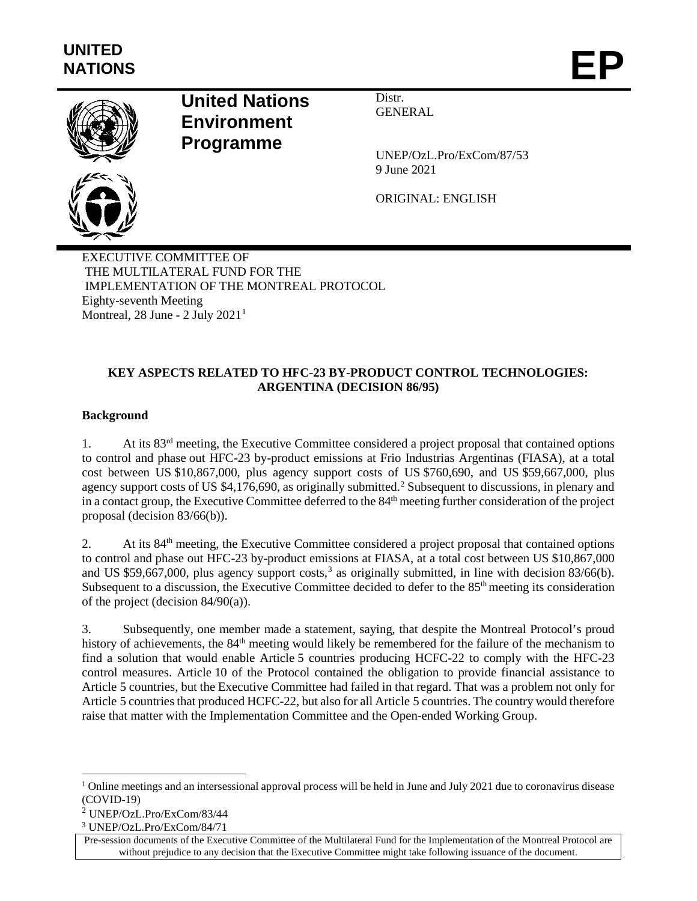

# **United Nations Environment Programme**

Distr. GENERAL

UNEP/OzL.Pro/ExCom/87/53 9 June 2021

ORIGINAL: ENGLISH

EXECUTIVE COMMITTEE OF THE MULTILATERAL FUND FOR THE IMPLEMENTATION OF THE MONTREAL PROTOCOL Eighty-seventh Meeting Montreal,  $28$  June -  $2$  July  $2021<sup>1</sup>$  $2021<sup>1</sup>$  $2021<sup>1</sup>$ 

# **KEY ASPECTS RELATED TO HFC-23 BY-PRODUCT CONTROL TECHNOLOGIES: ARGENTINA (DECISION 86/95)**

# **Background**

1. At its 83rd meeting, the Executive Committee considered a project proposal that contained options to control and phase out HFC-23 by-product emissions at Frio Industrias Argentinas (FIASA), at a total cost between US \$10,867,000, plus agency support costs of US \$760,690, and US \$59,667,000, plus agency support costs of US \$4,176,690, as originally submitted.<sup>[2](#page-0-1)</sup> Subsequent to discussions, in plenary and in a contact group, the Executive Committee deferred to the 84<sup>th</sup> meeting further consideration of the project proposal (decision 83/66(b)).

2. At its 84<sup>th</sup> meeting, the Executive Committee considered a project proposal that contained options to control and phase out HFC-23 by-product emissions at FIASA, at a total cost between US \$10,867,000 and US \$59,667,000, plus agency support costs,<sup>[3](#page-0-2)</sup> as originally submitted, in line with decision 83/66(b). Subsequent to a discussion, the Executive Committee decided to defer to the  $85<sup>th</sup>$  meeting its consideration of the project (decision 84/90(a)).

3. Subsequently, one member made a statement, saying, that despite the Montreal Protocol's proud history of achievements, the 84<sup>th</sup> meeting would likely be remembered for the failure of the mechanism to find a solution that would enable Article 5 countries producing HCFC-22 to comply with the HFC-23 control measures. Article 10 of the Protocol contained the obligation to provide financial assistance to Article 5 countries, but the Executive Committee had failed in that regard. That was a problem not only for Article 5 countries that produced HCFC-22, but also for all Article 5 countries. The country would therefore raise that matter with the Implementation Committee and the Open-ended Working Group.

<span id="page-0-0"></span><sup>&</sup>lt;sup>1</sup> Online meetings and an intersessional approval process will be held in June and July 2021 due to coronavirus disease (COVID-19)

<span id="page-0-1"></span><sup>2</sup> UNEP/OzL.Pro/ExCom/83/44

<span id="page-0-2"></span><sup>3</sup> UNEP/OzL.Pro/ExCom/84/71

Pre-session documents of the Executive Committee of the Multilateral Fund for the Implementation of the Montreal Protocol are without prejudice to any decision that the Executive Committee might take following issuance of the document.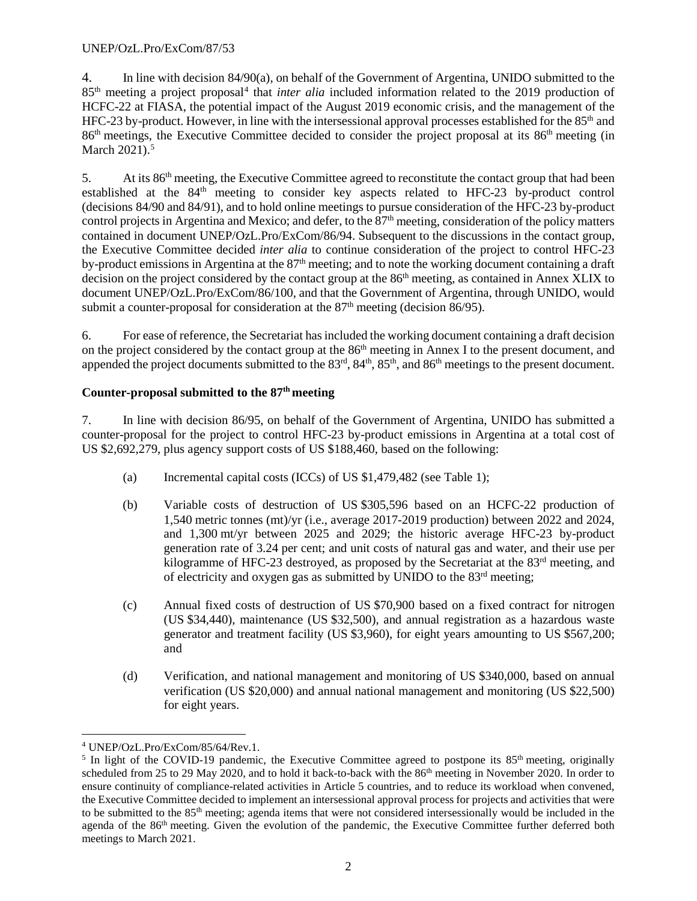4. In line with decision 84/90(a), on behalf of the Government of Argentina, UNIDO submitted to the 85th meeting a project proposal[4](#page-1-0) that *inter alia* included information related to the 2019 production of HCFC-22 at FIASA, the potential impact of the August 2019 economic crisis, and the management of the HFC-23 by-product. However, in line with the intersessional approval processes established for the  $85<sup>th</sup>$  and 86th meetings, the Executive Committee decided to consider the project proposal at its 86th meeting (in March 2021).<sup>5</sup>

5. At its  $86<sup>th</sup>$  meeting, the Executive Committee agreed to reconstitute the contact group that had been established at the 84<sup>th</sup> meeting to consider key aspects related to HFC-23 by-product control (decisions 84/90 and 84/91), and to hold online meetings to pursue consideration of the HFC-23 by-product control projects in Argentina and Mexico; and defer, to the  $87<sup>th</sup>$  meeting, consideration of the policy matters contained in document UNEP/OzL.Pro/ExCom/86/94. Subsequent to the discussions in the contact group, the Executive Committee decided *inter alia* to continue consideration of the project to control HFC-23 by-product emissions in Argentina at the 87<sup>th</sup> meeting; and to note the working document containing a draft decision on the project considered by the contact group at the 86<sup>th</sup> meeting, as contained in Annex XLIX to document UNEP/OzL.Pro/ExCom/86/100, and that the Government of Argentina, through UNIDO, would submit a counter-proposal for consideration at the  $87<sup>th</sup>$  meeting (decision  $86/95$ ).

6. For ease of reference, the Secretariat has included the working document containing a draft decision on the project considered by the contact group at the 86<sup>th</sup> meeting in Annex I to the present document, and appended the project documents submitted to the 83<sup>rd</sup>, 84<sup>th</sup>, 85<sup>th</sup>, and 86<sup>th</sup> meetings to the present document.

# **Counter-proposal submitted to the 87th meeting**

7. In line with decision 86/95, on behalf of the Government of Argentina, UNIDO has submitted a counter-proposal for the project to control HFC-23 by-product emissions in Argentina at a total cost of US \$2,692,279, plus agency support costs of US \$188,460, based on the following:

- (a) Incremental capital costs (ICCs) of US \$1,479,482 (see Table 1);
- (b) Variable costs of destruction of US \$305,596 based on an HCFC-22 production of 1,540 metric tonnes (mt)/yr (i.e., average 2017-2019 production) between 2022 and 2024, and 1,300 mt/yr between 2025 and 2029; the historic average HFC-23 by-product generation rate of 3.24 per cent; and unit costs of natural gas and water, and their use per kilogramme of HFC-23 destroyed, as proposed by the Secretariat at the 83<sup>rd</sup> meeting, and of electricity and oxygen gas as submitted by UNIDO to the 83rd meeting;
- (c) Annual fixed costs of destruction of US \$70,900 based on a fixed contract for nitrogen (US \$34,440), maintenance (US \$32,500), and annual registration as a hazardous waste generator and treatment facility (US \$3,960), for eight years amounting to US \$567,200; and
- (d) Verification, and national management and monitoring of US \$340,000, based on annual verification (US \$20,000) and annual national management and monitoring (US \$22,500) for eight years.

<span id="page-1-0"></span> <sup>4</sup> UNEP/OzL.Pro/ExCom/85/64/Rev.1.

<span id="page-1-1"></span><sup>&</sup>lt;sup>5</sup> In light of the COVID-19 pandemic, the Executive Committee agreed to postpone its  $85<sup>th</sup>$  meeting, originally scheduled from 25 to 29 May 2020, and to hold it back-to-back with the 86<sup>th</sup> meeting in November 2020. In order to ensure continuity of compliance-related activities in Article 5 countries, and to reduce its workload when convened, the Executive Committee decided to implement an intersessional approval process for projects and activities that were to be submitted to the  $85<sup>th</sup>$  meeting; agenda items that were not considered intersessionally would be included in the agenda of the 86<sup>th</sup> meeting. Given the evolution of the pandemic, the Executive Committee further deferred both meetings to March 2021.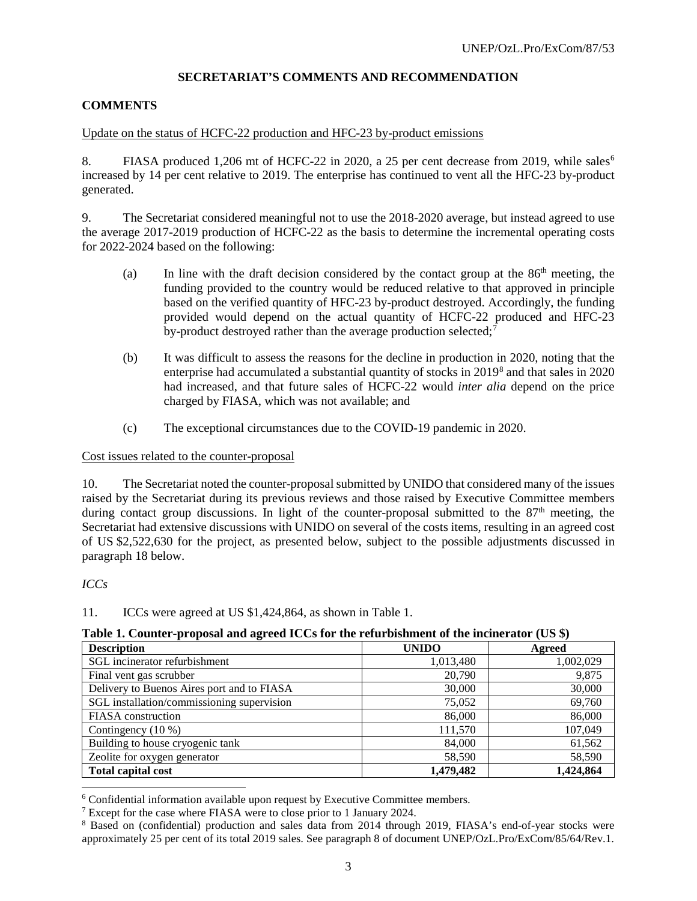#### **SECRETARIAT'S COMMENTS AND RECOMMENDATION**

#### **COMMENTS**

#### Update on the status of HCFC-22 production and HFC-23 by-product emissions

8. FIASA produced 1,20[6](#page-2-0) mt of HCFC-22 in 2020, a 25 per cent decrease from 2019, while sales<sup>6</sup> increased by 14 per cent relative to 2019. The enterprise has continued to vent all the HFC-23 by-product generated.

9. The Secretariat considered meaningful not to use the 2018-2020 average, but instead agreed to use the average 2017-2019 production of HCFC-22 as the basis to determine the incremental operating costs for 2022-2024 based on the following:

- (a) In line with the draft decision considered by the contact group at the  $86<sup>th</sup>$  meeting, the funding provided to the country would be reduced relative to that approved in principle based on the verified quantity of HFC-23 by-product destroyed. Accordingly, the funding provided would depend on the actual quantity of HCFC-22 produced and HFC-23 by-product destroyed rather than the average production selected;<sup>[7](#page-2-1)</sup>
- (b) It was difficult to assess the reasons for the decline in production in 2020, noting that the enterprise had accumulated a substantial quantity of stocks in 2019[8](#page-2-2) and that sales in 2020 had increased, and that future sales of HCFC-22 would *inter alia* depend on the price charged by FIASA, which was not available; and
- (c) The exceptional circumstances due to the COVID-19 pandemic in 2020.

#### Cost issues related to the counter-proposal

10. The Secretariat noted the counter-proposal submitted by UNIDO that considered many of the issues raised by the Secretariat during its previous reviews and those raised by Executive Committee members during contact group discussions. In light of the counter-proposal submitted to the  $87<sup>th</sup>$  meeting, the Secretariat had extensive discussions with UNIDO on several of the costs items, resulting in an agreed cost of US \$2,522,630 for the project, as presented below, subject to the possible adjustments discussed in paragraph 18 below.

#### *ICCs*

#### 11. ICCs were agreed at US \$1,424,864, as shown in Table 1.

| Table 1. Counter-proposal and agreed ICCs for the refurbishment of the incinerator (US \$) |  |  |
|--------------------------------------------------------------------------------------------|--|--|
|--------------------------------------------------------------------------------------------|--|--|

| <b>Description</b>                         | <b>UNIDO</b> | Agreed    |
|--------------------------------------------|--------------|-----------|
| SGL incinerator refurbishment              | 1,013,480    | 1,002,029 |
| Final vent gas scrubber                    | 20,790       | 9,875     |
| Delivery to Buenos Aires port and to FIASA | 30,000       | 30,000    |
| SGL installation/commissioning supervision | 75,052       | 69,760    |
| <b>FIASA</b> construction                  | 86,000       | 86,000    |
| Contingency $(10\%)$                       | 111,570      | 107,049   |
| Building to house cryogenic tank           | 84,000       | 61,562    |
| Zeolite for oxygen generator               | 58,590       | 58,590    |
| <b>Total capital cost</b>                  | 1,479,482    | 1,424,864 |

<span id="page-2-0"></span> <sup>6</sup> Confidential information available upon request by Executive Committee members.

<span id="page-2-1"></span><sup>7</sup> Except for the case where FIASA were to close prior to 1 January 2024.

<span id="page-2-2"></span><sup>8</sup> Based on (confidential) production and sales data from 2014 through 2019, FIASA's end-of-year stocks were approximately 25 per cent of its total 2019 sales. See paragraph 8 of document UNEP/OzL.Pro/ExCom/85/64/Rev.1.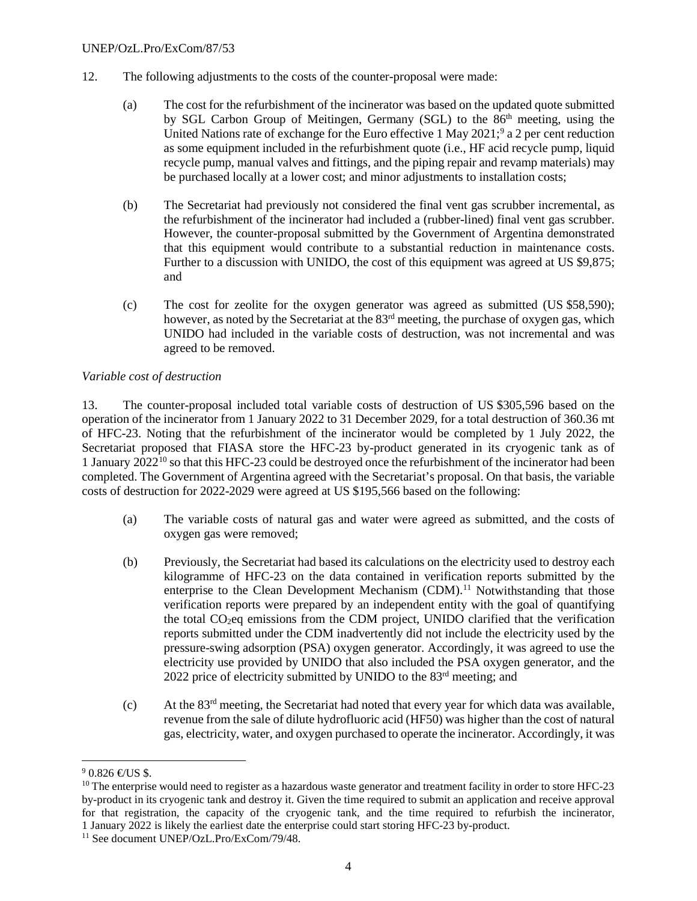- 12. The following adjustments to the costs of the counter-proposal were made:
	- (a) The cost for the refurbishment of the incinerator was based on the updated quote submitted by SGL Carbon Group of Meitingen, Germany (SGL) to the 86<sup>th</sup> meeting, using the United Nations rate of exchange for the Euro effective 1 May 2021;<sup>[9](#page-3-0)</sup> a 2 per cent reduction as some equipment included in the refurbishment quote (i.e., HF acid recycle pump, liquid recycle pump, manual valves and fittings, and the piping repair and revamp materials) may be purchased locally at a lower cost; and minor adjustments to installation costs;
	- (b) The Secretariat had previously not considered the final vent gas scrubber incremental, as the refurbishment of the incinerator had included a (rubber-lined) final vent gas scrubber. However, the counter-proposal submitted by the Government of Argentina demonstrated that this equipment would contribute to a substantial reduction in maintenance costs. Further to a discussion with UNIDO, the cost of this equipment was agreed at US \$9,875; and
	- (c) The cost for zeolite for the oxygen generator was agreed as submitted (US \$58,590); however, as noted by the Secretariat at the 83<sup>rd</sup> meeting, the purchase of oxygen gas, which UNIDO had included in the variable costs of destruction, was not incremental and was agreed to be removed.

#### *Variable cost of destruction*

13. The counter-proposal included total variable costs of destruction of US \$305,596 based on the operation of the incinerator from 1 January 2022 to 31 December 2029, for a total destruction of 360.36 mt of HFC-23. Noting that the refurbishment of the incinerator would be completed by 1 July 2022, the Secretariat proposed that FIASA store the HFC-23 by-product generated in its cryogenic tank as of 1 January  $2022^{10}$  $2022^{10}$  $2022^{10}$  so that this HFC-23 could be destroyed once the refurbishment of the incinerator had been completed. The Government of Argentina agreed with the Secretariat's proposal. On that basis, the variable costs of destruction for 2022-2029 were agreed at US \$195,566 based on the following:

- (a) The variable costs of natural gas and water were agreed as submitted, and the costs of oxygen gas were removed;
- (b) Previously, the Secretariat had based its calculations on the electricity used to destroy each kilogramme of HFC-23 on the data contained in verification reports submitted by the enterprise to the Clean Development Mechanism (CDM).<sup>[11](#page-3-2)</sup> Notwithstanding that those verification reports were prepared by an independent entity with the goal of quantifying the total CO2eq emissions from the CDM project, UNIDO clarified that the verification reports submitted under the CDM inadvertently did not include the electricity used by the pressure-swing adsorption (PSA) oxygen generator. Accordingly, it was agreed to use the electricity use provided by UNIDO that also included the PSA oxygen generator, and the 2022 price of electricity submitted by UNIDO to the 83rd meeting; and
- (c) At the 83rd meeting, the Secretariat had noted that every year for which data was available, revenue from the sale of dilute hydrofluoric acid (HF50) was higher than the cost of natural gas, electricity, water, and oxygen purchased to operate the incinerator. Accordingly, it was

<span id="page-3-0"></span> $90.826 \text{ } \infty$ US \$.

<span id="page-3-1"></span><sup>&</sup>lt;sup>10</sup> The enterprise would need to register as a hazardous waste generator and treatment facility in order to store HFC-23 by-product in its cryogenic tank and destroy it. Given the time required to submit an application and receive approval for that registration, the capacity of the cryogenic tank, and the time required to refurbish the incinerator, <sup>1</sup> January 2022 is likely the earliest date the enterprise could start storing HFC-23 by-product. 11 See document UNEP/OzL.Pro/ExCom/79/48.

<span id="page-3-2"></span>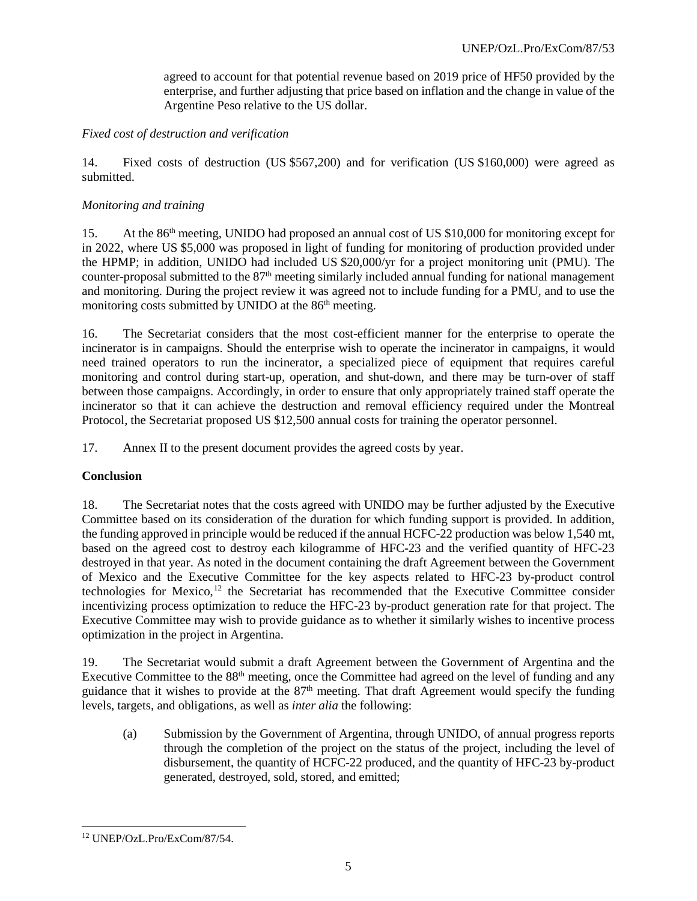agreed to account for that potential revenue based on 2019 price of HF50 provided by the enterprise, and further adjusting that price based on inflation and the change in value of the Argentine Peso relative to the US dollar.

#### *Fixed cost of destruction and verification*

14. Fixed costs of destruction (US \$567,200) and for verification (US \$160,000) were agreed as submitted.

#### *Monitoring and training*

15. At the 86<sup>th</sup> meeting, UNIDO had proposed an annual cost of US \$10,000 for monitoring except for in 2022, where US \$5,000 was proposed in light of funding for monitoring of production provided under the HPMP; in addition, UNIDO had included US \$20,000/yr for a project monitoring unit (PMU). The counter-proposal submitted to the 87<sup>th</sup> meeting similarly included annual funding for national management and monitoring. During the project review it was agreed not to include funding for a PMU, and to use the monitoring costs submitted by UNIDO at the 86<sup>th</sup> meeting.

16. The Secretariat considers that the most cost-efficient manner for the enterprise to operate the incinerator is in campaigns. Should the enterprise wish to operate the incinerator in campaigns, it would need trained operators to run the incinerator, a specialized piece of equipment that requires careful monitoring and control during start-up, operation, and shut-down, and there may be turn-over of staff between those campaigns. Accordingly, in order to ensure that only appropriately trained staff operate the incinerator so that it can achieve the destruction and removal efficiency required under the Montreal Protocol, the Secretariat proposed US \$12,500 annual costs for training the operator personnel.

17. Annex II to the present document provides the agreed costs by year.

# **Conclusion**

18. The Secretariat notes that the costs agreed with UNIDO may be further adjusted by the Executive Committee based on its consideration of the duration for which funding support is provided. In addition, the funding approved in principle would be reduced if the annual HCFC-22 production was below 1,540 mt, based on the agreed cost to destroy each kilogramme of HFC-23 and the verified quantity of HFC-23 destroyed in that year. As noted in the document containing the draft Agreement between the Government of Mexico and the Executive Committee for the key aspects related to HFC-23 by-product control technologies for Mexico, [12](#page-4-0) the Secretariat has recommended that the Executive Committee consider incentivizing process optimization to reduce the HFC-23 by-product generation rate for that project. The Executive Committee may wish to provide guidance as to whether it similarly wishes to incentive process optimization in the project in Argentina.

19. The Secretariat would submit a draft Agreement between the Government of Argentina and the Executive Committee to the 88<sup>th</sup> meeting, once the Committee had agreed on the level of funding and any guidance that it wishes to provide at the 87<sup>th</sup> meeting. That draft Agreement would specify the funding levels, targets, and obligations, as well as *inter alia* the following:

(a) Submission by the Government of Argentina, through UNIDO, of annual progress reports through the completion of the project on the status of the project, including the level of disbursement, the quantity of HCFC-22 produced, and the quantity of HFC-23 by-product generated, destroyed, sold, stored, and emitted;

<span id="page-4-0"></span> <sup>12</sup> UNEP/OzL.Pro/ExCom/87/54.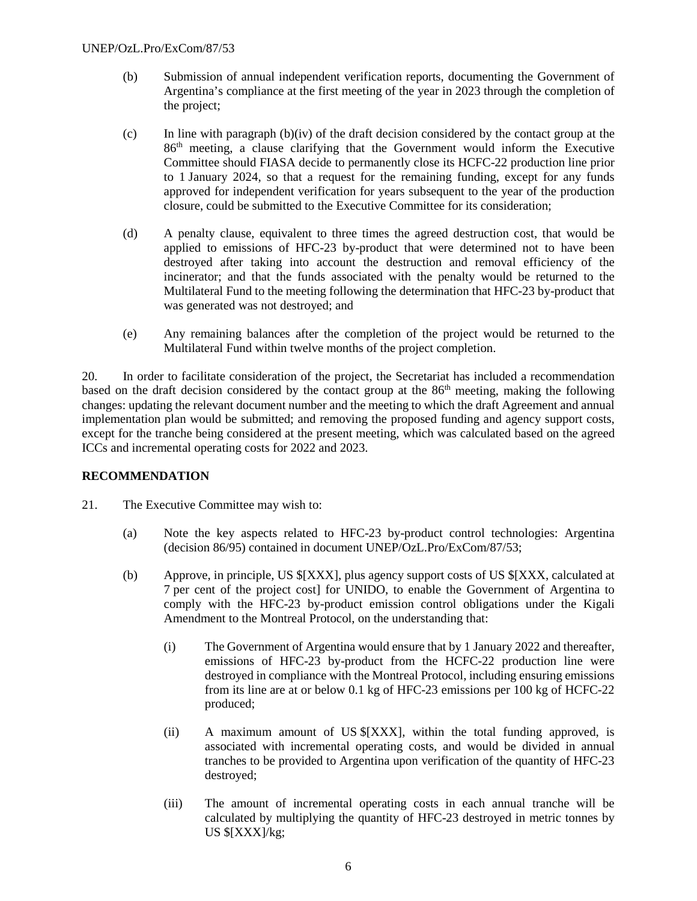- (b) Submission of annual independent verification reports, documenting the Government of Argentina's compliance at the first meeting of the year in 2023 through the completion of the project;
- (c) In line with paragraph (b)(iv) of the draft decision considered by the contact group at the 86th meeting, a clause clarifying that the Government would inform the Executive Committee should FIASA decide to permanently close its HCFC-22 production line prior to 1 January 2024, so that a request for the remaining funding, except for any funds approved for independent verification for years subsequent to the year of the production closure, could be submitted to the Executive Committee for its consideration;
- (d) A penalty clause, equivalent to three times the agreed destruction cost, that would be applied to emissions of HFC-23 by-product that were determined not to have been destroyed after taking into account the destruction and removal efficiency of the incinerator; and that the funds associated with the penalty would be returned to the Multilateral Fund to the meeting following the determination that HFC-23 by-product that was generated was not destroyed; and
- (e) Any remaining balances after the completion of the project would be returned to the Multilateral Fund within twelve months of the project completion.

20. In order to facilitate consideration of the project, the Secretariat has included a recommendation based on the draft decision considered by the contact group at the 86th meeting, making the following changes: updating the relevant document number and the meeting to which the draft Agreement and annual implementation plan would be submitted; and removing the proposed funding and agency support costs, except for the tranche being considered at the present meeting, which was calculated based on the agreed ICCs and incremental operating costs for 2022 and 2023.

# **RECOMMENDATION**

- 21. The Executive Committee may wish to:
	- (a) Note the key aspects related to HFC-23 by-product control technologies: Argentina (decision 86/95) contained in document UNEP/OzL.Pro/ExCom/87/53;
	- (b) Approve, in principle, US \$[XXX], plus agency support costs of US \$[XXX, calculated at 7 per cent of the project cost] for UNIDO, to enable the Government of Argentina to comply with the HFC-23 by-product emission control obligations under the Kigali Amendment to the Montreal Protocol, on the understanding that:
		- (i) The Government of Argentina would ensure that by 1 January 2022 and thereafter, emissions of HFC-23 by-product from the HCFC-22 production line were destroyed in compliance with the Montreal Protocol, including ensuring emissions from its line are at or below 0.1 kg of HFC-23 emissions per 100 kg of HCFC-22 produced;
		- (ii) A maximum amount of US \$[XXX], within the total funding approved, is associated with incremental operating costs, and would be divided in annual tranches to be provided to Argentina upon verification of the quantity of HFC-23 destroyed;
		- (iii) The amount of incremental operating costs in each annual tranche will be calculated by multiplying the quantity of HFC-23 destroyed in metric tonnes by US \$[XXX]/kg;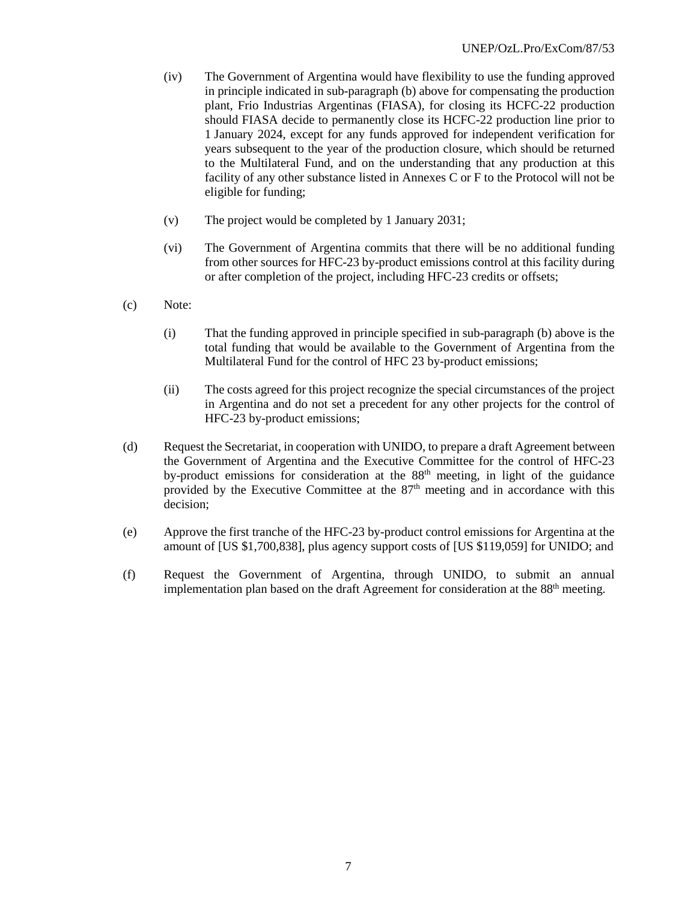- (iv) The Government of Argentina would have flexibility to use the funding approved in principle indicated in sub-paragraph (b) above for compensating the production plant, Frio Industrias Argentinas (FIASA), for closing its HCFC-22 production should FIASA decide to permanently close its HCFC-22 production line prior to 1 January 2024, except for any funds approved for independent verification for years subsequent to the year of the production closure, which should be returned to the Multilateral Fund, and on the understanding that any production at this facility of any other substance listed in Annexes C or F to the Protocol will not be eligible for funding;
- (v) The project would be completed by 1 January 2031;
- (vi) The Government of Argentina commits that there will be no additional funding from other sources for HFC-23 by-product emissions control at this facility during or after completion of the project, including HFC-23 credits or offsets;
- (c) Note:
	- (i) That the funding approved in principle specified in sub-paragraph (b) above is the total funding that would be available to the Government of Argentina from the Multilateral Fund for the control of HFC 23 by-product emissions;
	- (ii) The costs agreed for this project recognize the special circumstances of the project in Argentina and do not set a precedent for any other projects for the control of HFC-23 by-product emissions;
- (d) Request the Secretariat, in cooperation with UNIDO, to prepare a draft Agreement between the Government of Argentina and the Executive Committee for the control of HFC-23 by-product emissions for consideration at the 88<sup>th</sup> meeting, in light of the guidance provided by the Executive Committee at the  $87<sup>th</sup>$  meeting and in accordance with this decision;
- (e) Approve the first tranche of the HFC-23 by-product control emissions for Argentina at the amount of [US \$1,700,838], plus agency support costs of [US \$119,059] for UNIDO; and
- (f) Request the Government of Argentina, through UNIDO, to submit an annual implementation plan based on the draft Agreement for consideration at the 88<sup>th</sup> meeting.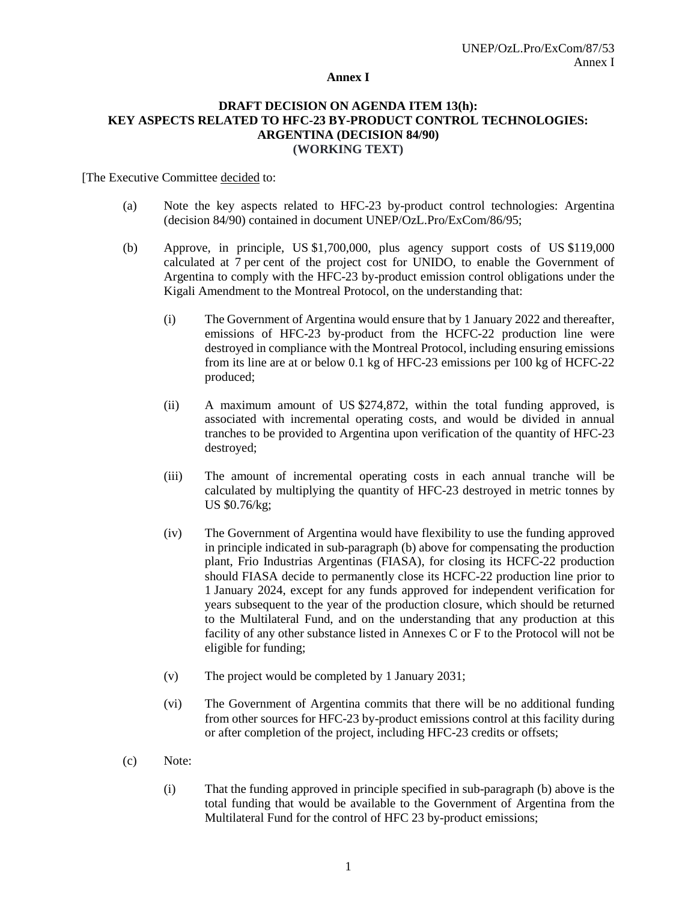#### **Annex I**

#### **DRAFT DECISION ON AGENDA ITEM 13(h): KEY ASPECTS RELATED TO HFC-23 BY-PRODUCT CONTROL TECHNOLOGIES: ARGENTINA (DECISION 84/90) (WORKING TEXT)**

[The Executive Committee decided to:

- (a) Note the key aspects related to HFC-23 by-product control technologies: Argentina (decision 84/90) contained in document UNEP/OzL.Pro/ExCom/86/95;
- (b) Approve, in principle, US \$1,700,000, plus agency support costs of US \$119,000 calculated at 7 per cent of the project cost for UNIDO, to enable the Government of Argentina to comply with the HFC-23 by-product emission control obligations under the Kigali Amendment to the Montreal Protocol, on the understanding that:
	- (i) The Government of Argentina would ensure that by 1 January 2022 and thereafter, emissions of HFC-23 by-product from the HCFC-22 production line were destroyed in compliance with the Montreal Protocol, including ensuring emissions from its line are at or below 0.1 kg of HFC-23 emissions per 100 kg of HCFC-22 produced;
	- (ii) A maximum amount of US \$274,872, within the total funding approved, is associated with incremental operating costs, and would be divided in annual tranches to be provided to Argentina upon verification of the quantity of HFC-23 destroyed;
	- (iii) The amount of incremental operating costs in each annual tranche will be calculated by multiplying the quantity of HFC-23 destroyed in metric tonnes by US \$0.76/kg;
	- (iv) The Government of Argentina would have flexibility to use the funding approved in principle indicated in sub-paragraph (b) above for compensating the production plant, Frio Industrias Argentinas (FIASA), for closing its HCFC-22 production should FIASA decide to permanently close its HCFC-22 production line prior to 1 January 2024, except for any funds approved for independent verification for years subsequent to the year of the production closure, which should be returned to the Multilateral Fund, and on the understanding that any production at this facility of any other substance listed in Annexes C or F to the Protocol will not be eligible for funding;
	- (v) The project would be completed by 1 January 2031;
	- (vi) The Government of Argentina commits that there will be no additional funding from other sources for HFC-23 by-product emissions control at this facility during or after completion of the project, including HFC-23 credits or offsets;
- (c) Note:
	- (i) That the funding approved in principle specified in sub-paragraph (b) above is the total funding that would be available to the Government of Argentina from the Multilateral Fund for the control of HFC 23 by-product emissions;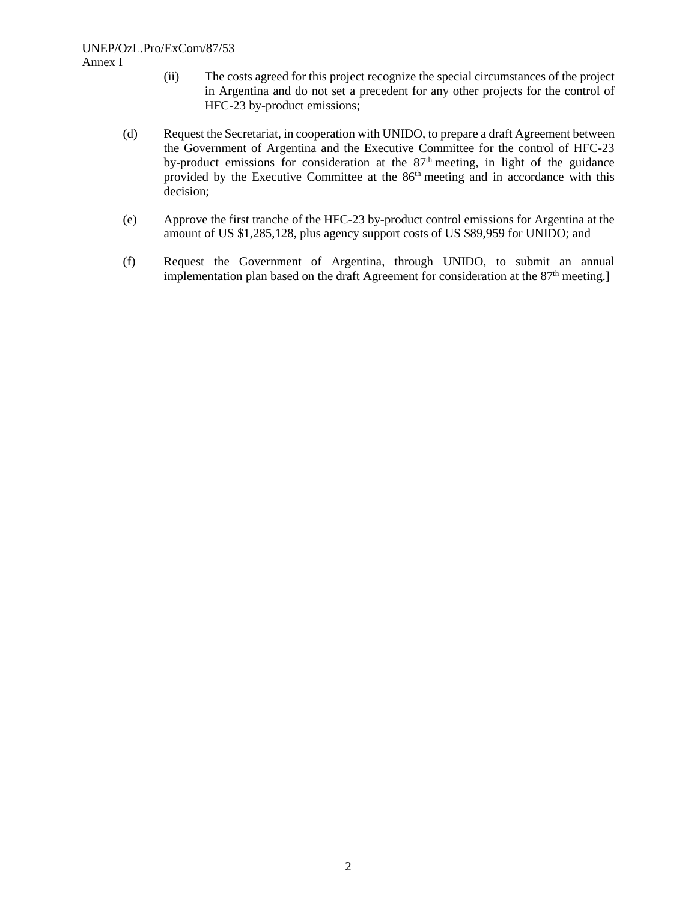#### UNEP/OzL.Pro/ExCom/87/53 Annex I

- (ii) The costs agreed for this project recognize the special circumstances of the project in Argentina and do not set a precedent for any other projects for the control of HFC-23 by-product emissions;
- (d) Request the Secretariat, in cooperation with UNIDO, to prepare a draft Agreement between the Government of Argentina and the Executive Committee for the control of HFC-23 by-product emissions for consideration at the  $87<sup>th</sup>$  meeting, in light of the guidance provided by the Executive Committee at the  $86<sup>th</sup>$  meeting and in accordance with this decision;
- (e) Approve the first tranche of the HFC-23 by-product control emissions for Argentina at the amount of US \$1,285,128, plus agency support costs of US \$89,959 for UNIDO; and
- (f) Request the Government of Argentina, through UNIDO, to submit an annual implementation plan based on the draft Agreement for consideration at the  $87<sup>th</sup>$  meeting.]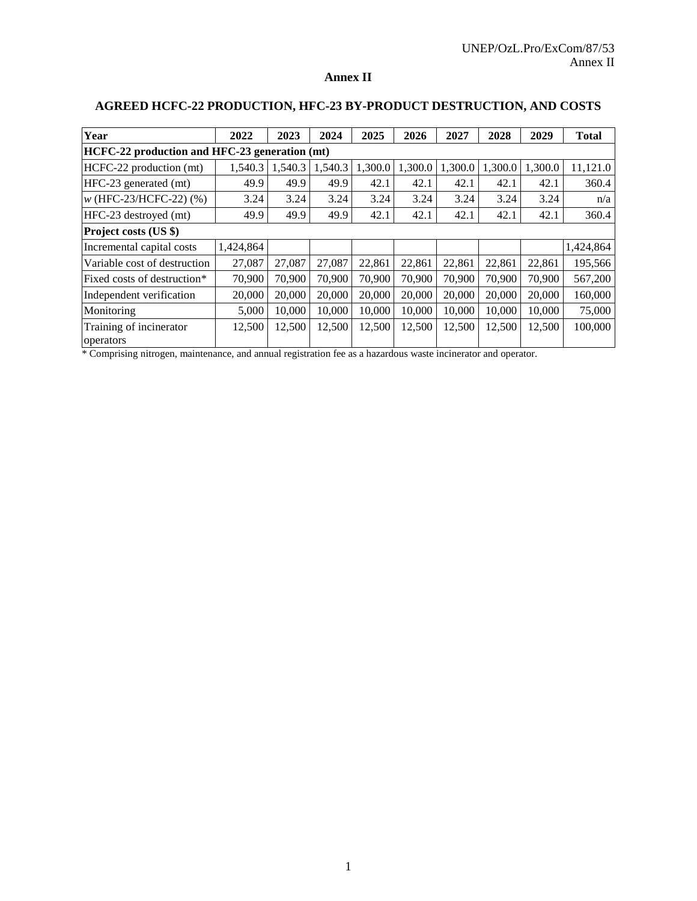## **Annex II**

| Year                                 | 2022                                          | 2023    | 2024    | 2025    | 2026    | 2027    | 2028    | 2029    | <b>Total</b> |
|--------------------------------------|-----------------------------------------------|---------|---------|---------|---------|---------|---------|---------|--------------|
|                                      | HCFC-22 production and HFC-23 generation (mt) |         |         |         |         |         |         |         |              |
| HCFC-22 production (mt)              | 1,540.3                                       | 1,540.3 | 1,540.3 | 1,300.0 | 1,300.0 | 1,300.0 | 1,300.0 | 1,300.0 | 11,121.0     |
| HFC-23 generated (mt)                | 49.9                                          | 49.9    | 49.9    | 42.1    | 42.1    | 42.1    | 42.1    | 42.1    | 360.4        |
| $w$ (HFC-23/HCFC-22) $(\% )$         | 3.24                                          | 3.24    | 3.24    | 3.24    | 3.24    | 3.24    | 3.24    | 3.24    | n/a          |
| HFC-23 destroyed (mt)                | 49.9                                          | 49.9    | 49.9    | 42.1    | 42.1    | 42.1    | 42.1    | 42.1    | 360.4        |
| Project costs (US \$)                |                                               |         |         |         |         |         |         |         |              |
| Incremental capital costs            | 1,424,864                                     |         |         |         |         |         |         |         | 1,424,864    |
| Variable cost of destruction         | 27,087                                        | 27,087  | 27,087  | 22,861  | 22,861  | 22,861  | 22,861  | 22,861  | 195,566      |
| Fixed costs of destruction*          | 70,900                                        | 70,900  | 70,900  | 70,900  | 70,900  | 70,900  | 70.900  | 70,900  | 567,200      |
| Independent verification             | 20,000                                        | 20,000  | 20,000  | 20,000  | 20,000  | 20,000  | 20,000  | 20,000  | 160,000      |
| Monitoring                           | 5,000                                         | 10,000  | 10,000  | 10,000  | 10,000  | 10,000  | 10,000  | 10,000  | 75,000       |
| Training of incinerator<br>operators | 12,500                                        | 12,500  | 12,500  | 12,500  | 12,500  | 12,500  | 12,500  | 12,500  | 100,000      |

# **AGREED HCFC-22 PRODUCTION, HFC-23 BY-PRODUCT DESTRUCTION, AND COSTS**

\* Comprising nitrogen, maintenance, and annual registration fee as a hazardous waste incinerator and operator.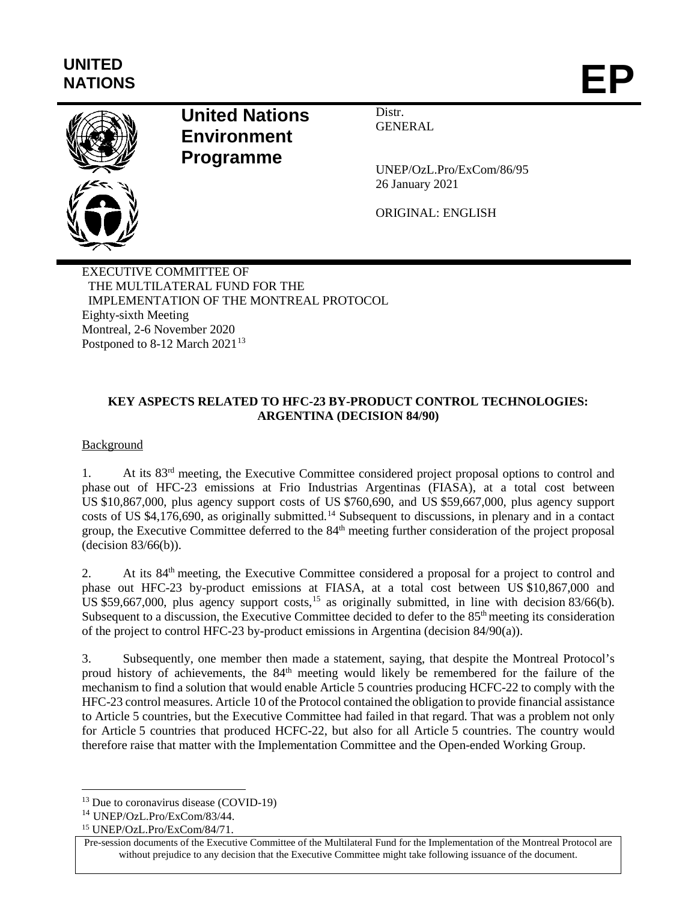# **UNITED** NATIONS **EP**



# **United Nations Environment Programme**

**Distr GENERAL** 

UNEP/OzL.Pro/ExCom/86/95 26 January 2021

ORIGINAL: ENGLISH

EXECUTIVE COMMITTEE OF THE MULTILATERAL FUND FOR THE IMPLEMENTATION OF THE MONTREAL PROTOCOL Eighty-sixth Meeting Montreal, 2-6 November 2020 Postponed to  $8-12$  March  $2021^{13}$  $2021^{13}$  $2021^{13}$ 

# **KEY ASPECTS RELATED TO HFC-23 BY-PRODUCT CONTROL TECHNOLOGIES: ARGENTINA (DECISION 84/90)**

Background

1. At its 83rd meeting, the Executive Committee considered project proposal options to control and phase out of HFC-23 emissions at Frio Industrias Argentinas (FIASA), at a total cost between US \$10,867,000, plus agency support costs of US \$760,690, and US \$59,667,000, plus agency support costs of US \$4,176,690, as originally submitted.<sup>[14](#page-11-1)</sup> Subsequent to discussions, in plenary and in a contact group, the Executive Committee deferred to the 84th meeting further consideration of the project proposal (decision 83/66(b)).

2. At its 84<sup>th</sup> meeting, the Executive Committee considered a proposal for a project to control and phase out HFC-23 by-product emissions at FIASA, at a total cost between US \$10,867,000 and US \$59,667,000, plus agency support costs,<sup>[15](#page-11-2)</sup> as originally submitted, in line with decision 83/66(b). Subsequent to a discussion, the Executive Committee decided to defer to the 85<sup>th</sup> meeting its consideration of the project to control HFC-23 by-product emissions in Argentina (decision 84/90(a)).

3. Subsequently, one member then made a statement, saying, that despite the Montreal Protocol's proud history of achievements, the 84<sup>th</sup> meeting would likely be remembered for the failure of the mechanism to find a solution that would enable Article 5 countries producing HCFC-22 to comply with the HFC-23 control measures. Article 10 of the Protocol contained the obligation to provide financial assistance to Article 5 countries, but the Executive Committee had failed in that regard. That was a problem not only for Article 5 countries that produced HCFC-22, but also for all Article 5 countries. The country would therefore raise that matter with the Implementation Committee and the Open-ended Working Group.

<span id="page-11-0"></span><sup>&</sup>lt;sup>13</sup> Due to coronavirus disease (COVID-19)

<span id="page-11-1"></span><sup>14</sup> UNEP/OzL.Pro/ExCom/83/44.

<span id="page-11-2"></span><sup>15</sup> UNEP/OzL.Pro/ExCom/84/71.

Pre-session documents of the Executive Committee of the Multilateral Fund for the Implementation of the Montreal Protocol are without prejudice to any decision that the Executive Committee might take following issuance of the document.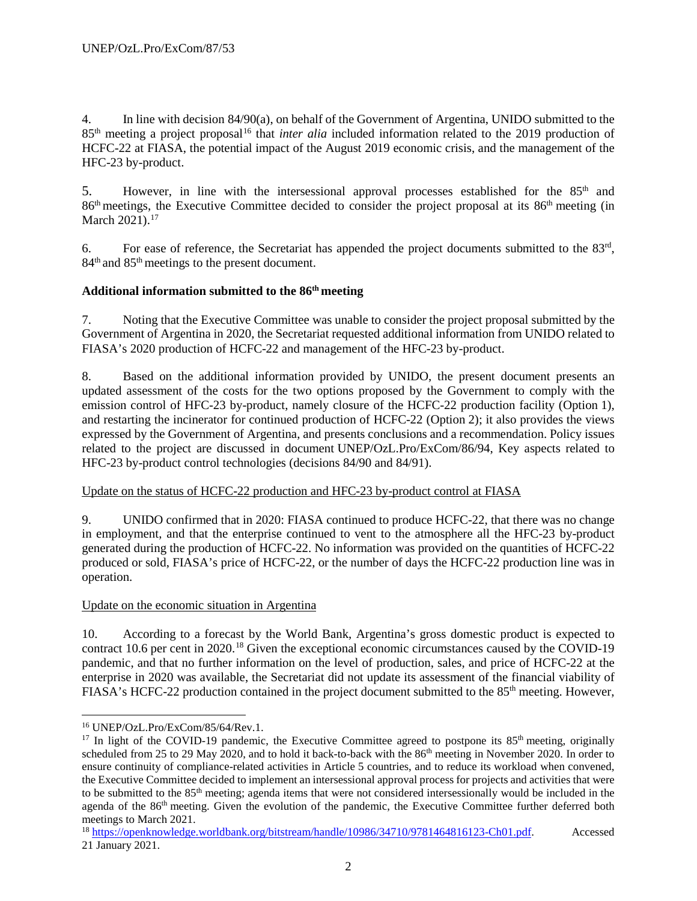4. In line with decision 84/90(a), on behalf of the Government of Argentina, UNIDO submitted to the 85th meeting a project proposal[16](#page-12-0) that *inter alia* included information related to the 2019 production of HCFC-22 at FIASA, the potential impact of the August 2019 economic crisis, and the management of the HFC-23 by-product.

5. However, in line with the intersessional approval processes established for the  $85<sup>th</sup>$  and 86th meetings, the Executive Committee decided to consider the project proposal at its 86th meeting (in March 2021).<sup>17</sup>

6. For ease of reference, the Secretariat has appended the project documents submitted to the  $83<sup>rd</sup>$ , 84<sup>th</sup> and 85<sup>th</sup> meetings to the present document.

# **Additional information submitted to the 86th meeting**

7. Noting that the Executive Committee was unable to consider the project proposal submitted by the Government of Argentina in 2020, the Secretariat requested additional information from UNIDO related to FIASA's 2020 production of HCFC-22 and management of the HFC-23 by-product.

8. Based on the additional information provided by UNIDO, the present document presents an updated assessment of the costs for the two options proposed by the Government to comply with the emission control of HFC-23 by-product, namely closure of the HCFC-22 production facility (Option 1), and restarting the incinerator for continued production of HCFC-22 (Option 2); it also provides the views expressed by the Government of Argentina, and presents conclusions and a recommendation. Policy issues related to the project are discussed in document UNEP/OzL.Pro/ExCom/86/94, Key aspects related to HFC-23 by-product control technologies (decisions 84/90 and 84/91).

# Update on the status of HCFC-22 production and HFC-23 by-product control at FIASA

9. UNIDO confirmed that in 2020: FIASA continued to produce HCFC-22, that there was no change in employment, and that the enterprise continued to vent to the atmosphere all the HFC-23 by-product generated during the production of HCFC-22. No information was provided on the quantities of HCFC-22 produced or sold, FIASA's price of HCFC-22, or the number of days the HCFC-22 production line was in operation.

# Update on the economic situation in Argentina

10. According to a forecast by the World Bank, Argentina's gross domestic product is expected to contract 10.6 per cent in 2020.<sup>[18](#page-12-2)</sup> Given the exceptional economic circumstances caused by the COVID-19 pandemic, and that no further information on the level of production, sales, and price of HCFC-22 at the enterprise in 2020 was available, the Secretariat did not update its assessment of the financial viability of FIASA's HCFC-22 production contained in the project document submitted to the 85<sup>th</sup> meeting. However,

<span id="page-12-0"></span> <sup>16</sup> UNEP/OzL.Pro/ExCom/85/64/Rev.1.

<span id="page-12-1"></span><sup>&</sup>lt;sup>17</sup> In light of the COVID-19 pandemic, the Executive Committee agreed to postpone its  $85<sup>th</sup>$  meeting, originally scheduled from 25 to 29 May 2020, and to hold it back-to-back with the 86<sup>th</sup> meeting in November 2020. In order to ensure continuity of compliance-related activities in Article 5 countries, and to reduce its workload when convened, the Executive Committee decided to implement an intersessional approval process for projects and activities that were to be submitted to the 85<sup>th</sup> meeting; agenda items that were not considered intersessionally would be included in the agenda of the 86<sup>th</sup> meeting. Given the evolution of the pandemic, the Executive Committee further deferred both meetings to March 2021.

<span id="page-12-2"></span><sup>18</sup> [https://openknowledge.worldbank.org/bitstream/handle/10986/34710/9781464816123-Ch01.pdf.](https://openknowledge.worldbank.org/bitstream/handle/10986/34710/9781464816123-Ch01.pdf) Accessed 21 January 2021.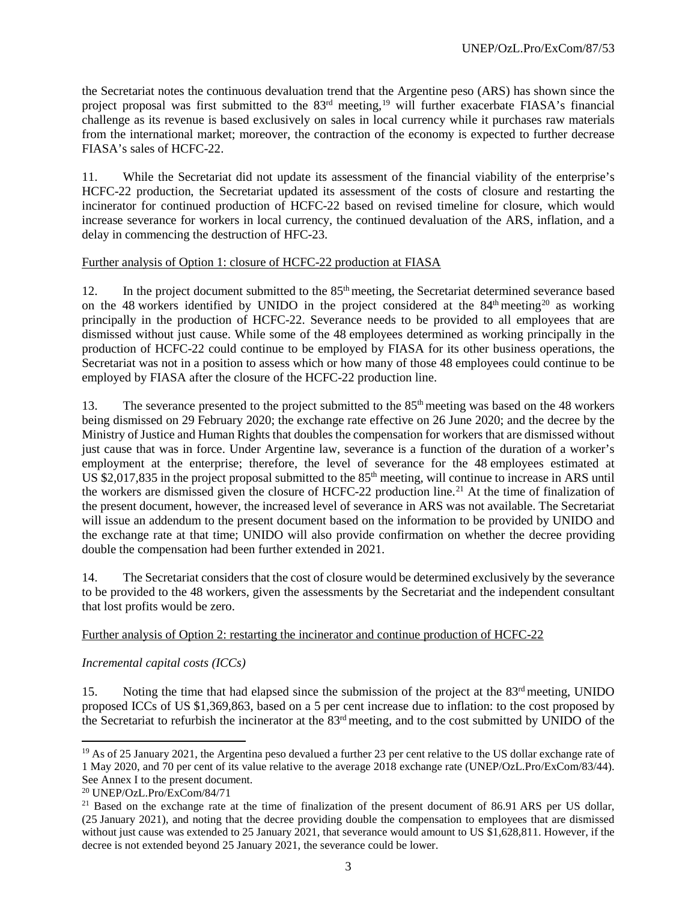the Secretariat notes the continuous devaluation trend that the Argentine peso (ARS) has shown since the project proposal was first submitted to the 83<sup>rd</sup> meeting,<sup>[19](#page-13-0)</sup> will further exacerbate FIASA's financial challenge as its revenue is based exclusively on sales in local currency while it purchases raw materials from the international market; moreover, the contraction of the economy is expected to further decrease FIASA's sales of HCFC-22.

11. While the Secretariat did not update its assessment of the financial viability of the enterprise's HCFC-22 production, the Secretariat updated its assessment of the costs of closure and restarting the incinerator for continued production of HCFC-22 based on revised timeline for closure, which would increase severance for workers in local currency, the continued devaluation of the ARS, inflation, and a delay in commencing the destruction of HFC-23.

#### Further analysis of Option 1: closure of HCFC-22 production at FIASA

12. In the project document submitted to the 85<sup>th</sup> meeting, the Secretariat determined severance based on the 48 workers identified by UNIDO in the project considered at the  $84<sup>th</sup>$  meeting<sup>[20](#page-13-1)</sup> as working principally in the production of HCFC-22. Severance needs to be provided to all employees that are dismissed without just cause. While some of the 48 employees determined as working principally in the production of HCFC-22 could continue to be employed by FIASA for its other business operations, the Secretariat was not in a position to assess which or how many of those 48 employees could continue to be employed by FIASA after the closure of the HCFC-22 production line.

13. The severance presented to the project submitted to the 85<sup>th</sup> meeting was based on the 48 workers being dismissed on 29 February 2020; the exchange rate effective on 26 June 2020; and the decree by the Ministry of Justice and Human Rights that doubles the compensation for workers that are dismissed without just cause that was in force. Under Argentine law, severance is a function of the duration of a worker's employment at the enterprise; therefore, the level of severance for the 48 employees estimated at US \$2,017,835 in the project proposal submitted to the  $85<sup>th</sup>$  meeting, will continue to increase in ARS until the workers are dismissed given the closure of HCFC-22 production line.<sup>[21](#page-13-2)</sup> At the time of finalization of the present document, however, the increased level of severance in ARS was not available. The Secretariat will issue an addendum to the present document based on the information to be provided by UNIDO and the exchange rate at that time; UNIDO will also provide confirmation on whether the decree providing double the compensation had been further extended in 2021.

14. The Secretariat considers that the cost of closure would be determined exclusively by the severance to be provided to the 48 workers, given the assessments by the Secretariat and the independent consultant that lost profits would be zero.

#### Further analysis of Option 2: restarting the incinerator and continue production of HCFC-22

#### *Incremental capital costs (ICCs)*

15. Noting the time that had elapsed since the submission of the project at the  $83<sup>rd</sup>$  meeting, UNIDO proposed ICCs of US \$1,369,863, based on a 5 per cent increase due to inflation: to the cost proposed by the Secretariat to refurbish the incinerator at the 83rd meeting, and to the cost submitted by UNIDO of the

<span id="page-13-0"></span><sup>&</sup>lt;sup>19</sup> As of 25 January 2021, the Argentina peso devalued a further 23 per cent relative to the US dollar exchange rate of 1 May 2020, and 70 per cent of its value relative to the average 2018 exchange rate (UNEP/OzL.Pro/ExCom/83/44). See Annex I to the present document.

<span id="page-13-1"></span><sup>20</sup> UNEP/OzL.Pro/ExCom/84/71

<span id="page-13-2"></span> $21$  Based on the exchange rate at the time of finalization of the present document of 86.91 ARS per US dollar, (25 January 2021), and noting that the decree providing double the compensation to employees that are dismissed without just cause was extended to 25 January 2021, that severance would amount to US \$1,628,811. However, if the decree is not extended beyond 25 January 2021, the severance could be lower.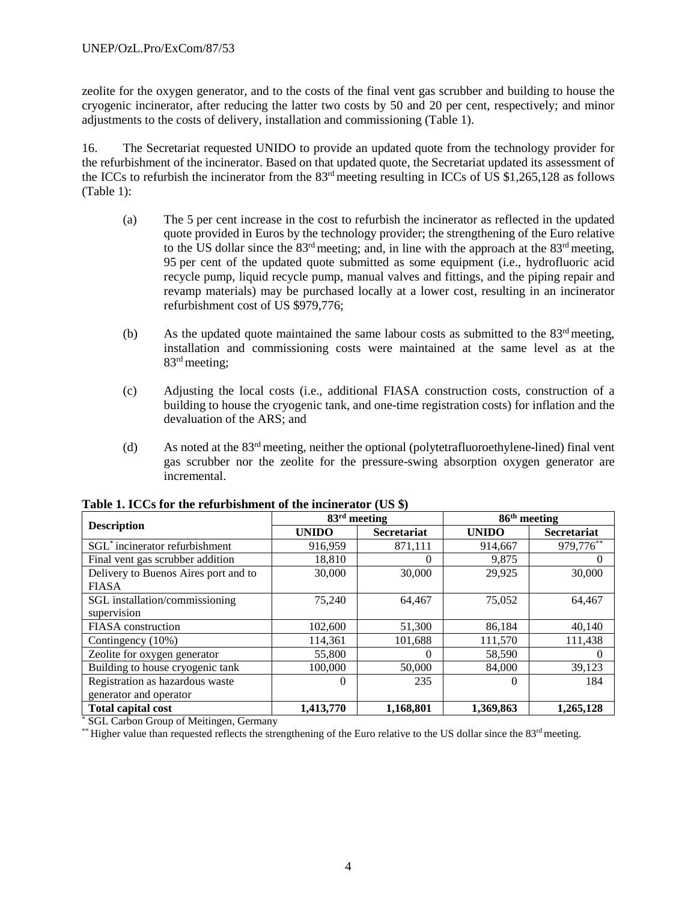zeolite for the oxygen generator, and to the costs of the final vent gas scrubber and building to house the cryogenic incinerator, after reducing the latter two costs by 50 and 20 per cent, respectively; and minor adjustments to the costs of delivery, installation and commissioning (Table 1).

16. The Secretariat requested UNIDO to provide an updated quote from the technology provider for the refurbishment of the incinerator. Based on that updated quote, the Secretariat updated its assessment of the ICCs to refurbish the incinerator from the  $83<sup>rd</sup>$  meeting resulting in ICCs of US \$1,265,128 as follows (Table 1):

- (a) The 5 per cent increase in the cost to refurbish the incinerator as reflected in the updated quote provided in Euros by the technology provider; the strengthening of the Euro relative to the US dollar since the  $83<sup>rd</sup>$  meeting; and, in line with the approach at the  $83<sup>rd</sup>$  meeting, 95 per cent of the updated quote submitted as some equipment (i.e., hydrofluoric acid recycle pump, liquid recycle pump, manual valves and fittings, and the piping repair and revamp materials) may be purchased locally at a lower cost, resulting in an incinerator refurbishment cost of US \$979,776;
- (b) As the updated quote maintained the same labour costs as submitted to the  $83<sup>rd</sup>$  meeting, installation and commissioning costs were maintained at the same level as at the 83rd meeting;
- (c) Adjusting the local costs (i.e., additional FIASA construction costs, construction of a building to house the cryogenic tank, and one-time registration costs) for inflation and the devaluation of the ARS; and
- (d) As noted at the 83rd meeting, neither the optional (polytetrafluoroethylene-lined) final vent gas scrubber nor the zeolite for the pressure-swing absorption oxygen generator are incremental.

|                                            | $83rd$ meeting |                    | 86 <sup>th</sup> meeting |                    |  |  |
|--------------------------------------------|----------------|--------------------|--------------------------|--------------------|--|--|
| <b>Description</b>                         | <b>UNIDO</b>   | <b>Secretariat</b> | <b>UNIDO</b>             | <b>Secretariat</b> |  |  |
| SGL <sup>*</sup> incinerator refurbishment | 916,959        | 871,111            | 914,667                  | 979,776**          |  |  |
| Final vent gas scrubber addition           | 18,810         | $\Omega$           | 9,875                    | $\Omega$           |  |  |
| Delivery to Buenos Aires port and to       | 30,000         | 30,000             | 29,925                   | 30,000             |  |  |
| <b>FIASA</b>                               |                |                    |                          |                    |  |  |
| SGL installation/commissioning             | 75,240         | 64,467             | 75,052                   | 64,467             |  |  |
| supervision                                |                |                    |                          |                    |  |  |
| FIASA construction                         | 102,600        | 51,300             | 86,184                   | 40,140             |  |  |
| Contingency (10%)                          | 114,361        | 101,688            | 111,570                  | 111,438            |  |  |
| Zeolite for oxygen generator               | 55,800         | $\Omega$           | 58,590                   | $\Omega$           |  |  |
| Building to house cryogenic tank           | 100,000        | 50,000             | 84,000                   | 39,123             |  |  |
| Registration as hazardous waste            | $\Omega$       | 235                | $\Omega$                 | 184                |  |  |
| generator and operator                     |                |                    |                          |                    |  |  |
| <b>Total capital cost</b>                  | 1,413,770      | 1,168,801          | 1,369,863                | 1,265,128          |  |  |

**Table 1. ICCs for the refurbishment of the incinerator (US \$)**

\* SGL Carbon Group of Meitingen, Germany

\*\* Higher value than requested reflects the strengthening of the Euro relative to the US dollar since the  $83<sup>rd</sup>$  meeting.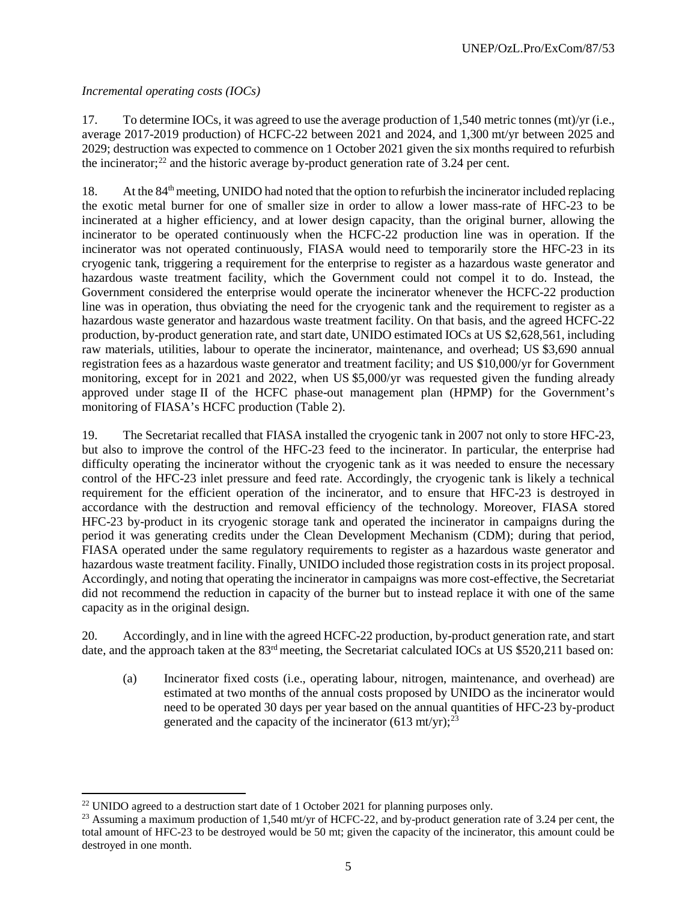# *Incremental operating costs (IOCs)*

17. To determine IOCs, it was agreed to use the average production of 1,540 metric tonnes (mt)/yr (i.e., average 2017-2019 production) of HCFC-22 between 2021 and 2024, and 1,300 mt/yr between 2025 and 2029; destruction was expected to commence on 1 October 2021 given the six months required to refurbish the incinerator; $^{22}$  $^{22}$  $^{22}$  and the historic average by-product generation rate of 3.24 per cent.

18. At the 84<sup>th</sup> meeting, UNIDO had noted that the option to refurbish the incinerator included replacing the exotic metal burner for one of smaller size in order to allow a lower mass-rate of HFC-23 to be incinerated at a higher efficiency, and at lower design capacity, than the original burner, allowing the incinerator to be operated continuously when the HCFC-22 production line was in operation. If the incinerator was not operated continuously, FIASA would need to temporarily store the HFC-23 in its cryogenic tank, triggering a requirement for the enterprise to register as a hazardous waste generator and hazardous waste treatment facility, which the Government could not compel it to do. Instead, the Government considered the enterprise would operate the incinerator whenever the HCFC-22 production line was in operation, thus obviating the need for the cryogenic tank and the requirement to register as a hazardous waste generator and hazardous waste treatment facility. On that basis, and the agreed HCFC-22 production, by-product generation rate, and start date, UNIDO estimated IOCs at US \$2,628,561, including raw materials, utilities, labour to operate the incinerator, maintenance, and overhead; US \$3,690 annual registration fees as a hazardous waste generator and treatment facility; and US \$10,000/yr for Government monitoring, except for in 2021 and 2022, when US \$5,000/yr was requested given the funding already approved under stage II of the HCFC phase-out management plan (HPMP) for the Government's monitoring of FIASA's HCFC production (Table 2).

19. The Secretariat recalled that FIASA installed the cryogenic tank in 2007 not only to store HFC-23, but also to improve the control of the HFC-23 feed to the incinerator. In particular, the enterprise had difficulty operating the incinerator without the cryogenic tank as it was needed to ensure the necessary control of the HFC-23 inlet pressure and feed rate. Accordingly, the cryogenic tank is likely a technical requirement for the efficient operation of the incinerator, and to ensure that HFC-23 is destroyed in accordance with the destruction and removal efficiency of the technology. Moreover, FIASA stored HFC-23 by-product in its cryogenic storage tank and operated the incinerator in campaigns during the period it was generating credits under the Clean Development Mechanism (CDM); during that period, FIASA operated under the same regulatory requirements to register as a hazardous waste generator and hazardous waste treatment facility. Finally, UNIDO included those registration costs in its project proposal. Accordingly, and noting that operating the incinerator in campaigns was more cost-effective, the Secretariat did not recommend the reduction in capacity of the burner but to instead replace it with one of the same capacity as in the original design.

20. Accordingly, and in line with the agreed HCFC-22 production, by-product generation rate, and start date, and the approach taken at the 83<sup>rd</sup> meeting, the Secretariat calculated IOCs at US \$520,211 based on:

(a) Incinerator fixed costs (i.e., operating labour, nitrogen, maintenance, and overhead) are estimated at two months of the annual costs proposed by UNIDO as the incinerator would need to be operated 30 days per year based on the annual quantities of HFC-23 by-product generated and the capacity of the incinerator (613 mt/yr); $^{23}$  $^{23}$  $^{23}$ 

<span id="page-15-0"></span><sup>&</sup>lt;sup>22</sup> UNIDO agreed to a destruction start date of 1 October 2021 for planning purposes only.

<span id="page-15-1"></span><sup>&</sup>lt;sup>23</sup> Assuming a maximum production of 1,540 mt/yr of HCFC-22, and by-product generation rate of 3.24 per cent, the total amount of HFC-23 to be destroyed would be 50 mt; given the capacity of the incinerator, this amount could be destroyed in one month.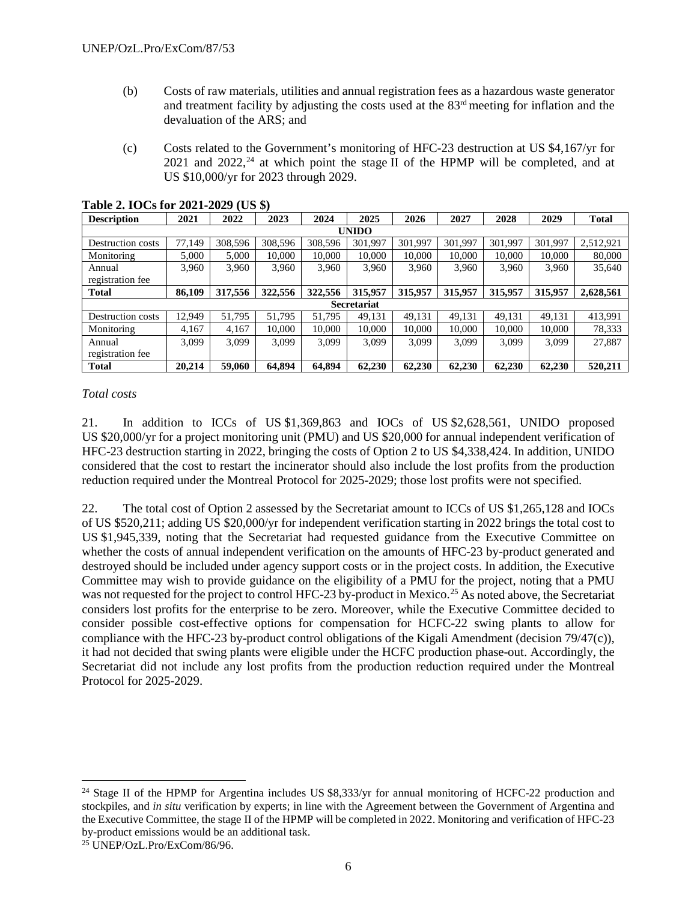- (b) Costs of raw materials, utilities and annual registration fees as a hazardous waste generator and treatment facility by adjusting the costs used at the  $83<sup>rd</sup>$  meeting for inflation and the devaluation of the ARS; and
- (c) Costs related to the Government's monitoring of HFC-23 destruction at US \$4,167/yr for 2021 and 2022,<sup>24</sup> at which point the stage II of the HPMP will be completed, and at US \$10,000/yr for 2023 through 2029.

| <b>Description</b> | 2021   | 2022    | 2023    | 2024    | 2025               | 2026    | 2027    | 2028    | 2029    | <b>Total</b> |
|--------------------|--------|---------|---------|---------|--------------------|---------|---------|---------|---------|--------------|
|                    |        |         |         |         | <b>UNIDO</b>       |         |         |         |         |              |
| Destruction costs  | 77,149 | 308,596 | 308,596 | 308,596 | 301,997            | 301.997 | 301,997 | 301,997 | 301,997 | 2,512,921    |
| Monitoring         | 5,000  | 5,000   | 10,000  | 10.000  | 10,000             | 10,000  | 10.000  | 10,000  | 10,000  | 80,000       |
| Annual             | 3,960  | 3,960   | 3,960   | 3.960   | 3,960              | 3,960   | 3,960   | 3,960   | 3,960   | 35,640       |
| registration fee   |        |         |         |         |                    |         |         |         |         |              |
| <b>Total</b>       | 86,109 | 317,556 | 322,556 | 322,556 | 315,957            | 315,957 | 315,957 | 315,957 | 315,957 | 2,628,561    |
|                    |        |         |         |         | <b>Secretariat</b> |         |         |         |         |              |
| Destruction costs  | 12.949 | 51.795  | 51.795  | 51.795  | 49,131             | 49,131  | 49,131  | 49,131  | 49,131  | 413,991      |
| Monitoring         | 4.167  | 4,167   | 10.000  | 10.000  | 10,000             | 10,000  | 10.000  | 10,000  | 10,000  | 78,333       |
| Annual             | 3.099  | 3,099   | 3.099   | 3.099   | 3.099              | 3.099   | 3.099   | 3.099   | 3.099   | 27,887       |
| registration fee   |        |         |         |         |                    |         |         |         |         |              |
| <b>Total</b>       | 20.214 | 59,060  | 64.894  | 64.894  | 62,230             | 62,230  | 62,230  | 62,230  | 62,230  | 520,211      |

#### **Table 2. IOCs for 2021-2029 (US \$)**

#### *Total costs*

21. In addition to ICCs of US \$1,369,863 and IOCs of US \$2,628,561, UNIDO proposed US \$20,000/yr for a project monitoring unit (PMU) and US \$20,000 for annual independent verification of HFC-23 destruction starting in 2022, bringing the costs of Option 2 to US \$4,338,424. In addition, UNIDO considered that the cost to restart the incinerator should also include the lost profits from the production reduction required under the Montreal Protocol for 2025-2029; those lost profits were not specified.

22. The total cost of Option 2 assessed by the Secretariat amount to ICCs of US \$1,265,128 and IOCs of US \$520,211; adding US \$20,000/yr for independent verification starting in 2022 brings the total cost to US \$1,945,339, noting that the Secretariat had requested guidance from the Executive Committee on whether the costs of annual independent verification on the amounts of HFC-23 by-product generated and destroyed should be included under agency support costs or in the project costs. In addition, the Executive Committee may wish to provide guidance on the eligibility of a PMU for the project, noting that a PMU was not requested for the project to control HFC-23 by-product in Mexico.<sup>[25](#page-16-1)</sup> As noted above, the Secretariat considers lost profits for the enterprise to be zero. Moreover, while the Executive Committee decided to consider possible cost-effective options for compensation for HCFC-22 swing plants to allow for compliance with the HFC-23 by-product control obligations of the Kigali Amendment (decision 79/47(c)), it had not decided that swing plants were eligible under the HCFC production phase-out. Accordingly, the Secretariat did not include any lost profits from the production reduction required under the Montreal Protocol for 2025-2029.

<span id="page-16-0"></span><sup>&</sup>lt;sup>24</sup> Stage II of the HPMP for Argentina includes US \$8,333/yr for annual monitoring of HCFC-22 production and stockpiles, and *in situ* verification by experts; in line with the Agreement between the Government of Argentina and the Executive Committee, the stage II of the HPMP will be completed in 2022. Monitoring and verification of HFC-23 by-product emissions would be an additional task.

<span id="page-16-1"></span> $25$  UNEP/OzL.Pro/ExCom/86/96.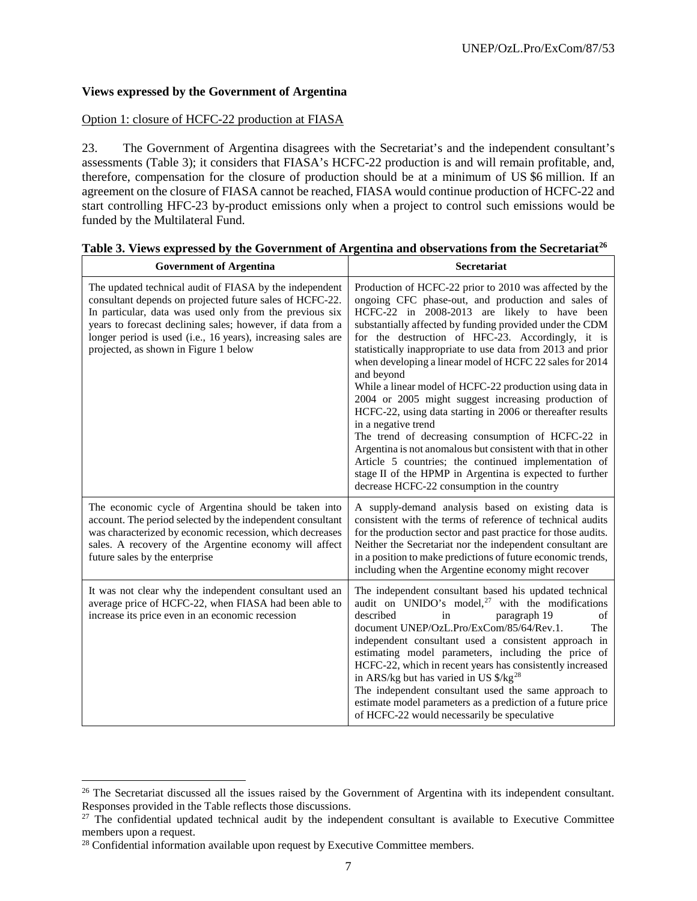#### **Views expressed by the Government of Argentina**

#### Option 1: closure of HCFC-22 production at FIASA

23. The Government of Argentina disagrees with the Secretariat's and the independent consultant's assessments (Table 3); it considers that FIASA's HCFC-22 production is and will remain profitable, and, therefore, compensation for the closure of production should be at a minimum of US \$6 million. If an agreement on the closure of FIASA cannot be reached, FIASA would continue production of HCFC-22 and start controlling HFC-23 by-product emissions only when a project to control such emissions would be funded by the Multilateral Fund.

| <b>Government of Argentina</b>                                                                                                                                                                                                                                                                                                                        | <b>Secretariat</b>                                                                                                                                                                                                                                                                                                                                                                                                                                                                                                                                                                                                                                                                                                                                                                                                                                                                                                      |
|-------------------------------------------------------------------------------------------------------------------------------------------------------------------------------------------------------------------------------------------------------------------------------------------------------------------------------------------------------|-------------------------------------------------------------------------------------------------------------------------------------------------------------------------------------------------------------------------------------------------------------------------------------------------------------------------------------------------------------------------------------------------------------------------------------------------------------------------------------------------------------------------------------------------------------------------------------------------------------------------------------------------------------------------------------------------------------------------------------------------------------------------------------------------------------------------------------------------------------------------------------------------------------------------|
| The updated technical audit of FIASA by the independent<br>consultant depends on projected future sales of HCFC-22.<br>In particular, data was used only from the previous six<br>years to forecast declining sales; however, if data from a<br>longer period is used (i.e., 16 years), increasing sales are<br>projected, as shown in Figure 1 below | Production of HCFC-22 prior to 2010 was affected by the<br>ongoing CFC phase-out, and production and sales of<br>HCFC-22 in 2008-2013 are likely to have been<br>substantially affected by funding provided under the CDM<br>for the destruction of HFC-23. Accordingly, it is<br>statistically inappropriate to use data from 2013 and prior<br>when developing a linear model of HCFC 22 sales for 2014<br>and beyond<br>While a linear model of HCFC-22 production using data in<br>2004 or 2005 might suggest increasing production of<br>HCFC-22, using data starting in 2006 or thereafter results<br>in a negative trend<br>The trend of decreasing consumption of HCFC-22 in<br>Argentina is not anomalous but consistent with that in other<br>Article 5 countries; the continued implementation of<br>stage II of the HPMP in Argentina is expected to further<br>decrease HCFC-22 consumption in the country |
| The economic cycle of Argentina should be taken into<br>account. The period selected by the independent consultant<br>was characterized by economic recession, which decreases<br>sales. A recovery of the Argentine economy will affect<br>future sales by the enterprise                                                                            | A supply-demand analysis based on existing data is<br>consistent with the terms of reference of technical audits<br>for the production sector and past practice for those audits.<br>Neither the Secretariat nor the independent consultant are<br>in a position to make predictions of future economic trends,<br>including when the Argentine economy might recover                                                                                                                                                                                                                                                                                                                                                                                                                                                                                                                                                   |
| It was not clear why the independent consultant used an<br>average price of HCFC-22, when FIASA had been able to<br>increase its price even in an economic recession                                                                                                                                                                                  | The independent consultant based his updated technical<br>audit on UNIDO's model, $27$ with the modifications<br>described<br>in<br>paragraph 19<br>of<br>document UNEP/OzL.Pro/ExCom/85/64/Rev.1.<br>The<br>independent consultant used a consistent approach in<br>estimating model parameters, including the price of<br>HCFC-22, which in recent years has consistently increased<br>in ARS/kg but has varied in US $\frac{\log 28}{\log 28}$<br>The independent consultant used the same approach to<br>estimate model parameters as a prediction of a future price<br>of HCFC-22 would necessarily be speculative                                                                                                                                                                                                                                                                                                 |

## **Table 3. Views expressed by the Government of Argentina and observations from the Secretariat[26](#page-17-0)**

<span id="page-17-0"></span><sup>&</sup>lt;sup>26</sup> The Secretariat discussed all the issues raised by the Government of Argentina with its independent consultant. Responses provided in the Table reflects those discussions.

<span id="page-17-1"></span> $27$  The confidential updated technical audit by the independent consultant is available to Executive Committee members upon a request.

<span id="page-17-2"></span><sup>&</sup>lt;sup>28</sup> Confidential information available upon request by Executive Committee members.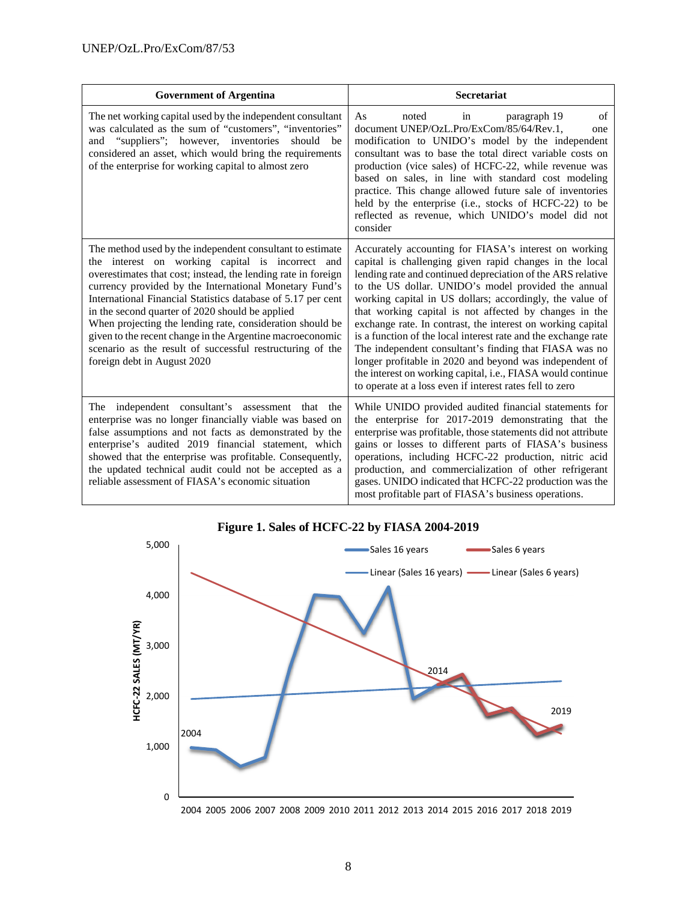| <b>Government of Argentina</b>                                                                                                                                                                                                                                                                                                                                                                                                                                                                                                                                                    | <b>Secretariat</b>                                                                                                                                                                                                                                                                                                                                                                                                                                                                                                                                                                                                                                                                                                                            |
|-----------------------------------------------------------------------------------------------------------------------------------------------------------------------------------------------------------------------------------------------------------------------------------------------------------------------------------------------------------------------------------------------------------------------------------------------------------------------------------------------------------------------------------------------------------------------------------|-----------------------------------------------------------------------------------------------------------------------------------------------------------------------------------------------------------------------------------------------------------------------------------------------------------------------------------------------------------------------------------------------------------------------------------------------------------------------------------------------------------------------------------------------------------------------------------------------------------------------------------------------------------------------------------------------------------------------------------------------|
| The net working capital used by the independent consultant<br>was calculated as the sum of "customers", "inventories"<br>and "suppliers"; however, inventories<br>should<br>be<br>considered an asset, which would bring the requirements<br>of the enterprise for working capital to almost zero                                                                                                                                                                                                                                                                                 | of<br>As<br>noted<br>paragraph 19<br>in<br>document UNEP/OzL.Pro/ExCom/85/64/Rev.1,<br>one<br>modification to UNIDO's model by the independent<br>consultant was to base the total direct variable costs on<br>production (vice sales) of HCFC-22, while revenue was<br>based on sales, in line with standard cost modeling<br>practice. This change allowed future sale of inventories<br>held by the enterprise (i.e., stocks of HCFC-22) to be<br>reflected as revenue, which UNIDO's model did not<br>consider                                                                                                                                                                                                                            |
| The method used by the independent consultant to estimate<br>the interest on working capital is incorrect and<br>overestimates that cost; instead, the lending rate in foreign<br>currency provided by the International Monetary Fund's<br>International Financial Statistics database of 5.17 per cent<br>in the second quarter of 2020 should be applied<br>When projecting the lending rate, consideration should be<br>given to the recent change in the Argentine macroeconomic<br>scenario as the result of successful restructuring of the<br>foreign debt in August 2020 | Accurately accounting for FIASA's interest on working<br>capital is challenging given rapid changes in the local<br>lending rate and continued depreciation of the ARS relative<br>to the US dollar. UNIDO's model provided the annual<br>working capital in US dollars; accordingly, the value of<br>that working capital is not affected by changes in the<br>exchange rate. In contrast, the interest on working capital<br>is a function of the local interest rate and the exchange rate<br>The independent consultant's finding that FIASA was no<br>longer profitable in 2020 and beyond was independent of<br>the interest on working capital, i.e., FIASA would continue<br>to operate at a loss even if interest rates fell to zero |
| The independent consultant's assessment that the<br>enterprise was no longer financially viable was based on<br>false assumptions and not facts as demonstrated by the<br>enterprise's audited 2019 financial statement, which<br>showed that the enterprise was profitable. Consequently,<br>the updated technical audit could not be accepted as a<br>reliable assessment of FIASA's economic situation                                                                                                                                                                         | While UNIDO provided audited financial statements for<br>the enterprise for 2017-2019 demonstrating that the<br>enterprise was profitable, those statements did not attribute<br>gains or losses to different parts of FIASA's business<br>operations, including HCFC-22 production, nitric acid<br>production, and commercialization of other refrigerant<br>gases. UNIDO indicated that HCFC-22 production was the<br>most profitable part of FIASA's business operations.                                                                                                                                                                                                                                                                  |

# **Figure 1. Sales of HCFC-22 by FIASA 2004-2019**



2004 2005 2006 2007 2008 2009 2010 2011 2012 2013 2014 2015 2016 2017 2018 2019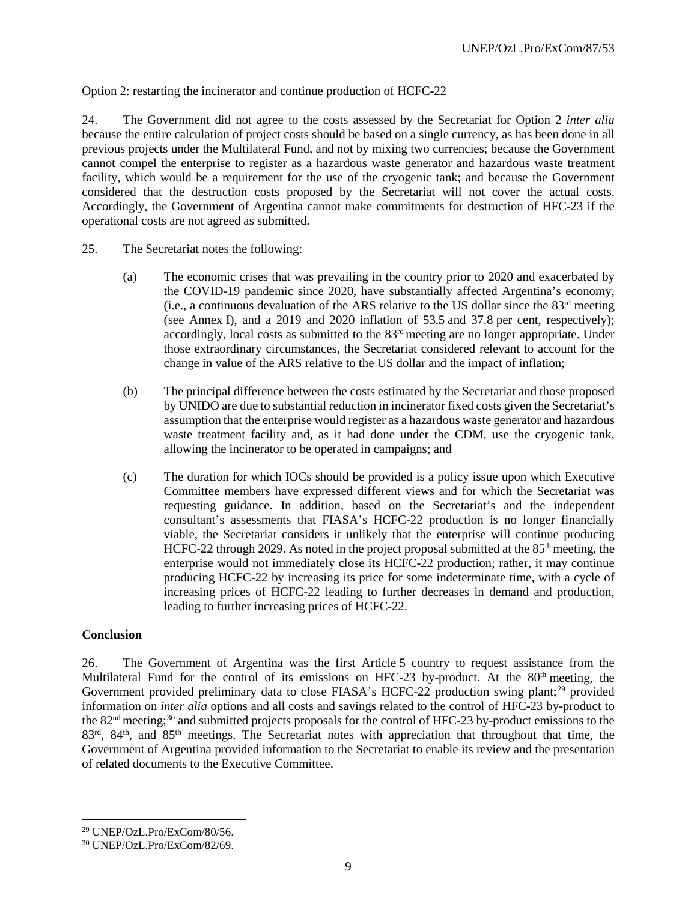#### Option 2: restarting the incinerator and continue production of HCFC-22

24. The Government did not agree to the costs assessed by the Secretariat for Option 2 *inter alia* because the entire calculation of project costs should be based on a single currency, as has been done in all previous projects under the Multilateral Fund, and not by mixing two currencies; because the Government cannot compel the enterprise to register as a hazardous waste generator and hazardous waste treatment facility, which would be a requirement for the use of the cryogenic tank; and because the Government considered that the destruction costs proposed by the Secretariat will not cover the actual costs. Accordingly, the Government of Argentina cannot make commitments for destruction of HFC-23 if the operational costs are not agreed as submitted.

- 25. The Secretariat notes the following:
	- (a) The economic crises that was prevailing in the country prior to 2020 and exacerbated by the COVID-19 pandemic since 2020, have substantially affected Argentina's economy, (i.e., a continuous devaluation of the ARS relative to the US dollar since the  $83<sup>rd</sup>$  meeting (see Annex I), and a 2019 and 2020 inflation of 53.5 and 37.8 per cent, respectively); accordingly, local costs as submitted to the 83rd meeting are no longer appropriate. Under those extraordinary circumstances, the Secretariat considered relevant to account for the change in value of the ARS relative to the US dollar and the impact of inflation;
	- (b) The principal difference between the costs estimated by the Secretariat and those proposed by UNIDO are due to substantial reduction in incinerator fixed costs given the Secretariat's assumption that the enterprise would register as a hazardous waste generator and hazardous waste treatment facility and, as it had done under the CDM, use the cryogenic tank, allowing the incinerator to be operated in campaigns; and
	- (c) The duration for which IOCs should be provided is a policy issue upon which Executive Committee members have expressed different views and for which the Secretariat was requesting guidance. In addition, based on the Secretariat's and the independent consultant's assessments that FIASA's HCFC-22 production is no longer financially viable, the Secretariat considers it unlikely that the enterprise will continue producing HCFC-22 through 2029. As noted in the project proposal submitted at the  $85<sup>th</sup>$  meeting, the enterprise would not immediately close its HCFC-22 production; rather, it may continue producing HCFC-22 by increasing its price for some indeterminate time, with a cycle of increasing prices of HCFC-22 leading to further decreases in demand and production, leading to further increasing prices of HCFC-22.

#### **Conclusion**

26. The Government of Argentina was the first Article 5 country to request assistance from the Multilateral Fund for the control of its emissions on HFC-23 by-product. At the 80<sup>th</sup> meeting, the Government provided preliminary data to close FIASA's HCFC-22 production swing plant;<sup>[29](#page-19-0)</sup> provided information on *inter alia* options and all costs and savings related to the control of HFC-23 by-product to the 82nd meeting;[30](#page-19-1) and submitted projects proposals for the control of HFC-23 by-product emissions to the 83<sup>rd</sup>, 84<sup>th</sup>, and 85<sup>th</sup> meetings. The Secretariat notes with appreciation that throughout that time, the Government of Argentina provided information to the Secretariat to enable its review and the presentation of related documents to the Executive Committee.

<span id="page-19-0"></span> $^{29}$  UNEP/OzL.Pro/ExCom/80/56.

<span id="page-19-1"></span><sup>30</sup> UNEP/OzL.Pro/ExCom/82/69.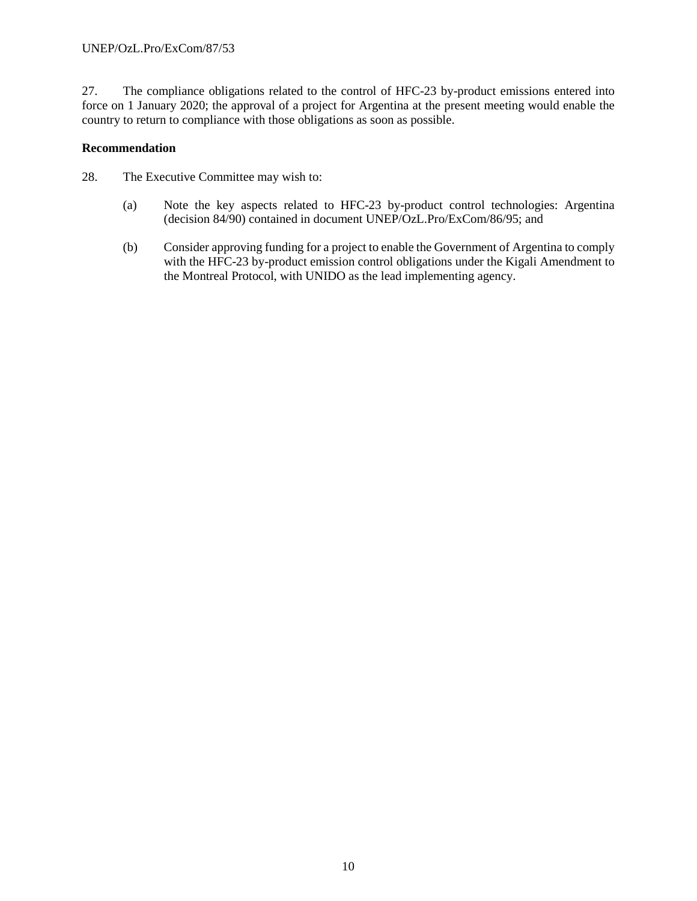27. The compliance obligations related to the control of HFC-23 by-product emissions entered into force on 1 January 2020; the approval of a project for Argentina at the present meeting would enable the country to return to compliance with those obligations as soon as possible.

#### **Recommendation**

28. The Executive Committee may wish to:

- (a) Note the key aspects related to HFC-23 by-product control technologies: Argentina (decision 84/90) contained in document UNEP/OzL.Pro/ExCom/86/95; and
- (b) Consider approving funding for a project to enable the Government of Argentina to comply with the HFC-23 by-product emission control obligations under the Kigali Amendment to the Montreal Protocol, with UNIDO as the lead implementing agency.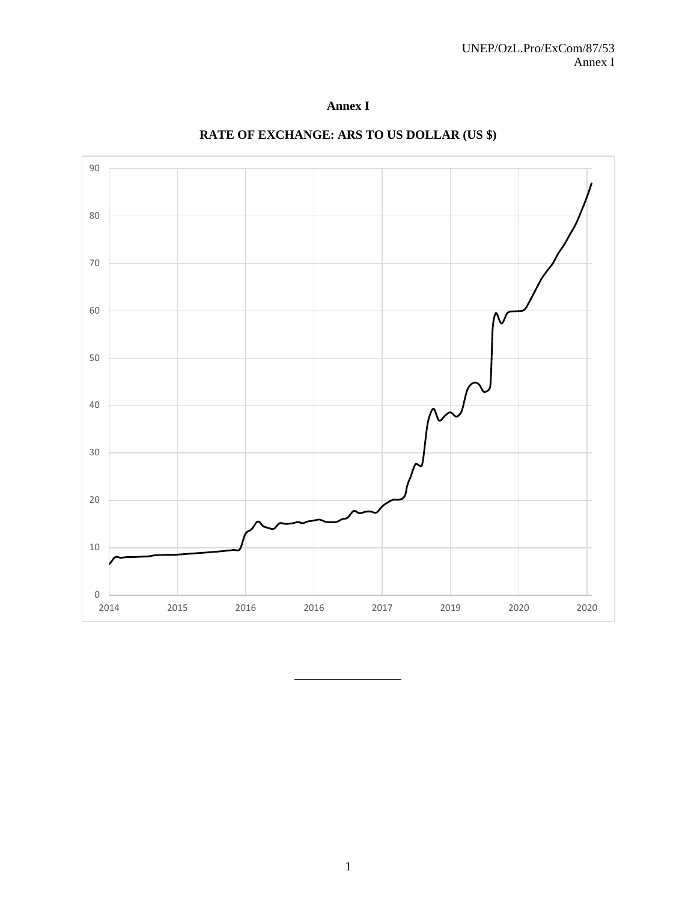



# **RATE OF EXCHANGE: ARS TO US DOLLAR (US \$)**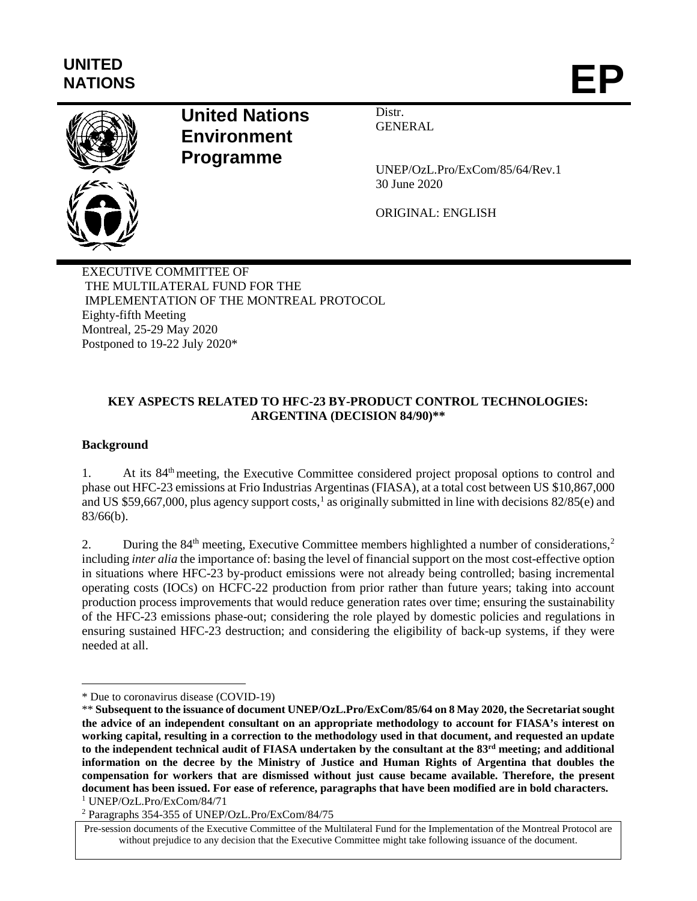# **UNITED** NATIONS **EP**



# **United Nations Environment Programme**

Distr. **GENERAL** 

UNEP/OzL.Pro/ExCom/85/64/Rev.1 30 June 2020

ORIGINAL: ENGLISH

EXECUTIVE COMMITTEE OF THE MULTILATERAL FUND FOR THE IMPLEMENTATION OF THE MONTREAL PROTOCOL Eighty-fifth Meeting Montreal, 25-29 May 2020 Postponed to 19-22 July 2020\*

## **KEY ASPECTS RELATED TO HFC-23 BY-PRODUCT CONTROL TECHNOLOGIES: ARGENTINA (DECISION 84/90)\*\***

# **Background**

1. At its 84<sup>th</sup> meeting, the Executive Committee considered project proposal options to control and phase out HFC-23 emissions at Frio Industrias Argentinas (FIASA), at a total cost between US \$10,867,000 and US \$59,667,000, plus agency support costs,<sup>[1](#page-23-0)</sup> as originally submitted in line with decisions  $82/85$ (e) and 83/66(b).

[2](#page-23-1). During the 84<sup>th</sup> meeting, Executive Committee members highlighted a number of considerations,<sup>2</sup> including *inter alia* the importance of: basing the level of financial support on the most cost-effective option in situations where HFC-23 by-product emissions were not already being controlled; basing incremental operating costs (IOCs) on HCFC-22 production from prior rather than future years; taking into account production process improvements that would reduce generation rates over time; ensuring the sustainability of the HFC-23 emissions phase-out; considering the role played by domestic policies and regulations in ensuring sustained HFC-23 destruction; and considering the eligibility of back-up systems, if they were needed at all.

 $\overline{a}$ \* Due to coronavirus disease (COVID-19)

<span id="page-23-0"></span><sup>\*\*</sup> **Subsequent to the issuance of document UNEP/OzL.Pro/ExCom/85/64 on 8 May 2020, the Secretariat sought the advice of an independent consultant on an appropriate methodology to account for FIASA's interest on working capital, resulting in a correction to the methodology used in that document, and requested an update to the independent technical audit of FIASA undertaken by the consultant at the 83rd meeting; and additional information on the decree by the Ministry of Justice and Human Rights of Argentina that doubles the compensation for workers that are dismissed without just cause became available. Therefore, the present document has been issued. For ease of reference, paragraphs that have been modified are in bold characters.**

<sup>1</sup> UNEP/OzL.Pro/ExCom/84/71

<span id="page-23-1"></span><sup>2</sup> Paragraphs 354-355 of UNEP/OzL.Pro/ExCom/84/75

Pre-session documents of the Executive Committee of the Multilateral Fund for the Implementation of the Montreal Protocol are without prejudice to any decision that the Executive Committee might take following issuance of the document.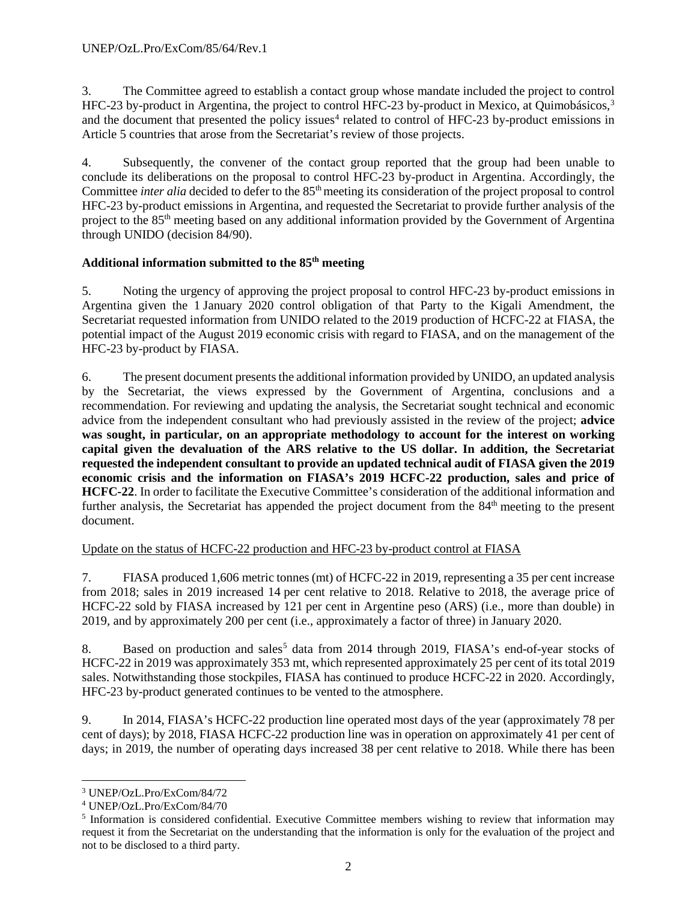3. The Committee agreed to establish a contact group whose mandate included the project to control HFC-2[3](#page-24-0) by-product in Argentina, the project to control HFC-23 by-product in Mexico, at Quimobásicos,<sup>3</sup> and the document that presented the policy issues<sup>[4](#page-24-1)</sup> related to control of HFC-23 by-product emissions in Article 5 countries that arose from the Secretariat's review of those projects.

4. Subsequently, the convener of the contact group reported that the group had been unable to conclude its deliberations on the proposal to control HFC-23 by-product in Argentina. Accordingly, the Committee *inter alia* decided to defer to the 85<sup>th</sup> meeting its consideration of the project proposal to control HFC-23 by-product emissions in Argentina, and requested the Secretariat to provide further analysis of the project to the 85th meeting based on any additional information provided by the Government of Argentina through UNIDO (decision 84/90).

# **Additional information submitted to the 85th meeting**

5. Noting the urgency of approving the project proposal to control HFC-23 by-product emissions in Argentina given the 1 January 2020 control obligation of that Party to the Kigali Amendment, the Secretariat requested information from UNIDO related to the 2019 production of HCFC-22 at FIASA, the potential impact of the August 2019 economic crisis with regard to FIASA, and on the management of the HFC-23 by-product by FIASA.

6. The present document presents the additional information provided by UNIDO, an updated analysis by the Secretariat, the views expressed by the Government of Argentina, conclusions and a recommendation. For reviewing and updating the analysis, the Secretariat sought technical and economic advice from the independent consultant who had previously assisted in the review of the project; **advice was sought, in particular, on an appropriate methodology to account for the interest on working capital given the devaluation of the ARS relative to the US dollar. In addition, the Secretariat requested the independent consultant to provide an updated technical audit of FIASA given the 2019 economic crisis and the information on FIASA's 2019 HCFC-22 production, sales and price of HCFC-22**. In order to facilitate the Executive Committee's consideration of the additional information and further analysis, the Secretariat has appended the project document from the 84<sup>th</sup> meeting to the present document.

# Update on the status of HCFC-22 production and HFC-23 by-product control at FIASA

7. FIASA produced 1,606 metric tonnes (mt) of HCFC-22 in 2019, representing a 35 per cent increase from 2018; sales in 2019 increased 14 per cent relative to 2018. Relative to 2018, the average price of HCFC-22 sold by FIASA increased by 121 per cent in Argentine peso (ARS) (i.e., more than double) in 2019, and by approximately 200 per cent (i.e., approximately a factor of three) in January 2020.

8. Based on production and sales<sup>[5](#page-24-2)</sup> data from 2014 through 2019, FIASA's end-of-year stocks of HCFC-22 in 2019 was approximately 353 mt, which represented approximately 25 per cent of its total 2019 sales. Notwithstanding those stockpiles, FIASA has continued to produce HCFC-22 in 2020. Accordingly, HFC-23 by-product generated continues to be vented to the atmosphere.

9. In 2014, FIASA's HCFC-22 production line operated most days of the year (approximately 78 per cent of days); by 2018, FIASA HCFC-22 production line was in operation on approximately 41 per cent of days; in 2019, the number of operating days increased 38 per cent relative to 2018. While there has been

<span id="page-24-0"></span> <sup>3</sup> UNEP/OzL.Pro/ExCom/84/72

<span id="page-24-1"></span><sup>4</sup> UNEP/OzL.Pro/ExCom/84/70

<span id="page-24-2"></span><sup>5</sup> Information is considered confidential. Executive Committee members wishing to review that information may request it from the Secretariat on the understanding that the information is only for the evaluation of the project and not to be disclosed to a third party.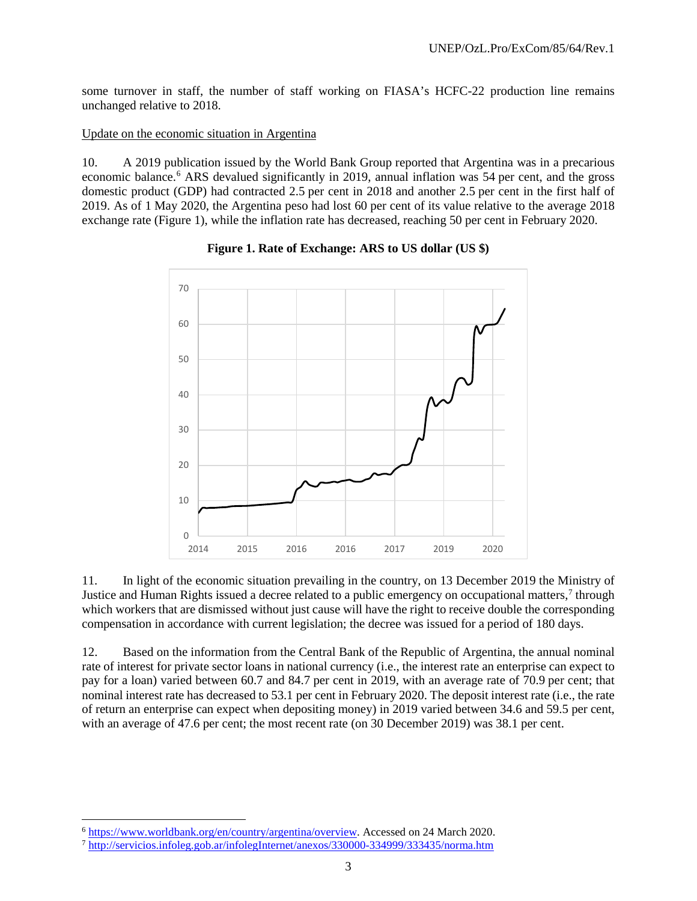some turnover in staff, the number of staff working on FIASA's HCFC-22 production line remains unchanged relative to 2018.

#### Update on the economic situation in Argentina

10. A 2019 publication issued by the World Bank Group reported that Argentina was in a precarious economic balance.<sup>[6](#page-25-0)</sup> ARS devalued significantly in 2019, annual inflation was 54 per cent, and the gross domestic product (GDP) had contracted 2.5 per cent in 2018 and another 2.5 per cent in the first half of 2019. As of 1 May 2020, the Argentina peso had lost 60 per cent of its value relative to the average 2018 exchange rate (Figure 1), while the inflation rate has decreased, reaching 50 per cent in February 2020.



**Figure 1. Rate of Exchange: ARS to US dollar (US \$)**

11. In light of the economic situation prevailing in the country, on 13 December 2019 the Ministry of Justice and Human Rights issued a decree related to a public emergency on occupational matters,<sup>[7](#page-25-1)</sup> through which workers that are dismissed without just cause will have the right to receive double the corresponding compensation in accordance with current legislation; the decree was issued for a period of 180 days.

12. Based on the information from the Central Bank of the Republic of Argentina, the annual nominal rate of interest for private sector loans in national currency (i.e., the interest rate an enterprise can expect to pay for a loan) varied between 60.7 and 84.7 per cent in 2019, with an average rate of 70.9 per cent; that nominal interest rate has decreased to 53.1 per cent in February 2020. The deposit interest rate (i.e., the rate of return an enterprise can expect when depositing money) in 2019 varied between 34.6 and 59.5 per cent, with an average of 47.6 per cent; the most recent rate (on 30 December 2019) was 38.1 per cent.

<span id="page-25-0"></span> <sup>6</sup> [https://www.worldbank.org/en/country/argentina/overview.](https://www.worldbank.org/en/country/argentina/overview) Accessed on 24 March 2020.

<span id="page-25-1"></span><sup>7</sup> <http://servicios.infoleg.gob.ar/infolegInternet/anexos/330000-334999/333435/norma.htm>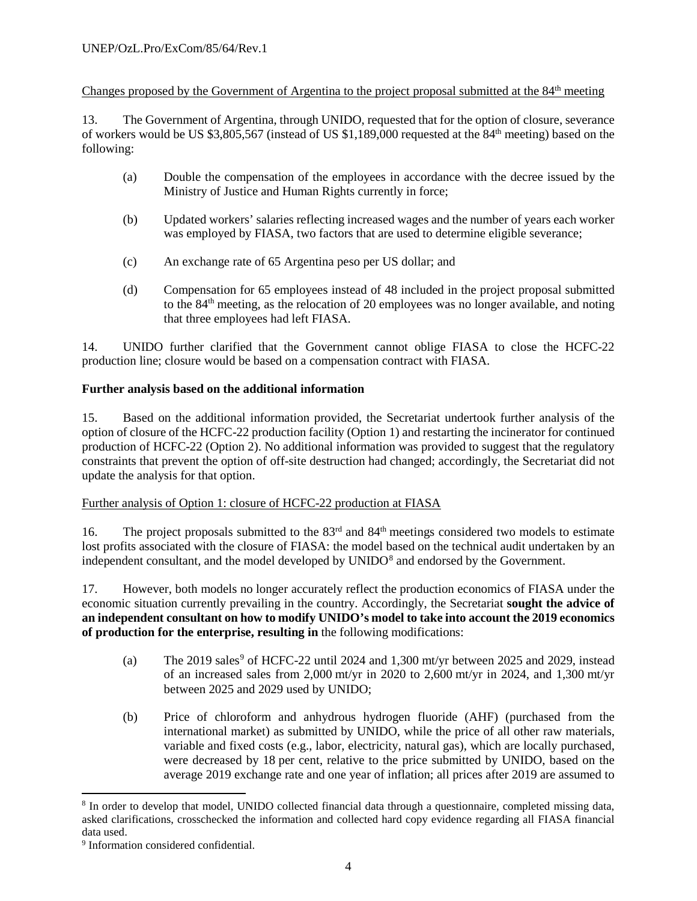# Changes proposed by the Government of Argentina to the project proposal submitted at the 84<sup>th</sup> meeting

13. The Government of Argentina, through UNIDO, requested that for the option of closure, severance of workers would be US \$3,805,567 (instead of US \$1,189,000 requested at the 84th meeting) based on the following:

- (a) Double the compensation of the employees in accordance with the decree issued by the Ministry of Justice and Human Rights currently in force;
- (b) Updated workers' salaries reflecting increased wages and the number of years each worker was employed by FIASA, two factors that are used to determine eligible severance;
- (c) An exchange rate of 65 Argentina peso per US dollar; and
- (d) Compensation for 65 employees instead of 48 included in the project proposal submitted to the 84th meeting, as the relocation of 20 employees was no longer available, and noting that three employees had left FIASA.

14. UNIDO further clarified that the Government cannot oblige FIASA to close the HCFC-22 production line; closure would be based on a compensation contract with FIASA.

# **Further analysis based on the additional information**

15. Based on the additional information provided, the Secretariat undertook further analysis of the option of closure of the HCFC-22 production facility (Option 1) and restarting the incinerator for continued production of HCFC-22 (Option 2). No additional information was provided to suggest that the regulatory constraints that prevent the option of off-site destruction had changed; accordingly, the Secretariat did not update the analysis for that option.

# Further analysis of Option 1: closure of HCFC-22 production at FIASA

16. The project proposals submitted to the 83<sup>rd</sup> and 84<sup>th</sup> meetings considered two models to estimate lost profits associated with the closure of FIASA: the model based on the technical audit undertaken by an independent consultant, and the model developed by UNIDO<sup>[8](#page-26-0)</sup> and endorsed by the Government.

17. However, both models no longer accurately reflect the production economics of FIASA under the economic situation currently prevailing in the country. Accordingly, the Secretariat **sought the advice of an independent consultant on how to modify UNIDO's model to take into account the 2019 economics of production for the enterprise, resulting in** the following modifications:

- (a) The 201[9](#page-26-1) sales<sup>9</sup> of HCFC-22 until 2024 and 1,300 mt/yr between 2025 and 2029, instead of an increased sales from 2,000 mt/yr in 2020 to 2,600 mt/yr in 2024, and 1,300 mt/yr between 2025 and 2029 used by UNIDO;
- (b) Price of chloroform and anhydrous hydrogen fluoride (AHF) (purchased from the international market) as submitted by UNIDO, while the price of all other raw materials, variable and fixed costs (e.g., labor, electricity, natural gas), which are locally purchased, were decreased by 18 per cent, relative to the price submitted by UNIDO, based on the average 2019 exchange rate and one year of inflation; all prices after 2019 are assumed to

<span id="page-26-0"></span> <sup>8</sup> In order to develop that model, UNIDO collected financial data through a questionnaire, completed missing data, asked clarifications, crosschecked the information and collected hard copy evidence regarding all FIASA financial data used.

<span id="page-26-1"></span><sup>&</sup>lt;sup>9</sup> Information considered confidential.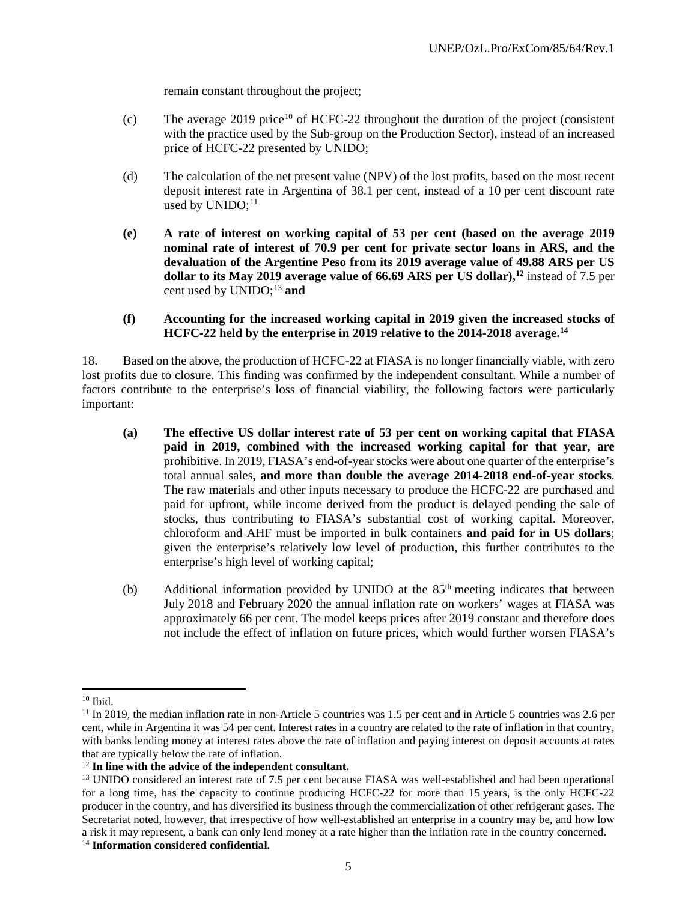remain constant throughout the project;

- (c) The average 2019 price<sup>[10](#page-27-0)</sup> of HCFC-22 throughout the duration of the project (consistent with the practice used by the Sub-group on the Production Sector), instead of an increased price of HCFC-22 presented by UNIDO;
- (d) The calculation of the net present value (NPV) of the lost profits, based on the most recent deposit interest rate in Argentina of 38.1 per cent, instead of a 10 per cent discount rate used by UNIDO; $^{11}$  $^{11}$  $^{11}$
- **(e) A rate of interest on working capital of 53 per cent (based on the average 2019 nominal rate of interest of 70.9 per cent for private sector loans in ARS, and the devaluation of the Argentine Peso from its 2019 average value of 49.88 ARS per US dollar to its May 2019 average value of 66.69 ARS per US dollar)[,12](#page-27-2)** instead of 7.5 per cent used by UNIDO; [13](#page-27-3) **and**
- **(f) Accounting for the increased working capital in 2019 given the increased stocks of HCFC-22 held by the enterprise in 2019 relative to the 2014-2018 average. [14](#page-27-4)**

18. Based on the above, the production of HCFC-22 at FIASA is no longer financially viable, with zero lost profits due to closure. This finding was confirmed by the independent consultant. While a number of factors contribute to the enterprise's loss of financial viability, the following factors were particularly important:

- **(a) The effective US dollar interest rate of 53 per cent on working capital that FIASA paid in 2019, combined with the increased working capital for that year, are** prohibitive. In 2019, FIASA's end-of-year stocks were about one quarter of the enterprise's total annual sales**, and more than double the average 2014-2018 end-of-year stocks**. The raw materials and other inputs necessary to produce the HCFC-22 are purchased and paid for upfront, while income derived from the product is delayed pending the sale of stocks, thus contributing to FIASA's substantial cost of working capital. Moreover, chloroform and AHF must be imported in bulk containers **and paid for in US dollars**; given the enterprise's relatively low level of production, this further contributes to the enterprise's high level of working capital;
- (b) Additional information provided by UNIDO at the  $85<sup>th</sup>$  meeting indicates that between July 2018 and February 2020 the annual inflation rate on workers' wages at FIASA was approximately 66 per cent. The model keeps prices after 2019 constant and therefore does not include the effect of inflation on future prices, which would further worsen FIASA's

<span id="page-27-0"></span> $10$  Ibid.

<span id="page-27-1"></span><sup>&</sup>lt;sup>11</sup> In 2019, the median inflation rate in non-Article 5 countries was 1.5 per cent and in Article 5 countries was 2.6 per cent, while in Argentina it was 54 per cent. Interest rates in a country are related to the rate of inflation in that country, with banks lending money at interest rates above the rate of inflation and paying interest on deposit accounts at rates that are typically below the rate of inflation.

<span id="page-27-2"></span><sup>12</sup> **In line with the advice of the independent consultant.**

<span id="page-27-3"></span><sup>&</sup>lt;sup>13</sup> UNIDO considered an interest rate of 7.5 per cent because FIASA was well-established and had been operational for a long time, has the capacity to continue producing HCFC-22 for more than 15 years, is the only HCFC-22 producer in the country, and has diversified its business through the commercialization of other refrigerant gases. The Secretariat noted, however, that irrespective of how well-established an enterprise in a country may be, and how low a risk it may represent, a bank can only lend money at a rate higher than the inflation rate in the country concerned.

<span id="page-27-4"></span><sup>14</sup> **Information considered confidential.**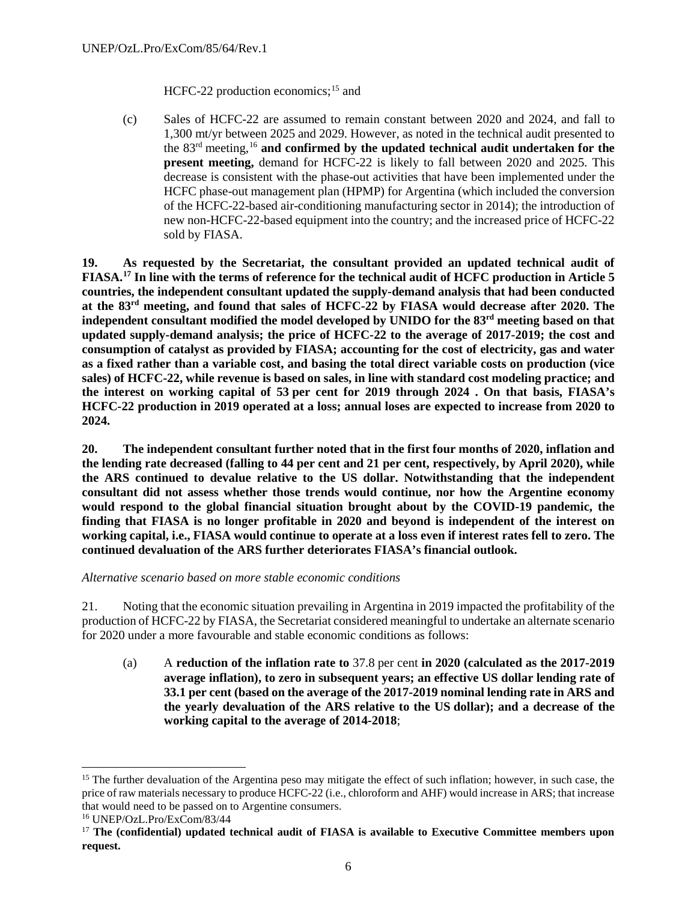HCFC-22 production economics;<sup>[15](#page-28-0)</sup> and

(c) Sales of HCFC-22 are assumed to remain constant between 2020 and 2024, and fall to 1,300 mt/yr between 2025 and 2029. However, as noted in the technical audit presented to the 83rd meeting,[16](#page-28-1) **and confirmed by the updated technical audit undertaken for the present meeting,** demand for HCFC-22 is likely to fall between 2020 and 2025. This decrease is consistent with the phase-out activities that have been implemented under the HCFC phase-out management plan (HPMP) for Argentina (which included the conversion of the HCFC-22-based air-conditioning manufacturing sector in 2014); the introduction of new non-HCFC-22-based equipment into the country; and the increased price of HCFC-22 sold by FIASA.

**19. As requested by the Secretariat, the consultant provided an updated technical audit of FIASA.[17](#page-28-2) In line with the terms of reference for the technical audit of HCFC production in Article 5 countries, the independent consultant updated the supply-demand analysis that had been conducted at the 83rd meeting, and found that sales of HCFC-22 by FIASA would decrease after 2020. The independent consultant modified the model developed by UNIDO for the 83rd meeting based on that updated supply-demand analysis; the price of HCFC-22 to the average of 2017-2019; the cost and consumption of catalyst as provided by FIASA; accounting for the cost of electricity, gas and water as a fixed rather than a variable cost, and basing the total direct variable costs on production (vice sales) of HCFC-22, while revenue is based on sales, in line with standard cost modeling practice; and the interest on working capital of 53 per cent for 2019 through 2024 . On that basis, FIASA's HCFC-22 production in 2019 operated at a loss; annual loses are expected to increase from 2020 to 2024.** 

**20. The independent consultant further noted that in the first four months of 2020, inflation and the lending rate decreased (falling to 44 per cent and 21 per cent, respectively, by April 2020), while the ARS continued to devalue relative to the US dollar. Notwithstanding that the independent consultant did not assess whether those trends would continue, nor how the Argentine economy would respond to the global financial situation brought about by the COVID-19 pandemic, the finding that FIASA is no longer profitable in 2020 and beyond is independent of the interest on working capital, i.e., FIASA would continue to operate at a loss even if interest rates fell to zero. The continued devaluation of the ARS further deteriorates FIASA's financial outlook.**

*Alternative scenario based on more stable economic conditions*

21. Noting that the economic situation prevailing in Argentina in 2019 impacted the profitability of the production of HCFC-22 by FIASA, the Secretariat considered meaningful to undertake an alternate scenario for 2020 under a more favourable and stable economic conditions as follows:

(a) A **reduction of the inflation rate to** 37.8 per cent **in 2020 (calculated as the 2017-2019 average inflation), to zero in subsequent years; an effective US dollar lending rate of 33.1 per cent (based on the average of the 2017-2019 nominal lending rate in ARS and the yearly devaluation of the ARS relative to the US dollar); and a decrease of the working capital to the average of 2014-2018**;

<span id="page-28-0"></span><sup>&</sup>lt;sup>15</sup> The further devaluation of the Argentina peso may mitigate the effect of such inflation; however, in such case, the price of raw materials necessary to produce HCFC-22 (i.e., chloroform and AHF) would increase in ARS; that increase that would need to be passed on to Argentine consumers.

<span id="page-28-1"></span><sup>16</sup> UNEP/OzL.Pro/ExCom/83/44

<span id="page-28-2"></span><sup>17</sup> **The (confidential) updated technical audit of FIASA is available to Executive Committee members upon request.**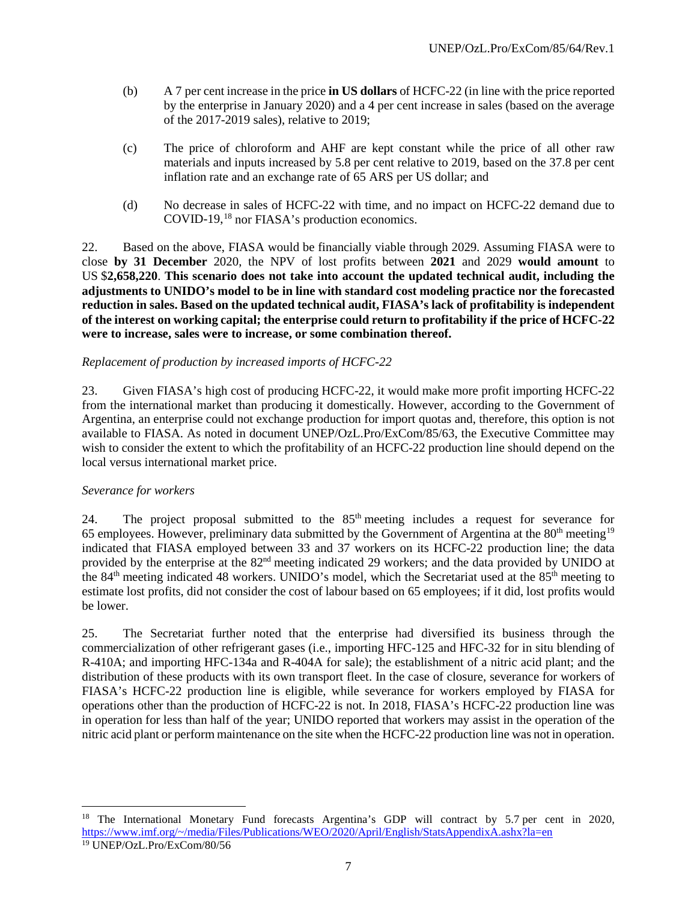- (b) A 7 per cent increase in the price **in US dollars** of HCFC-22 (in line with the price reported by the enterprise in January 2020) and a 4 per cent increase in sales (based on the average of the 2017-2019 sales), relative to 2019;
- (c) The price of chloroform and AHF are kept constant while the price of all other raw materials and inputs increased by 5.8 per cent relative to 2019, based on the 37.8 per cent inflation rate and an exchange rate of 65 ARS per US dollar; and
- (d) No decrease in sales of HCFC-22 with time, and no impact on HCFC-22 demand due to COVID-19,[18](#page-29-0) nor FIASA's production economics.

22. Based on the above, FIASA would be financially viable through 2029. Assuming FIASA were to close **by 31 December** 2020, the NPV of lost profits between **2021** and 2029 **would amount** to US \$**2,658,220**. **This scenario does not take into account the updated technical audit, including the adjustments to UNIDO's model to be in line with standard cost modeling practice nor the forecasted reduction in sales. Based on the updated technical audit, FIASA's lack of profitability is independent of the interest on working capital; the enterprise could return to profitability if the price of HCFC-22 were to increase, sales were to increase, or some combination thereof.** 

#### *Replacement of production by increased imports of HCFC-22*

23. Given FIASA's high cost of producing HCFC-22, it would make more profit importing HCFC-22 from the international market than producing it domestically. However, according to the Government of Argentina, an enterprise could not exchange production for import quotas and, therefore, this option is not available to FIASA. As noted in document UNEP/OzL.Pro/ExCom/85/63, the Executive Committee may wish to consider the extent to which the profitability of an HCFC-22 production line should depend on the local versus international market price.

#### *Severance for workers*

24. The project proposal submitted to the 85<sup>th</sup> meeting includes a request for severance for 65 employees. However, preliminary data submitted by the Government of Argentina at the 80<sup>th</sup> meeting<sup>[19](#page-29-1)</sup> indicated that FIASA employed between 33 and 37 workers on its HCFC-22 production line; the data provided by the enterprise at the 82<sup>nd</sup> meeting indicated 29 workers; and the data provided by UNIDO at the 84th meeting indicated 48 workers. UNIDO's model, which the Secretariat used at the 85th meeting to estimate lost profits, did not consider the cost of labour based on 65 employees; if it did, lost profits would be lower.

25. The Secretariat further noted that the enterprise had diversified its business through the commercialization of other refrigerant gases (i.e., importing HFC-125 and HFC-32 for in situ blending of R-410A; and importing HFC-134a and R-404A for sale); the establishment of a nitric acid plant; and the distribution of these products with its own transport fleet. In the case of closure, severance for workers of FIASA's HCFC-22 production line is eligible, while severance for workers employed by FIASA for operations other than the production of HCFC-22 is not. In 2018, FIASA's HCFC-22 production line was in operation for less than half of the year; UNIDO reported that workers may assist in the operation of the nitric acid plant or perform maintenance on the site when the HCFC-22 production line was not in operation.

<span id="page-29-1"></span><span id="page-29-0"></span><sup>&</sup>lt;sup>18</sup> The International Monetary Fund forecasts Argentina's GDP will contract by 5.7 per cent in 2020, [https://www.imf.org/~/media/Files/Publications/WEO/2020/April/English/StatsAppendixA.ashx?la=en](https://www.imf.org/%7E/media/Files/Publications/WEO/2020/April/English/StatsAppendixA.ashx?la=en) <sup>19</sup> UNEP/OzL.Pro/ExCom/80/56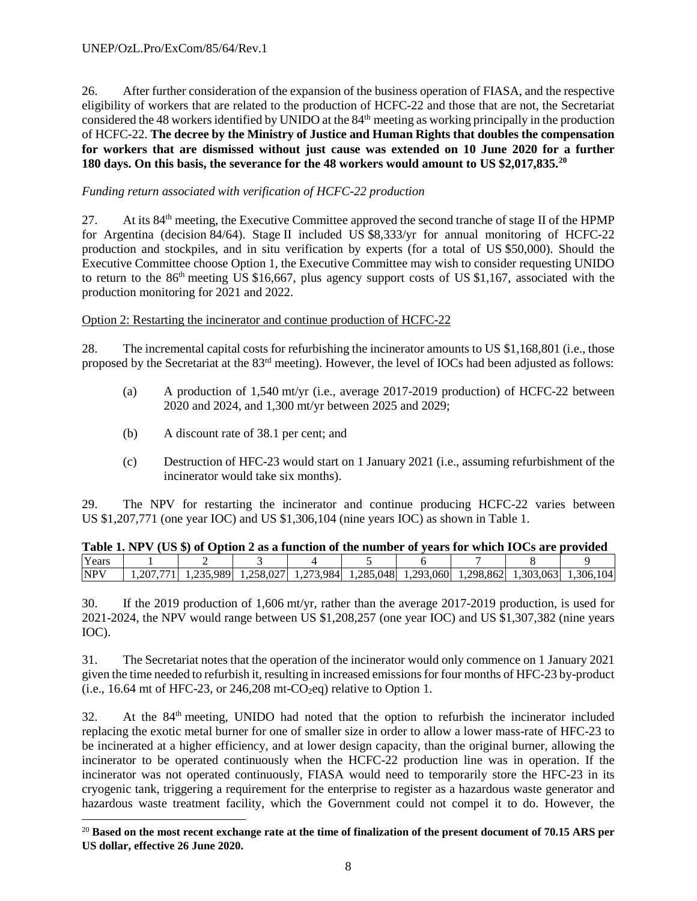26. After further consideration of the expansion of the business operation of FIASA, and the respective eligibility of workers that are related to the production of HCFC-22 and those that are not, the Secretariat considered the 48 workers identified by UNIDO at the 84<sup>th</sup> meeting as working principally in the production of HCFC-22. **The decree by the Ministry of Justice and Human Rights that doubles the compensation for workers that are dismissed without just cause was extended on 10 June 2020 for a further 180 days. On this basis, the severance for the 48 workers would amount to US \$2,017,835.[20](#page-30-0)**

# *Funding return associated with verification of HCFC-22 production*

27. At its 84<sup>th</sup> meeting, the Executive Committee approved the second tranche of stage II of the HPMP for Argentina (decision 84/64). Stage II included US \$8,333/yr for annual monitoring of HCFC-22 production and stockpiles, and in situ verification by experts (for a total of US \$50,000). Should the Executive Committee choose Option 1, the Executive Committee may wish to consider requesting UNIDO to return to the 86th meeting US \$16,667, plus agency support costs of US \$1,167, associated with the production monitoring for 2021 and 2022.

# Option 2: Restarting the incinerator and continue production of HCFC-22

28. The incremental capital costs for refurbishing the incinerator amounts to US \$1,168,801 (i.e., those proposed by the Secretariat at the 83rd meeting). However, the level of IOCs had been adjusted as follows:

- (a) A production of 1,540 mt/yr (i.e., average 2017-2019 production) of HCFC-22 between 2020 and 2024, and 1,300 mt/yr between 2025 and 2029;
- (b) A discount rate of 38.1 per cent; and
- (c) Destruction of HFC-23 would start on 1 January 2021 (i.e., assuming refurbishment of the incinerator would take six months).

29. The NPV for restarting the incinerator and continue producing HCFC-22 varies between US \$1,207,771 (one year IOC) and US \$1,306,104 (nine years IOC) as shown in Table 1.

|            | Table 1. NPV (US \$) of Option 2 as a function of the number of years for which IOCs are provided |                                                                                           |  |  |  |  |
|------------|---------------------------------------------------------------------------------------------------|-------------------------------------------------------------------------------------------|--|--|--|--|
| Years      |                                                                                                   |                                                                                           |  |  |  |  |
| <b>NPV</b> |                                                                                                   | 1,207,771 1,235,989 1,258,027 1,273,984 1,285,048 1,293,060 1,298,862 1,303,063 1,306,104 |  |  |  |  |

30. If the 2019 production of 1,606 mt/yr, rather than the average 2017-2019 production, is used for 2021-2024, the NPV would range between US \$1,208,257 (one year IOC) and US \$1,307,382 (nine years IOC).

31. The Secretariat notes that the operation of the incinerator would only commence on 1 January 2021 given the time needed to refurbish it, resulting in increased emissions for four months of HFC-23 by-product (i.e., 16.64 mt of HFC-23, or 246,208 mt- $CO<sub>2</sub>eq$ ) relative to Option 1.

32. At the 84th meeting, UNIDO had noted that the option to refurbish the incinerator included replacing the exotic metal burner for one of smaller size in order to allow a lower mass-rate of HFC-23 to be incinerated at a higher efficiency, and at lower design capacity, than the original burner, allowing the incinerator to be operated continuously when the HCFC-22 production line was in operation. If the incinerator was not operated continuously, FIASA would need to temporarily store the HFC-23 in its cryogenic tank, triggering a requirement for the enterprise to register as a hazardous waste generator and hazardous waste treatment facility, which the Government could not compel it to do. However, the

<span id="page-30-0"></span> <sup>20</sup> **Based on the most recent exchange rate at the time of finalization of the present document of 70.15 ARS per US dollar, effective 26 June 2020.**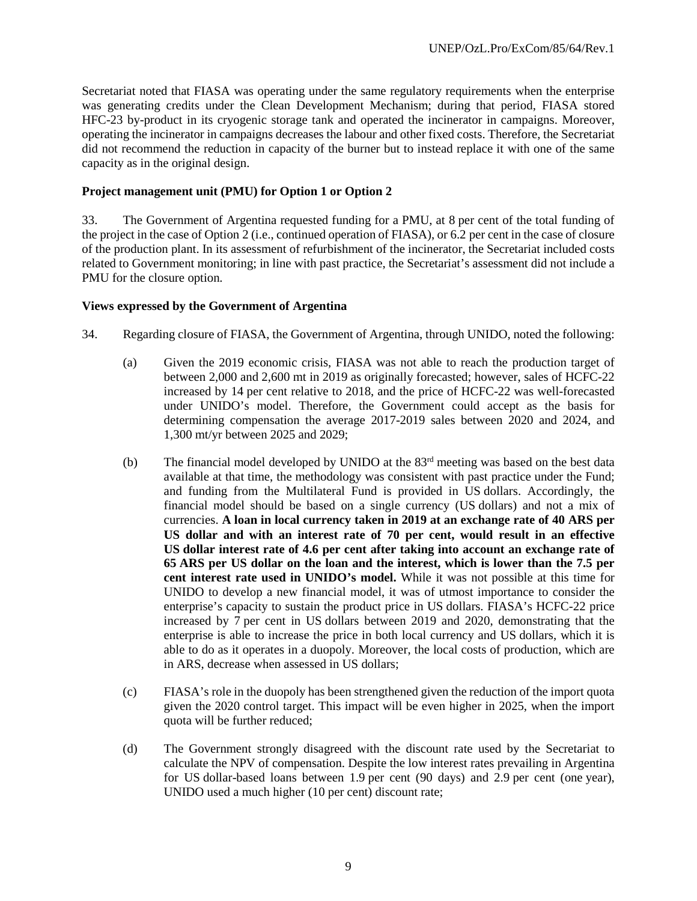Secretariat noted that FIASA was operating under the same regulatory requirements when the enterprise was generating credits under the Clean Development Mechanism; during that period, FIASA stored HFC-23 by-product in its cryogenic storage tank and operated the incinerator in campaigns. Moreover, operating the incinerator in campaigns decreases the labour and other fixed costs. Therefore, the Secretariat did not recommend the reduction in capacity of the burner but to instead replace it with one of the same capacity as in the original design.

#### **Project management unit (PMU) for Option 1 or Option 2**

33. The Government of Argentina requested funding for a PMU, at 8 per cent of the total funding of the project in the case of Option 2 (i.e., continued operation of FIASA), or 6.2 per cent in the case of closure of the production plant. In its assessment of refurbishment of the incinerator, the Secretariat included costs related to Government monitoring; in line with past practice, the Secretariat's assessment did not include a PMU for the closure option.

#### **Views expressed by the Government of Argentina**

- 34. Regarding closure of FIASA, the Government of Argentina, through UNIDO, noted the following:
	- (a) Given the 2019 economic crisis, FIASA was not able to reach the production target of between 2,000 and 2,600 mt in 2019 as originally forecasted; however, sales of HCFC-22 increased by 14 per cent relative to 2018, and the price of HCFC-22 was well-forecasted under UNIDO's model. Therefore, the Government could accept as the basis for determining compensation the average 2017-2019 sales between 2020 and 2024, and 1,300 mt/yr between 2025 and 2029;
	- (b) The financial model developed by UNIDO at the 83rd meeting was based on the best data available at that time, the methodology was consistent with past practice under the Fund; and funding from the Multilateral Fund is provided in US dollars. Accordingly, the financial model should be based on a single currency (US dollars) and not a mix of currencies. **A loan in local currency taken in 2019 at an exchange rate of 40 ARS per US dollar and with an interest rate of 70 per cent, would result in an effective US dollar interest rate of 4.6 per cent after taking into account an exchange rate of 65 ARS per US dollar on the loan and the interest, which is lower than the 7.5 per cent interest rate used in UNIDO's model.** While it was not possible at this time for UNIDO to develop a new financial model, it was of utmost importance to consider the enterprise's capacity to sustain the product price in US dollars. FIASA's HCFC-22 price increased by 7 per cent in US dollars between 2019 and 2020, demonstrating that the enterprise is able to increase the price in both local currency and US dollars, which it is able to do as it operates in a duopoly. Moreover, the local costs of production, which are in ARS, decrease when assessed in US dollars;
	- (c) FIASA's role in the duopoly has been strengthened given the reduction of the import quota given the 2020 control target. This impact will be even higher in 2025, when the import quota will be further reduced;
	- (d) The Government strongly disagreed with the discount rate used by the Secretariat to calculate the NPV of compensation. Despite the low interest rates prevailing in Argentina for US dollar-based loans between 1.9 per cent (90 days) and 2.9 per cent (one year), UNIDO used a much higher (10 per cent) discount rate;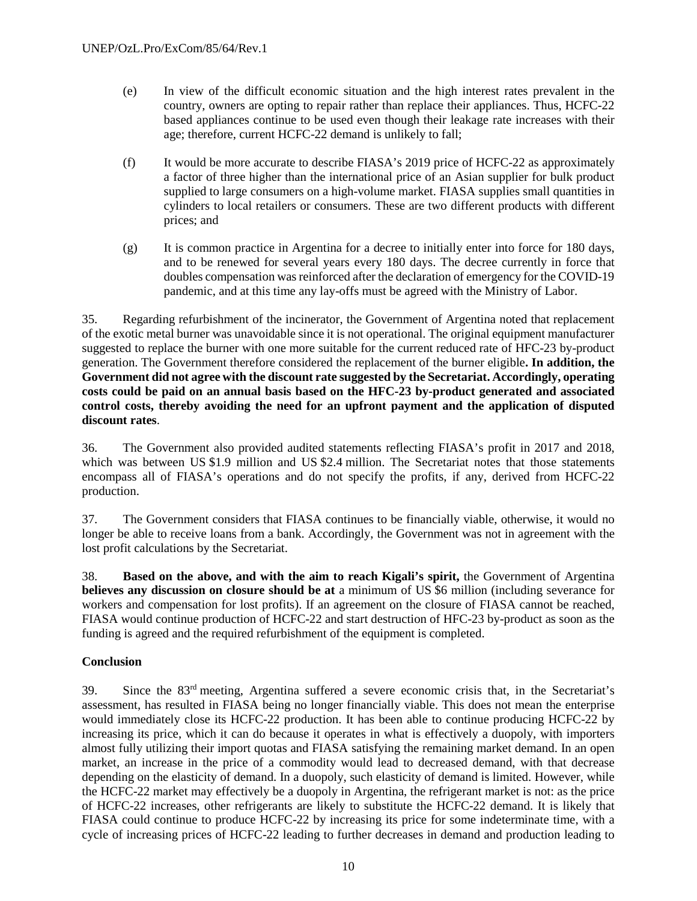- (e) In view of the difficult economic situation and the high interest rates prevalent in the country, owners are opting to repair rather than replace their appliances. Thus, HCFC-22 based appliances continue to be used even though their leakage rate increases with their age; therefore, current HCFC-22 demand is unlikely to fall;
- (f) It would be more accurate to describe FIASA's 2019 price of HCFC-22 as approximately a factor of three higher than the international price of an Asian supplier for bulk product supplied to large consumers on a high-volume market. FIASA supplies small quantities in cylinders to local retailers or consumers. These are two different products with different prices; and
- (g) It is common practice in Argentina for a decree to initially enter into force for 180 days, and to be renewed for several years every 180 days. The decree currently in force that doubles compensation was reinforced after the declaration of emergency for the COVID-19 pandemic, and at this time any lay-offs must be agreed with the Ministry of Labor.

35. Regarding refurbishment of the incinerator, the Government of Argentina noted that replacement of the exotic metal burner was unavoidable since it is not operational. The original equipment manufacturer suggested to replace the burner with one more suitable for the current reduced rate of HFC-23 by-product generation. The Government therefore considered the replacement of the burner eligible**. In addition, the Government did not agree with the discount rate suggested by the Secretariat. Accordingly, operating costs could be paid on an annual basis based on the HFC-23 by-product generated and associated control costs, thereby avoiding the need for an upfront payment and the application of disputed discount rates**.

36. The Government also provided audited statements reflecting FIASA's profit in 2017 and 2018, which was between US \$1.9 million and US \$2.4 million. The Secretariat notes that those statements encompass all of FIASA's operations and do not specify the profits, if any, derived from HCFC-22 production.

37. The Government considers that FIASA continues to be financially viable, otherwise, it would no longer be able to receive loans from a bank. Accordingly, the Government was not in agreement with the lost profit calculations by the Secretariat.

38. **Based on the above, and with the aim to reach Kigali's spirit,** the Government of Argentina **believes any discussion on closure should be at** a minimum of US \$6 million (including severance for workers and compensation for lost profits). If an agreement on the closure of FIASA cannot be reached, FIASA would continue production of HCFC-22 and start destruction of HFC-23 by-product as soon as the funding is agreed and the required refurbishment of the equipment is completed.

# **Conclusion**

39. Since the 83rd meeting, Argentina suffered a severe economic crisis that, in the Secretariat's assessment, has resulted in FIASA being no longer financially viable. This does not mean the enterprise would immediately close its HCFC-22 production. It has been able to continue producing HCFC-22 by increasing its price, which it can do because it operates in what is effectively a duopoly, with importers almost fully utilizing their import quotas and FIASA satisfying the remaining market demand. In an open market, an increase in the price of a commodity would lead to decreased demand, with that decrease depending on the elasticity of demand. In a duopoly, such elasticity of demand is limited. However, while the HCFC-22 market may effectively be a duopoly in Argentina, the refrigerant market is not: as the price of HCFC-22 increases, other refrigerants are likely to substitute the HCFC-22 demand. It is likely that FIASA could continue to produce HCFC-22 by increasing its price for some indeterminate time, with a cycle of increasing prices of HCFC-22 leading to further decreases in demand and production leading to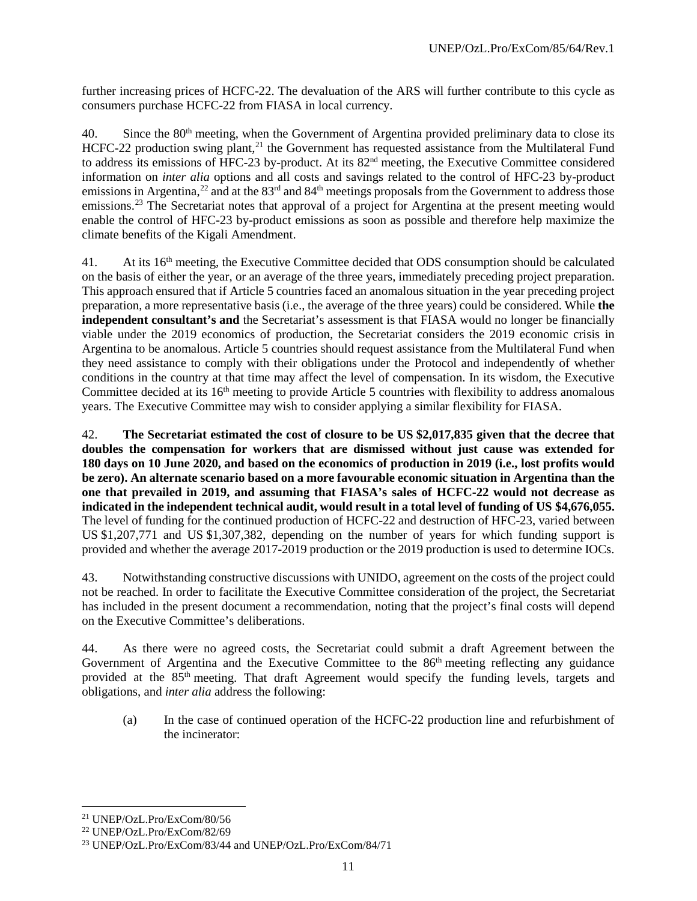further increasing prices of HCFC-22. The devaluation of the ARS will further contribute to this cycle as consumers purchase HCFC-22 from FIASA in local currency.

40. Since the 80<sup>th</sup> meeting, when the Government of Argentina provided preliminary data to close its HCFC-22 production swing plant,<sup>[21](#page-33-0)</sup> the Government has requested assistance from the Multilateral Fund to address its emissions of HFC-23 by-product. At its 82<sup>nd</sup> meeting, the Executive Committee considered information on *inter alia* options and all costs and savings related to the control of HFC-23 by-product emissions in Argentina,<sup>[22](#page-33-1)</sup> and at the 83<sup>rd</sup> and 84<sup>th</sup> meetings proposals from the Government to address those emissions.<sup>[23](#page-33-2)</sup> The Secretariat notes that approval of a project for Argentina at the present meeting would enable the control of HFC-23 by-product emissions as soon as possible and therefore help maximize the climate benefits of the Kigali Amendment.

41. At its 16<sup>th</sup> meeting, the Executive Committee decided that ODS consumption should be calculated on the basis of either the year, or an average of the three years, immediately preceding project preparation. This approach ensured that if Article 5 countries faced an anomalous situation in the year preceding project preparation, a more representative basis (i.e., the average of the three years) could be considered. While **the independent consultant's and** the Secretariat's assessment is that FIASA would no longer be financially viable under the 2019 economics of production, the Secretariat considers the 2019 economic crisis in Argentina to be anomalous. Article 5 countries should request assistance from the Multilateral Fund when they need assistance to comply with their obligations under the Protocol and independently of whether conditions in the country at that time may affect the level of compensation. In its wisdom, the Executive Committee decided at its 16<sup>th</sup> meeting to provide Article 5 countries with flexibility to address anomalous years. The Executive Committee may wish to consider applying a similar flexibility for FIASA.

42. **The Secretariat estimated the cost of closure to be US \$2,017,835 given that the decree that doubles the compensation for workers that are dismissed without just cause was extended for 180 days on 10 June 2020, and based on the economics of production in 2019 (i.e., lost profits would be zero). An alternate scenario based on a more favourable economic situation in Argentina than the one that prevailed in 2019, and assuming that FIASA's sales of HCFC-22 would not decrease as indicated in the independent technical audit, would result in a total level of funding of US \$4,676,055.** The level of funding for the continued production of HCFC-22 and destruction of HFC-23, varied between US \$1,207,771 and US \$1,307,382, depending on the number of years for which funding support is provided and whether the average 2017-2019 production or the 2019 production is used to determine IOCs.

43. Notwithstanding constructive discussions with UNIDO, agreement on the costs of the project could not be reached. In order to facilitate the Executive Committee consideration of the project, the Secretariat has included in the present document a recommendation, noting that the project's final costs will depend on the Executive Committee's deliberations.

44. As there were no agreed costs, the Secretariat could submit a draft Agreement between the Government of Argentina and the Executive Committee to the  $86<sup>th</sup>$  meeting reflecting any guidance provided at the 85<sup>th</sup> meeting. That draft Agreement would specify the funding levels, targets and obligations, and *inter alia* address the following:

(a) In the case of continued operation of the HCFC-22 production line and refurbishment of the incinerator:

<span id="page-33-0"></span> <sup>21</sup> UNEP/OzL.Pro/ExCom/80/56

<span id="page-33-1"></span><sup>22</sup> UNEP/OzL.Pro/ExCom/82/69

<span id="page-33-2"></span><sup>23</sup> UNEP/OzL.Pro/ExCom/83/44 and UNEP/OzL.Pro/ExCom/84/71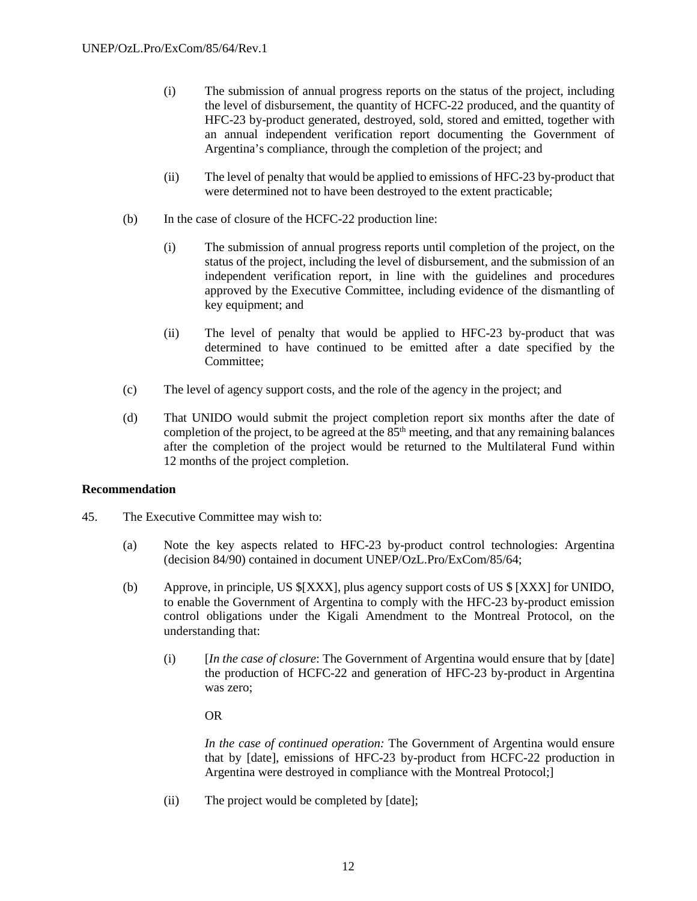- (i) The submission of annual progress reports on the status of the project, including the level of disbursement, the quantity of HCFC-22 produced, and the quantity of HFC-23 by-product generated, destroyed, sold, stored and emitted, together with an annual independent verification report documenting the Government of Argentina's compliance, through the completion of the project; and
- (ii) The level of penalty that would be applied to emissions of HFC-23 by-product that were determined not to have been destroyed to the extent practicable;
- (b) In the case of closure of the HCFC-22 production line:
	- (i) The submission of annual progress reports until completion of the project, on the status of the project, including the level of disbursement, and the submission of an independent verification report, in line with the guidelines and procedures approved by the Executive Committee, including evidence of the dismantling of key equipment; and
	- (ii) The level of penalty that would be applied to HFC-23 by-product that was determined to have continued to be emitted after a date specified by the Committee;
- (c) The level of agency support costs, and the role of the agency in the project; and
- (d) That UNIDO would submit the project completion report six months after the date of completion of the project, to be agreed at the  $85<sup>th</sup>$  meeting, and that any remaining balances after the completion of the project would be returned to the Multilateral Fund within 12 months of the project completion.

#### **Recommendation**

- 45. The Executive Committee may wish to:
	- (a) Note the key aspects related to HFC-23 by-product control technologies: Argentina (decision 84/90) contained in document UNEP/OzL.Pro/ExCom/85/64;
	- (b) Approve, in principle, US \$[XXX], plus agency support costs of US \$ [XXX] for UNIDO, to enable the Government of Argentina to comply with the HFC-23 by-product emission control obligations under the Kigali Amendment to the Montreal Protocol, on the understanding that:
		- (i) [*In the case of closure*: The Government of Argentina would ensure that by [date] the production of HCFC-22 and generation of HFC-23 by-product in Argentina was zero;

#### OR

*In the case of continued operation:* The Government of Argentina would ensure that by [date], emissions of HFC-23 by-product from HCFC-22 production in Argentina were destroyed in compliance with the Montreal Protocol;]

(ii) The project would be completed by [date];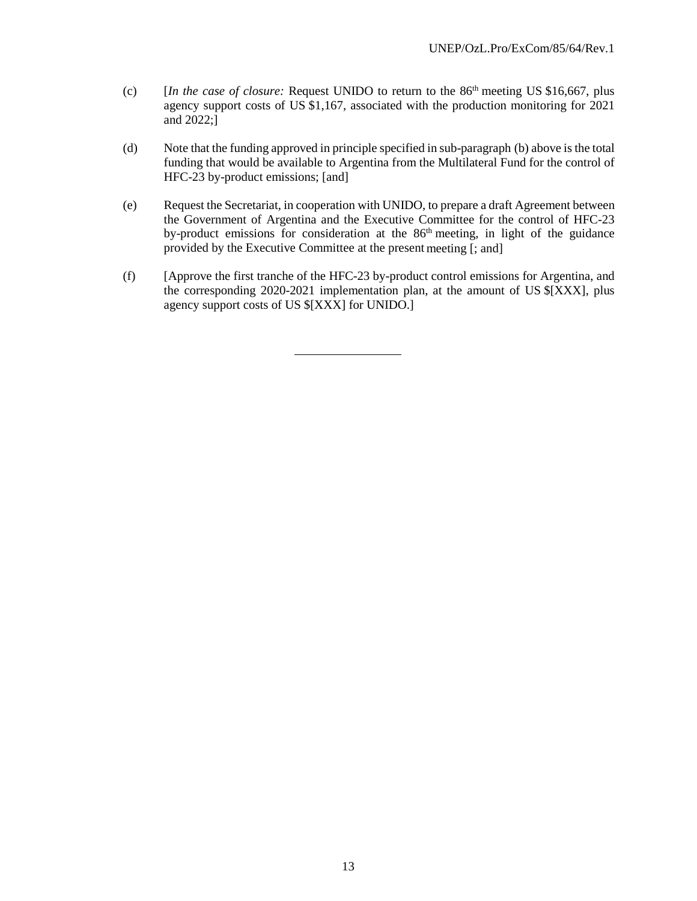- (c) [*In the case of closure:* Request UNIDO to return to the 86th meeting US \$16,667, plus agency support costs of US \$1,167, associated with the production monitoring for 2021 and 2022;]
- (d) Note that the funding approved in principle specified in sub-paragraph (b) above is the total funding that would be available to Argentina from the Multilateral Fund for the control of HFC-23 by-product emissions; [and]
- (e) Request the Secretariat, in cooperation with UNIDO, to prepare a draft Agreement between the Government of Argentina and the Executive Committee for the control of HFC-23 by-product emissions for consideration at the 86<sup>th</sup> meeting, in light of the guidance provided by the Executive Committee at the present meeting [; and]
- (f) [Approve the first tranche of the HFC-23 by-product control emissions for Argentina, and the corresponding 2020-2021 implementation plan, at the amount of US \$[XXX], plus agency support costs of US \$[XXX] for UNIDO.]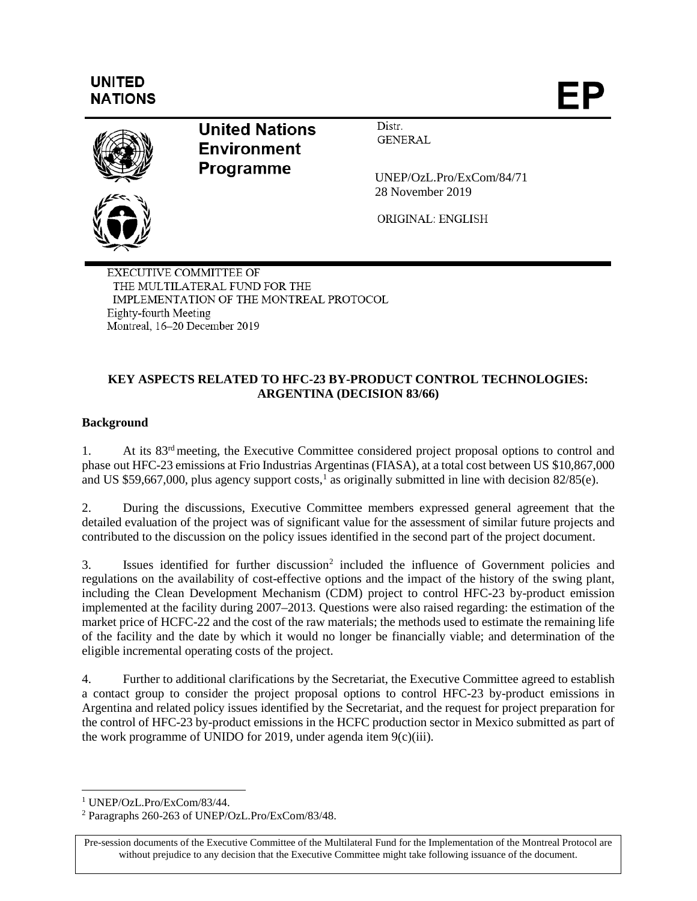# **UNITED NATIONS**

ÞΡ



**United Nations Environment** Programme

Distr. **GENERAL** 

UNEP/OzL.Pro/ExCom/84/71 28 November 2019

ORIGINAL: ENGLISH

**EXECUTIVE COMMITTEE OF** THE MULTILATERAL FUND FOR THE IMPLEMENTATION OF THE MONTREAL PROTOCOL Eighty-fourth Meeting Montreal, 16-20 December 2019

# **KEY ASPECTS RELATED TO HFC-23 BY-PRODUCT CONTROL TECHNOLOGIES: ARGENTINA (DECISION 83/66)**

# **Background**

1. At its 83rd meeting, the Executive Committee considered project proposal options to control and phase out HFC-23 emissions at Frio Industrias Argentinas (FIASA), at a total cost between US \$10,867,000 and US \$59,667,000, plus agency support costs,<sup>[1](#page-37-0)</sup> as originally submitted in line with decision  $82/85(e)$ .

2. During the discussions, Executive Committee members expressed general agreement that the detailed evaluation of the project was of significant value for the assessment of similar future projects and contributed to the discussion on the policy issues identified in the second part of the project document.

3. Issues identified for further discussion<sup>2</sup> included the influence of Government policies and regulations on the availability of cost-effective options and the impact of the history of the swing plant, including the Clean Development Mechanism (CDM) project to control HFC-23 by-product emission implemented at the facility during 2007–2013. Questions were also raised regarding: the estimation of the market price of HCFC-22 and the cost of the raw materials; the methods used to estimate the remaining life of the facility and the date by which it would no longer be financially viable; and determination of the eligible incremental operating costs of the project.

4. Further to additional clarifications by the Secretariat, the Executive Committee agreed to establish a contact group to consider the project proposal options to control HFC-23 by-product emissions in Argentina and related policy issues identified by the Secretariat, and the request for project preparation for the control of HFC-23 by-product emissions in the HCFC production sector in Mexico submitted as part of the work programme of UNIDO for 2019, under agenda item  $9(c)(iii)$ .

Pre-session documents of the Executive Committee of the Multilateral Fund for the Implementation of the Montreal Protocol are without prejudice to any decision that the Executive Committee might take following issuance of the document.

<span id="page-37-0"></span> <sup>1</sup> UNEP/OzL.Pro/ExCom/83/44.

<span id="page-37-1"></span><sup>2</sup> Paragraphs 260-263 of UNEP/OzL.Pro/ExCom/83/48.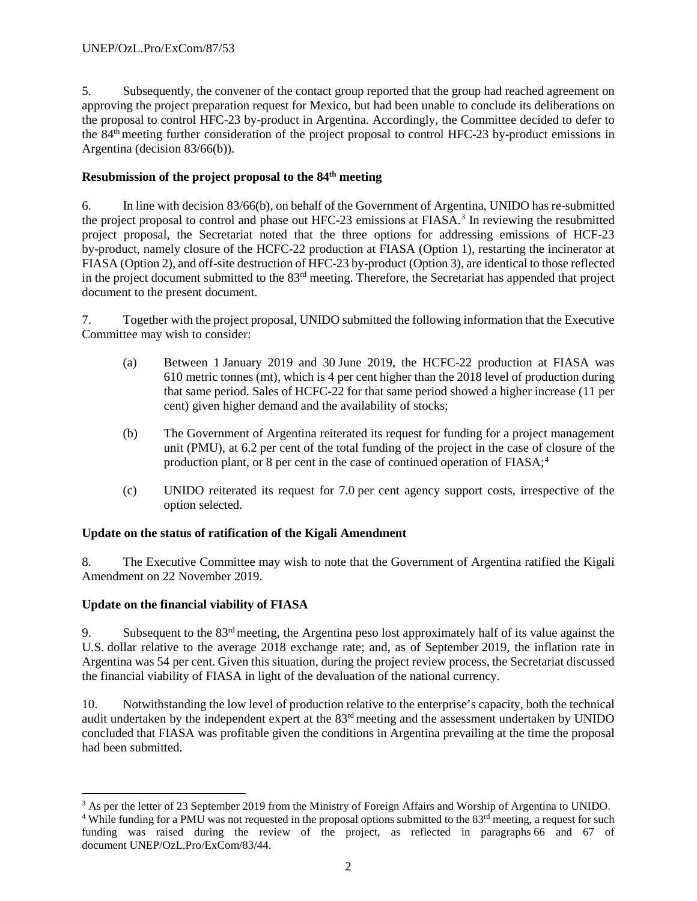5. Subsequently, the convener of the contact group reported that the group had reached agreement on approving the project preparation request for Mexico, but had been unable to conclude its deliberations on the proposal to control HFC-23 by-product in Argentina. Accordingly, the Committee decided to defer to the 84th meeting further consideration of the project proposal to control HFC-23 by-product emissions in Argentina (decision 83/66(b)).

# **Resubmission of the project proposal to the 84th meeting**

6. In line with decision 83/66(b), on behalf of the Government of Argentina, UNIDO has re-submitted the project proposal to control and phase out HFC-2[3](#page-38-0) emissions at FIASA.<sup>3</sup> In reviewing the resubmitted project proposal, the Secretariat noted that the three options for addressing emissions of HCF-23 by-product, namely closure of the HCFC-22 production at FIASA (Option 1), restarting the incinerator at FIASA (Option 2), and off-site destruction of HFC-23 by-product (Option 3), are identical to those reflected in the project document submitted to the 83rd meeting. Therefore, the Secretariat has appended that project document to the present document.

7. Together with the project proposal, UNIDO submitted the following information that the Executive Committee may wish to consider:

- (a) Between 1 January 2019 and 30 June 2019, the HCFC-22 production at FIASA was 610 metric tonnes (mt), which is 4 per cent higher than the 2018 level of production during that same period. Sales of HCFC-22 for that same period showed a higher increase (11 per cent) given higher demand and the availability of stocks;
- (b) The Government of Argentina reiterated its request for funding for a project management unit (PMU), at 6.2 per cent of the total funding of the project in the case of closure of the production plant, or 8 per cent in the case of continued operation of  $FIASA;4$  $FIASA;4$
- (c) UNIDO reiterated its request for 7.0 per cent agency support costs, irrespective of the option selected.

# **Update on the status of ratification of the Kigali Amendment**

8. The Executive Committee may wish to note that the Government of Argentina ratified the Kigali Amendment on 22 November 2019.

# **Update on the financial viability of FIASA**

9. Subsequent to the 83rd meeting, the Argentina peso lost approximately half of its value against the U.S. dollar relative to the average 2018 exchange rate; and, as of September 2019, the inflation rate in Argentina was 54 per cent. Given this situation, during the project review process, the Secretariat discussed the financial viability of FIASA in light of the devaluation of the national currency.

10. Notwithstanding the low level of production relative to the enterprise's capacity, both the technical audit undertaken by the independent expert at the 83<sup>rd</sup> meeting and the assessment undertaken by UNIDO concluded that FIASA was profitable given the conditions in Argentina prevailing at the time the proposal had been submitted.

<span id="page-38-0"></span><sup>&</sup>lt;sup>3</sup> As per the letter of 23 September 2019 from the Ministry of Foreign Affairs and Worship of Argentina to UNIDO.

<span id="page-38-1"></span><sup>&</sup>lt;sup>4</sup> While funding for a PMU was not requested in the proposal options submitted to the  $83<sup>rd</sup>$  meeting, a request for such funding was raised during the review of the project, as reflected in paragraphs 66 and 67 of document UNEP/OzL.Pro/ExCom/83/44.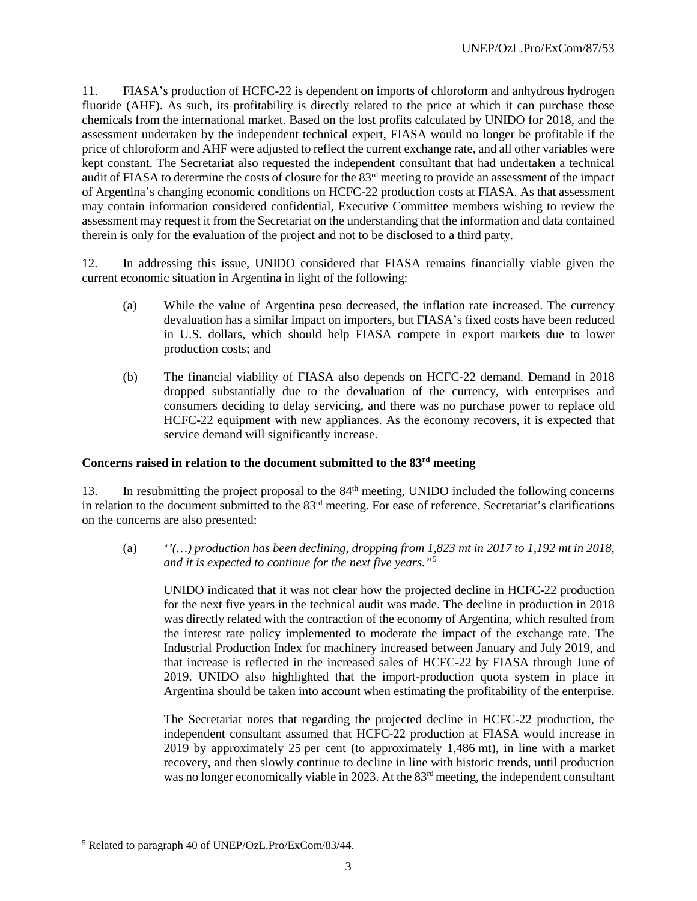11. FIASA's production of HCFC-22 is dependent on imports of chloroform and anhydrous hydrogen fluoride (AHF). As such, its profitability is directly related to the price at which it can purchase those chemicals from the international market. Based on the lost profits calculated by UNIDO for 2018, and the assessment undertaken by the independent technical expert, FIASA would no longer be profitable if the price of chloroform and AHF were adjusted to reflect the current exchange rate, and all other variables were kept constant. The Secretariat also requested the independent consultant that had undertaken a technical audit of FIASA to determine the costs of closure for the 83rd meeting to provide an assessment of the impact of Argentina's changing economic conditions on HCFC-22 production costs at FIASA. As that assessment may contain information considered confidential, Executive Committee members wishing to review the assessment may request it from the Secretariat on the understanding that the information and data contained therein is only for the evaluation of the project and not to be disclosed to a third party.

12. In addressing this issue, UNIDO considered that FIASA remains financially viable given the current economic situation in Argentina in light of the following:

- (a) While the value of Argentina peso decreased, the inflation rate increased. The currency devaluation has a similar impact on importers, but FIASA's fixed costs have been reduced in U.S. dollars, which should help FIASA compete in export markets due to lower production costs; and
- (b) The financial viability of FIASA also depends on HCFC-22 demand. Demand in 2018 dropped substantially due to the devaluation of the currency, with enterprises and consumers deciding to delay servicing, and there was no purchase power to replace old HCFC-22 equipment with new appliances. As the economy recovers, it is expected that service demand will significantly increase.

#### **Concerns raised in relation to the document submitted to the 83rd meeting**

13. In resubmitting the project proposal to the 84<sup>th</sup> meeting, UNIDO included the following concerns in relation to the document submitted to the 83rd meeting. For ease of reference, Secretariat's clarifications on the concerns are also presented:

(a) *''(…) production has been declining, dropping from 1,823 mt in 2017 to 1,192 mt in 2018, and it is expected to continue for the next five years."*[5](#page-39-0)

UNIDO indicated that it was not clear how the projected decline in HCFC-22 production for the next five years in the technical audit was made. The decline in production in 2018 was directly related with the contraction of the economy of Argentina, which resulted from the interest rate policy implemented to moderate the impact of the exchange rate. The Industrial Production Index for machinery increased between January and July 2019, and that increase is reflected in the increased sales of HCFC-22 by FIASA through June of 2019. UNIDO also highlighted that the import-production quota system in place in Argentina should be taken into account when estimating the profitability of the enterprise.

The Secretariat notes that regarding the projected decline in HCFC-22 production, the independent consultant assumed that HCFC-22 production at FIASA would increase in 2019 by approximately 25 per cent (to approximately 1,486 mt), in line with a market recovery, and then slowly continue to decline in line with historic trends, until production was no longer economically viable in 2023. At the 83<sup>rd</sup> meeting, the independent consultant

<span id="page-39-0"></span> <sup>5</sup> Related to paragraph 40 of UNEP/OzL.Pro/ExCom/83/44.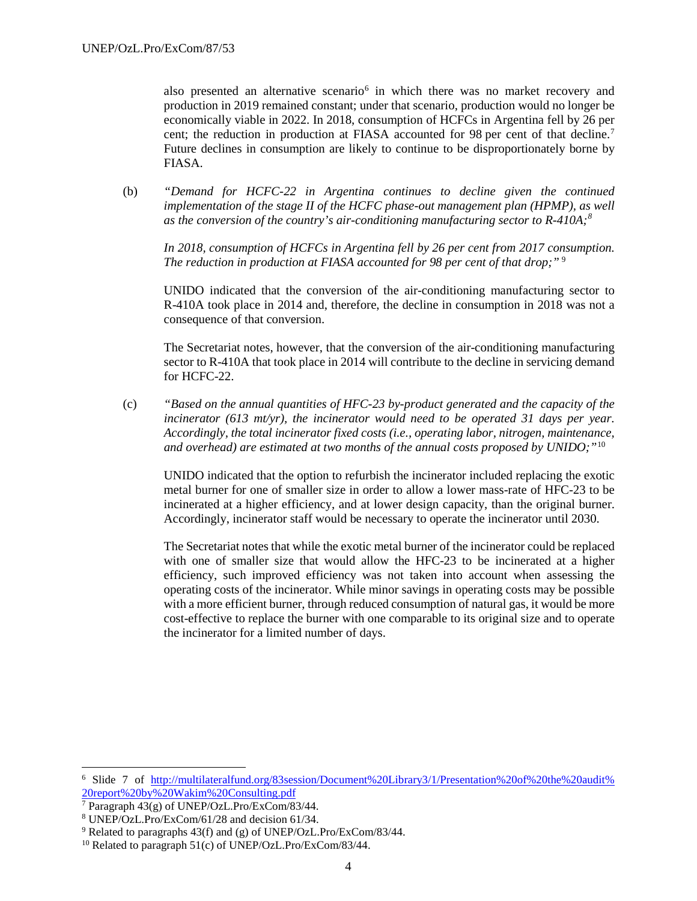also presented an alternative scenario<sup>[6](#page-40-0)</sup> in which there was no market recovery and production in 2019 remained constant; under that scenario, production would no longer be economically viable in 2022. In 2018, consumption of HCFCs in Argentina fell by 26 per cent; the reduction in production at FIASA accounted for 98 per cent of that decline.<sup>[7](#page-40-1)</sup> Future declines in consumption are likely to continue to be disproportionately borne by FIASA.

(b) *"Demand for HCFC-22 in Argentina continues to decline given the continued implementation of the stage II of the HCFC phase-out management plan (HPMP), as well as the conversion of the country's air-conditioning manufacturing sector to R-410A;[8](#page-40-2)*

*In 2018, consumption of HCFCs in Argentina fell by 26 per cent from 2017 consumption. The reduction in production at FIASA accounted for 98 per cent of that drop;"* [9](#page-40-3)

UNIDO indicated that the conversion of the air-conditioning manufacturing sector to R-410A took place in 2014 and, therefore, the decline in consumption in 2018 was not a consequence of that conversion.

The Secretariat notes, however, that the conversion of the air-conditioning manufacturing sector to R-410A that took place in 2014 will contribute to the decline in servicing demand for HCFC-22.

(c) *"Based on the annual quantities of HFC-23 by-product generated and the capacity of the incinerator (613 mt/yr), the incinerator would need to be operated 31 days per year. Accordingly, the total incinerator fixed costs (i.e., operating labor, nitrogen, maintenance, and overhead) are estimated at two months of the annual costs proposed by UNIDO;"*[10](#page-40-4)

UNIDO indicated that the option to refurbish the incinerator included replacing the exotic metal burner for one of smaller size in order to allow a lower mass-rate of HFC-23 to be incinerated at a higher efficiency, and at lower design capacity, than the original burner. Accordingly, incinerator staff would be necessary to operate the incinerator until 2030.

The Secretariat notes that while the exotic metal burner of the incinerator could be replaced with one of smaller size that would allow the HFC-23 to be incinerated at a higher efficiency, such improved efficiency was not taken into account when assessing the operating costs of the incinerator. While minor savings in operating costs may be possible with a more efficient burner, through reduced consumption of natural gas, it would be more cost-effective to replace the burner with one comparable to its original size and to operate the incinerator for a limited number of days.

<span id="page-40-0"></span> <sup>6</sup> Slide 7 of [http://multilateralfund.org/83session/Document%20Library3/1/Presentation%20of%20the%20audit%](http://multilateralfund.org/83session/Document%20Library3/1/Presentation%20of%20the%20audit%25%2020report%20by%20Wakim%20Consulting.pdf)  [20report%20by%20Wakim%20Consulting.pdf](http://multilateralfund.org/83session/Document%20Library3/1/Presentation%20of%20the%20audit%25%2020report%20by%20Wakim%20Consulting.pdf)

<span id="page-40-1"></span><sup>&</sup>lt;sup>7</sup> Paragraph  $43(g)$  of UNEP/OzL.Pro/ExCom/83/44.

<span id="page-40-2"></span><sup>8</sup> UNEP/OzL.Pro/ExCom/61/28 and decision 61/34.

<span id="page-40-3"></span><sup>&</sup>lt;sup>9</sup> Related to paragraphs 43(f) and (g) of UNEP/OzL.Pro/ExCom/83/44.

<span id="page-40-4"></span><sup>&</sup>lt;sup>10</sup> Related to paragraph 51(c) of UNEP/OzL.Pro/ExCom/83/44.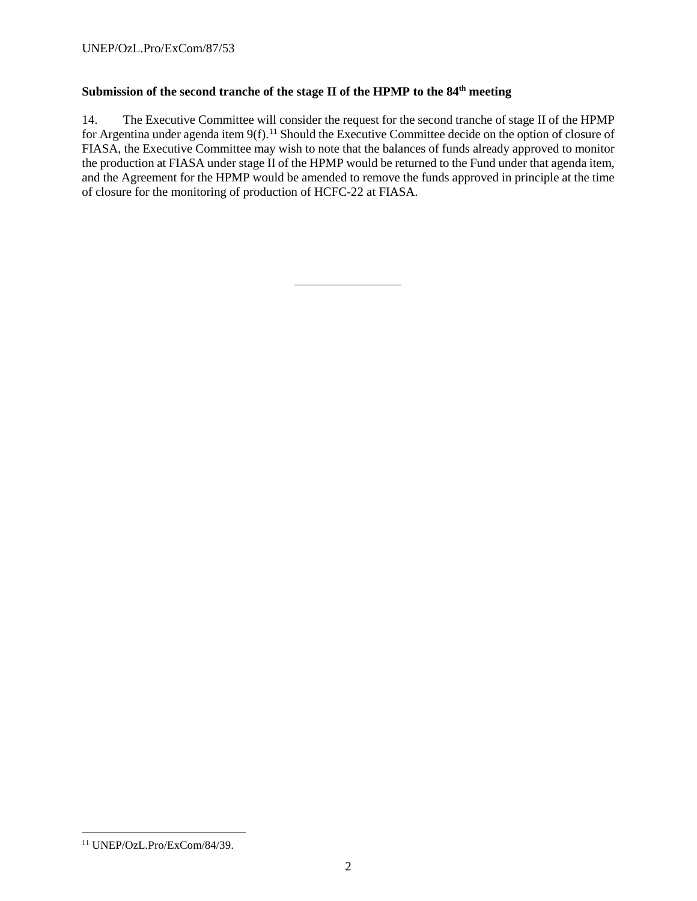# Submission of the second tranche of the stage II of the HPMP to the 84<sup>th</sup> meeting

14. The Executive Committee will consider the request for the second tranche of stage II of the HPMP for Argentina under agenda item 9(f).<sup>[11](#page-41-0)</sup> Should the Executive Committee decide on the option of closure of FIASA, the Executive Committee may wish to note that the balances of funds already approved to monitor the production at FIASA under stage II of the HPMP would be returned to the Fund under that agenda item, and the Agreement for the HPMP would be amended to remove the funds approved in principle at the time of closure for the monitoring of production of HCFC-22 at FIASA.

<span id="page-41-0"></span> <sup>11</sup> UNEP/OzL.Pro/ExCom/84/39.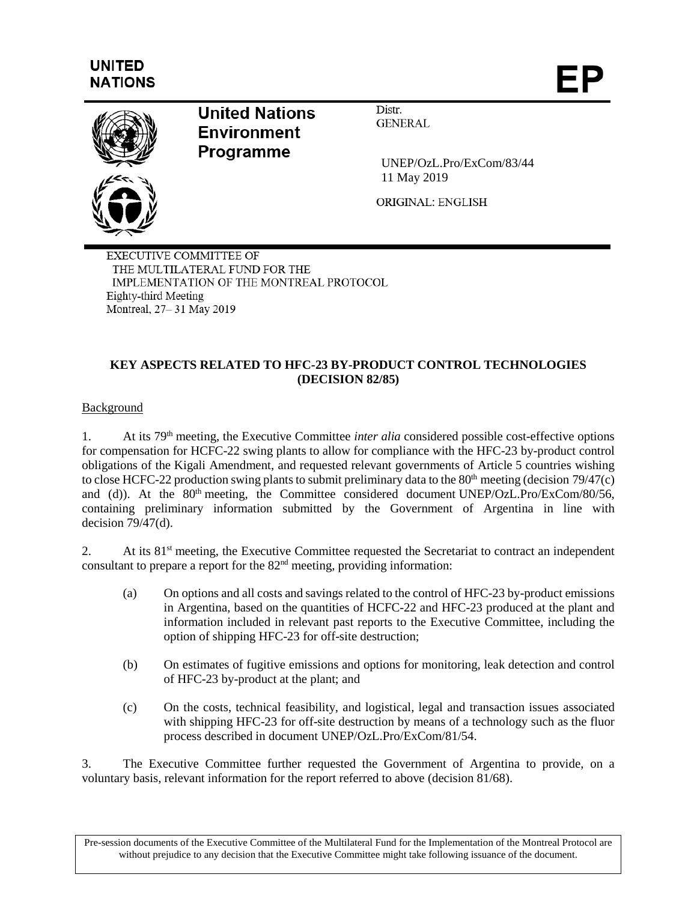# **UNITED NATIONS**



# **United Nations Environment Programme**

UNEP/OzL.Pro/ExCom/83/44 11 May 2019

ORIGINAL: ENGLISH

Distr.

**GENERAL** 

**EXECUTIVE COMMITTEE OF** THE MULTILATERAL FUND FOR THE IMPLEMENTATION OF THE MONTREAL PROTOCOL Eighty-third Meeting Montreal, 27-31 May 2019

# **KEY ASPECTS RELATED TO HFC-23 BY-PRODUCT CONTROL TECHNOLOGIES (DECISION 82/85)**

#### Background

1. At its 79th meeting, the Executive Committee *inter alia* considered possible cost-effective options for compensation for HCFC-22 swing plants to allow for compliance with the HFC-23 by-product control obligations of the Kigali Amendment, and requested relevant governments of Article 5 countries wishing to close HCFC-22 production swing plants to submit preliminary data to the  $80<sup>th</sup>$  meeting (decision 79/47(c) and (d)). At the 80<sup>th</sup> meeting, the Committee considered document UNEP/OzL.Pro/ExCom/80/56, containing preliminary information submitted by the Government of Argentina in line with decision  $79/47$ (d).

2. At its 81<sup>st</sup> meeting, the Executive Committee requested the Secretariat to contract an independent consultant to prepare a report for the  $82<sup>nd</sup>$  meeting, providing information:

- (a) On options and all costs and savings related to the control of HFC-23 by-product emissions in Argentina, based on the quantities of HCFC-22 and HFC-23 produced at the plant and information included in relevant past reports to the Executive Committee, including the option of shipping HFC-23 for off-site destruction;
- (b) On estimates of fugitive emissions and options for monitoring, leak detection and control of HFC-23 by-product at the plant; and
- (c) On the costs, technical feasibility, and logistical, legal and transaction issues associated with shipping HFC-23 for off-site destruction by means of a technology such as the fluor process described in document UNEP/OzL.Pro/ExCom/81/54.

3. The Executive Committee further requested the Government of Argentina to provide, on a voluntary basis, relevant information for the report referred to above (decision 81/68).

Pre-session documents of the Executive Committee of the Multilateral Fund for the Implementation of the Montreal Protocol are without prejudice to any decision that the Executive Committee might take following issuance of the document.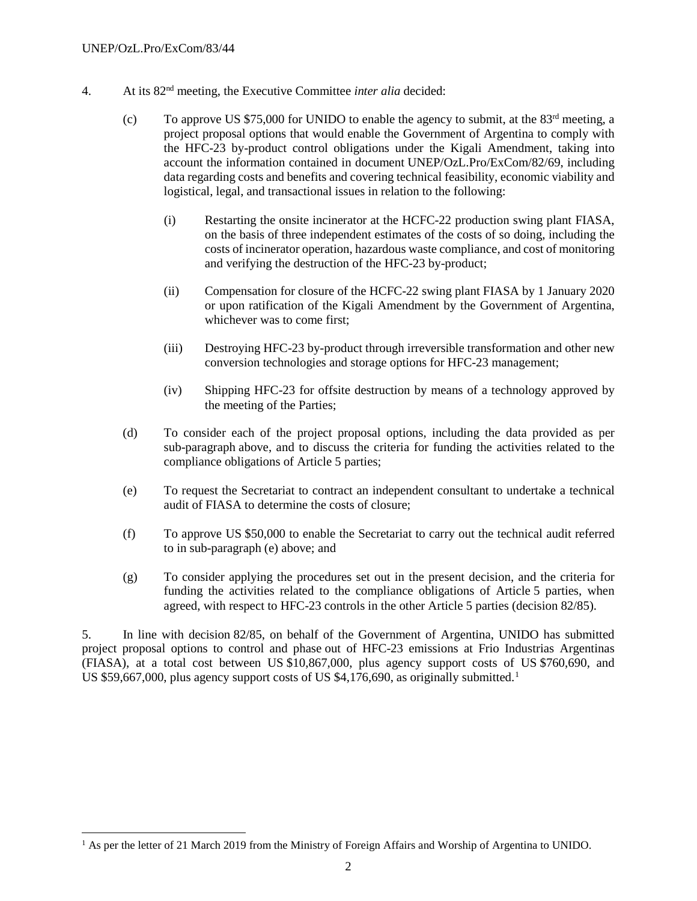- 4. At its 82nd meeting, the Executive Committee *inter alia* decided:
	- (c) To approve US \$75,000 for UNIDO to enable the agency to submit, at the  $83<sup>rd</sup>$  meeting, a project proposal options that would enable the Government of Argentina to comply with the HFC-23 by-product control obligations under the Kigali Amendment, taking into account the information contained in document UNEP/OzL.Pro/ExCom/82/69, including data regarding costs and benefits and covering technical feasibility, economic viability and logistical, legal, and transactional issues in relation to the following:
		- (i) Restarting the onsite incinerator at the HCFC-22 production swing plant FIASA, on the basis of three independent estimates of the costs of so doing, including the costs of incinerator operation, hazardous waste compliance, and cost of monitoring and verifying the destruction of the HFC-23 by-product;
		- (ii) Compensation for closure of the HCFC-22 swing plant FIASA by 1 January 2020 or upon ratification of the Kigali Amendment by the Government of Argentina, whichever was to come first;
		- (iii) Destroying HFC-23 by-product through irreversible transformation and other new conversion technologies and storage options for HFC-23 management;
		- (iv) Shipping HFC-23 for offsite destruction by means of a technology approved by the meeting of the Parties;
	- (d) To consider each of the project proposal options, including the data provided as per sub-paragraph above, and to discuss the criteria for funding the activities related to the compliance obligations of Article 5 parties;
	- (e) To request the Secretariat to contract an independent consultant to undertake a technical audit of FIASA to determine the costs of closure;
	- (f) To approve US \$50,000 to enable the Secretariat to carry out the technical audit referred to in sub-paragraph (e) above; and
	- (g) To consider applying the procedures set out in the present decision, and the criteria for funding the activities related to the compliance obligations of Article 5 parties, when agreed, with respect to HFC-23 controls in the other Article 5 parties (decision 82/85).

5. In line with decision 82/85, on behalf of the Government of Argentina, UNIDO has submitted project proposal options to control and phase out of HFC-23 emissions at Frio Industrias Argentinas (FIASA), at a total cost between US \$10,867,000, plus agency support costs of US \$760,690, and US \$59,667,000, plus agency support costs of US  $$4,176,690$  $$4,176,690$  $$4,176,690$ , as originally submitted.<sup>1</sup>

<span id="page-44-0"></span><sup>&</sup>lt;sup>1</sup> As per the letter of 21 March 2019 from the Ministry of Foreign Affairs and Worship of Argentina to UNIDO.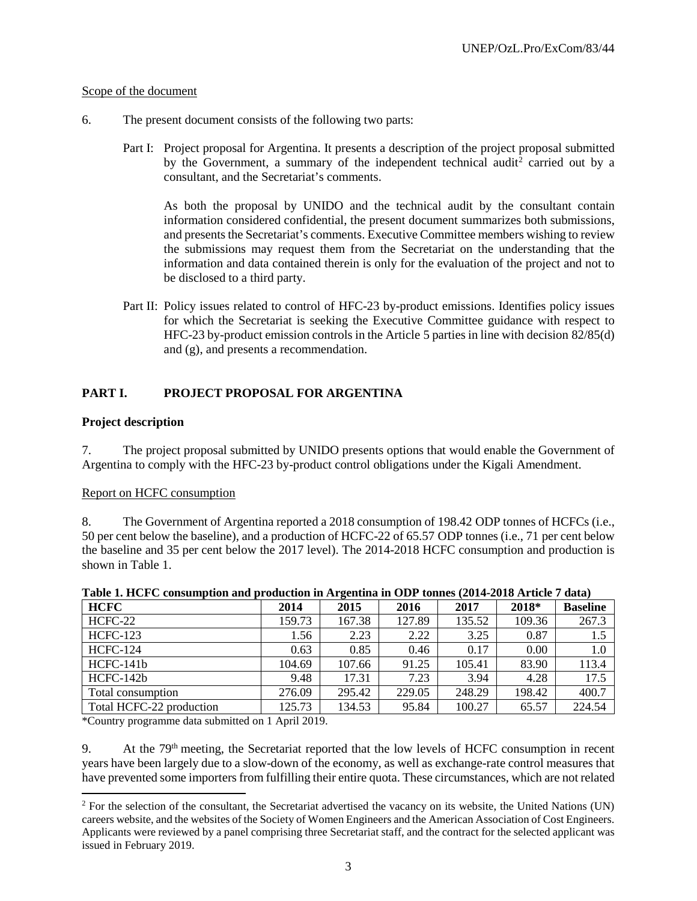#### Scope of the document

- 6. The present document consists of the following two parts:
	- Part I: Project proposal for Argentina. It presents a description of the project proposal submitted by the Government, a summary of the independent technical audit<sup>[2](#page-45-0)</sup> carried out by a consultant, and the Secretariat's comments.

As both the proposal by UNIDO and the technical audit by the consultant contain information considered confidential, the present document summarizes both submissions, and presents the Secretariat's comments. Executive Committee members wishing to review the submissions may request them from the Secretariat on the understanding that the information and data contained therein is only for the evaluation of the project and not to be disclosed to a third party.

Part II: Policy issues related to control of HFC-23 by-product emissions. Identifies policy issues for which the Secretariat is seeking the Executive Committee guidance with respect to HFC-23 by-product emission controls in the Article 5 parties in line with decision 82/85(d) and (g), and presents a recommendation.

#### **PART I. PROJECT PROPOSAL FOR ARGENTINA**

#### **Project description**

7. The project proposal submitted by UNIDO presents options that would enable the Government of Argentina to comply with the HFC-23 by-product control obligations under the Kigali Amendment.

#### Report on HCFC consumption

8. The Government of Argentina reported a 2018 consumption of 198.42 ODP tonnes of HCFCs (i.e., 50 per cent below the baseline), and a production of HCFC-22 of 65.57 ODP tonnes (i.e., 71 per cent below the baseline and 35 per cent below the 2017 level). The 2014-2018 HCFC consumption and production is shown in Table 1.

| <b>HCFC</b>              | 2014   | -<br>2015 | 2016   | 2017   | 2018*  | <b>Baseline</b> |
|--------------------------|--------|-----------|--------|--------|--------|-----------------|
| HCFC-22                  | 159.73 | 167.38    | 127.89 | 135.52 | 109.36 | 267.3           |
| <b>HCFC-123</b>          | 1.56   | 2.23      | 2.22   | 3.25   | 0.87   | 1.5             |
| <b>HCFC-124</b>          | 0.63   | 0.85      | 0.46   | 0.17   | 0.00   | 1.0             |
| $HCFC-141b$              | 104.69 | 107.66    | 91.25  | 105.41 | 83.90  | 113.4           |
| $HCFC-142b$              | 9.48   | 17.31     | 7.23   | 3.94   | 4.28   | 17.5            |
| Total consumption        | 276.09 | 295.42    | 229.05 | 248.29 | 198.42 | 400.7           |
| Total HCFC-22 production | 125.73 | 134.53    | 95.84  | 100.27 | 65.57  | 224.54          |

**Table 1. HCFC consumption and production in Argentina in ODP tonnes (2014-2018 Article 7 data)**

\*Country programme data submitted on 1 April 2019.

9. At the 79<sup>th</sup> meeting, the Secretariat reported that the low levels of HCFC consumption in recent years have been largely due to a slow-down of the economy, as well as exchange-rate control measures that have prevented some importers from fulfilling their entire quota. These circumstances, which are not related

<span id="page-45-0"></span> $2$  For the selection of the consultant, the Secretariat advertised the vacancy on its website, the United Nations (UN) careers website, and the websites of the Society of Women Engineers and the American Association of Cost Engineers. Applicants were reviewed by a panel comprising three Secretariat staff, and the contract for the selected applicant was issued in February 2019.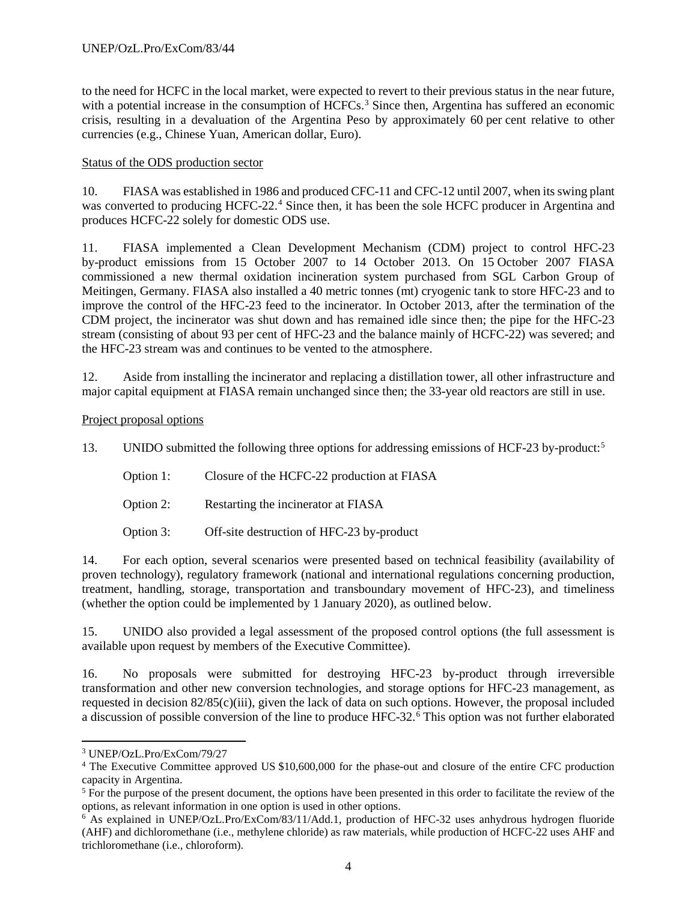to the need for HCFC in the local market, were expected to revert to their previous status in the near future, with a potential increase in the consumption of HCFCs.<sup>[3](#page-46-0)</sup> Since then, Argentina has suffered an economic crisis, resulting in a devaluation of the Argentina Peso by approximately 60 per cent relative to other currencies (e.g., Chinese Yuan, American dollar, Euro).

## Status of the ODS production sector

10. FIASA was established in 1986 and produced CFC-11 and CFC-12 until 2007, when its swing plant was converted to producing HCFC-22.<sup>[4](#page-46-1)</sup> Since then, it has been the sole HCFC producer in Argentina and produces HCFC-22 solely for domestic ODS use.

11. FIASA implemented a Clean Development Mechanism (CDM) project to control HFC-23 by-product emissions from 15 October 2007 to 14 October 2013. On 15 October 2007 FIASA commissioned a new thermal oxidation incineration system purchased from SGL Carbon Group of Meitingen, Germany. FIASA also installed a 40 metric tonnes (mt) cryogenic tank to store HFC-23 and to improve the control of the HFC-23 feed to the incinerator. In October 2013, after the termination of the CDM project, the incinerator was shut down and has remained idle since then; the pipe for the HFC-23 stream (consisting of about 93 per cent of HFC-23 and the balance mainly of HCFC-22) was severed; and the HFC-23 stream was and continues to be vented to the atmosphere.

12. Aside from installing the incinerator and replacing a distillation tower, all other infrastructure and major capital equipment at FIASA remain unchanged since then; the 33-year old reactors are still in use.

#### Project proposal options

13. UNIDO submitted the following three options for addressing emissions of HCF-23 by-product:[5](#page-46-2)

Option 1: Closure of the HCFC-22 production at FIASA

Option 2: Restarting the incinerator at FIASA

Option 3: Off-site destruction of HFC-23 by-product

14. For each option, several scenarios were presented based on technical feasibility (availability of proven technology), regulatory framework (national and international regulations concerning production, treatment, handling, storage, transportation and transboundary movement of HFC-23), and timeliness (whether the option could be implemented by 1 January 2020), as outlined below.

15. UNIDO also provided a legal assessment of the proposed control options (the full assessment is available upon request by members of the Executive Committee).

16. No proposals were submitted for destroying HFC-23 by-product through irreversible transformation and other new conversion technologies, and storage options for HFC-23 management, as requested in decision 82/85(c)(iii), given the lack of data on such options. However, the proposal included a discussion of possible conversion of the line to produce HFC-32.[6](#page-46-3) This option was not further elaborated

<span id="page-46-0"></span> <sup>3</sup> UNEP/OzL.Pro/ExCom/79/27

<span id="page-46-1"></span><sup>4</sup> The Executive Committee approved US \$10,600,000 for the phase-out and closure of the entire CFC production capacity in Argentina.

<span id="page-46-2"></span><sup>&</sup>lt;sup>5</sup> For the purpose of the present document, the options have been presented in this order to facilitate the review of the options, as relevant information in one option is used in other options.

<span id="page-46-3"></span><sup>6</sup> As explained in UNEP/OzL.Pro/ExCom/83/11/Add.1, production of HFC-32 uses anhydrous hydrogen fluoride (AHF) and dichloromethane (i.e., methylene chloride) as raw materials, while production of HCFC-22 uses AHF and trichloromethane (i.e., chloroform).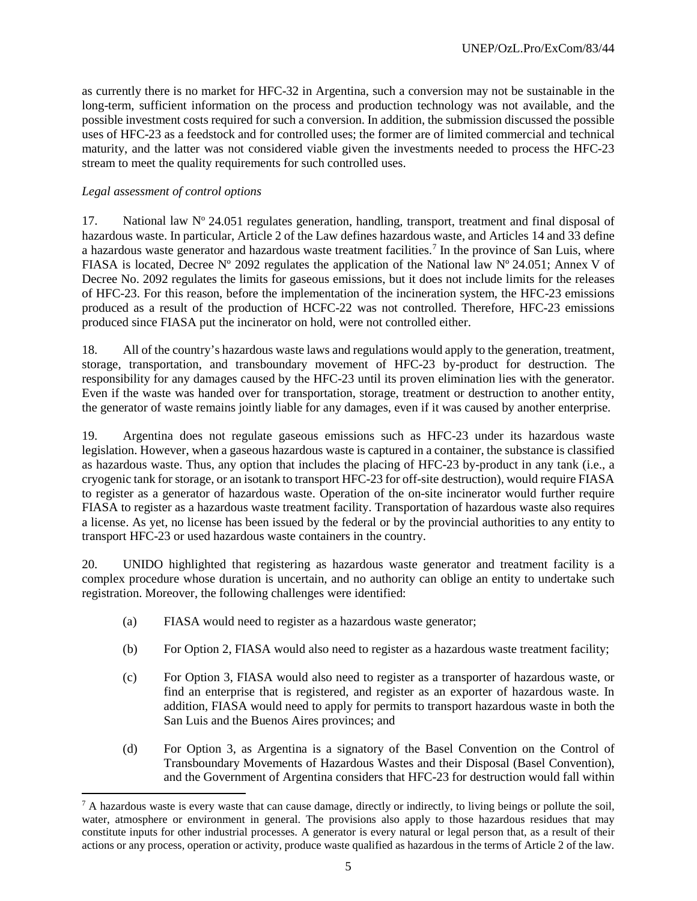as currently there is no market for HFC-32 in Argentina, such a conversion may not be sustainable in the long-term, sufficient information on the process and production technology was not available, and the possible investment costs required for such a conversion. In addition, the submission discussed the possible uses of HFC-23 as a feedstock and for controlled uses; the former are of limited commercial and technical maturity, and the latter was not considered viable given the investments needed to process the HFC-23 stream to meet the quality requirements for such controlled uses.

#### *Legal assessment of control options*

17. National law  $N^{\circ}$  24.051 regulates generation, handling, transport, treatment and final disposal of hazardous waste. In particular, Article 2 of the Law defines hazardous waste, and Articles 14 and 33 define a hazardous waste generator and hazardous waste treatment facilities.<sup>[7](#page-47-0)</sup> In the province of San Luis, where FIASA is located, Decree N° 2092 regulates the application of the National law N° 24.051; Annex V of Decree No. 2092 regulates the limits for gaseous emissions, but it does not include limits for the releases of HFC-23. For this reason, before the implementation of the incineration system, the HFC-23 emissions produced as a result of the production of HCFC-22 was not controlled. Therefore, HFC-23 emissions produced since FIASA put the incinerator on hold, were not controlled either.

18. All of the country's hazardous waste laws and regulations would apply to the generation, treatment, storage, transportation, and transboundary movement of HFC-23 by-product for destruction. The responsibility for any damages caused by the HFC-23 until its proven elimination lies with the generator. Even if the waste was handed over for transportation, storage, treatment or destruction to another entity, the generator of waste remains jointly liable for any damages, even if it was caused by another enterprise.

19. Argentina does not regulate gaseous emissions such as HFC-23 under its hazardous waste legislation. However, when a gaseous hazardous waste is captured in a container, the substance is classified as hazardous waste. Thus, any option that includes the placing of HFC-23 by-product in any tank (i.e., a cryogenic tank for storage, or an isotank to transport HFC-23 for off-site destruction), would require FIASA to register as a generator of hazardous waste. Operation of the on-site incinerator would further require FIASA to register as a hazardous waste treatment facility. Transportation of hazardous waste also requires a license. As yet, no license has been issued by the federal or by the provincial authorities to any entity to transport HFC-23 or used hazardous waste containers in the country.

20. UNIDO highlighted that registering as hazardous waste generator and treatment facility is a complex procedure whose duration is uncertain, and no authority can oblige an entity to undertake such registration. Moreover, the following challenges were identified:

- (a) FIASA would need to register as a hazardous waste generator;
- (b) For Option 2, FIASA would also need to register as a hazardous waste treatment facility;
- (c) For Option 3, FIASA would also need to register as a transporter of hazardous waste, or find an enterprise that is registered, and register as an exporter of hazardous waste. In addition, FIASA would need to apply for permits to transport hazardous waste in both the San Luis and the Buenos Aires provinces; and
- (d) For Option 3, as Argentina is a signatory of the Basel Convention on the Control of Transboundary Movements of Hazardous Wastes and their Disposal (Basel Convention), and the Government of Argentina considers that HFC-23 for destruction would fall within

<span id="page-47-0"></span> $^7$  A hazardous waste is every waste that can cause damage, directly or indirectly, to living beings or pollute the soil, water, atmosphere or environment in general. The provisions also apply to those hazardous residues that may constitute inputs for other industrial processes. A generator is every natural or legal person that, as a result of their actions or any process, operation or activity, produce waste qualified as hazardous in the terms of Article 2 of the law.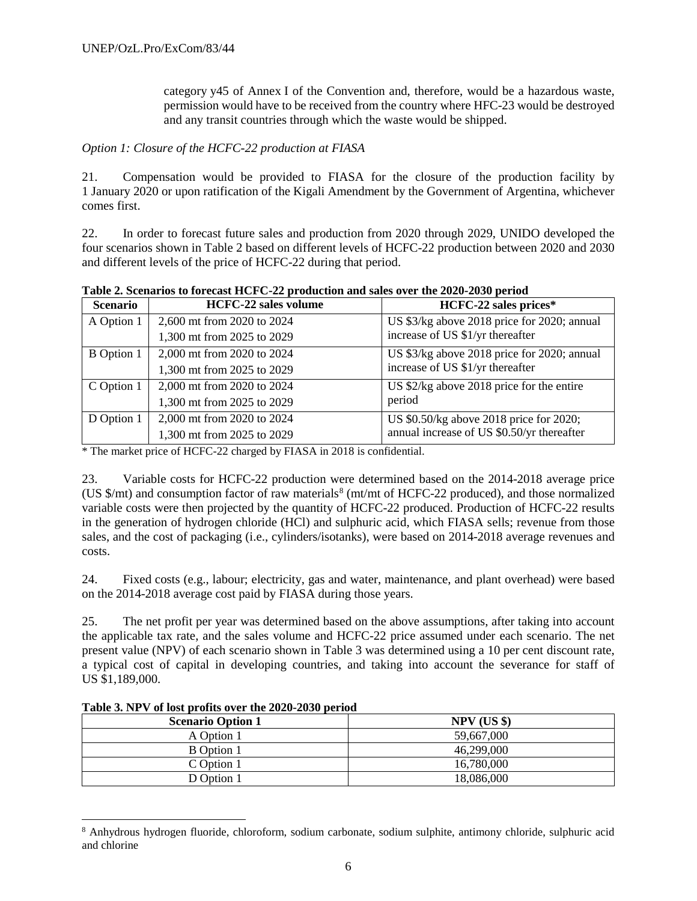category y45 of Annex I of the Convention and, therefore, would be a hazardous waste, permission would have to be received from the country where HFC-23 would be destroyed and any transit countries through which the waste would be shipped.

#### *Option 1: Closure of the HCFC-22 production at FIASA*

21. Compensation would be provided to FIASA for the closure of the production facility by 1 January 2020 or upon ratification of the Kigali Amendment by the Government of Argentina, whichever comes first.

22. In order to forecast future sales and production from 2020 through 2029, UNIDO developed the four scenarios shown in Table 2 based on different levels of HCFC-22 production between 2020 and 2030 and different levels of the price of HCFC-22 during that period.

| Table 2. Scenarios to forecast HCFC-22 production and sales over the 2020-2030 period |                               |             |  |                                                  |  |  |  |
|---------------------------------------------------------------------------------------|-------------------------------|-------------|--|--------------------------------------------------|--|--|--|
| Scenario                                                                              | <b>HCFC-22 sales volume</b>   |             |  | HCFC-22 sales prices*                            |  |  |  |
| .                                                                                     | $\sim$ 200 $\sim$ 0.000 0.001 | T T T A A A |  | $\sim$ $\sim$ $\sim$ $\sim$ $\sim$ $\sim$ $\sim$ |  |  |  |

| эсепагіо          | <b>TWE U-44 Safes VOILING</b> | $\blacksquare$ $\blacksquare$ $\blacksquare$ $\blacksquare$ $\blacksquare$ $\blacksquare$ $\blacksquare$ $\blacksquare$ $\blacksquare$ $\blacksquare$ $\blacksquare$ $\blacksquare$ $\blacksquare$ $\blacksquare$ $\blacksquare$ $\blacksquare$ $\blacksquare$ $\blacksquare$ $\blacksquare$ $\blacksquare$ $\blacksquare$ $\blacksquare$ $\blacksquare$ $\blacksquare$ $\blacksquare$ $\blacksquare$ $\blacksquare$ $\blacksquare$ $\blacksquare$ $\blacksquare$ $\blacksquare$ $\blacks$ |
|-------------------|-------------------------------|--------------------------------------------------------------------------------------------------------------------------------------------------------------------------------------------------------------------------------------------------------------------------------------------------------------------------------------------------------------------------------------------------------------------------------------------------------------------------------------------|
| A Option 1        | 2,600 mt from 2020 to 2024    | US \$3/kg above 2018 price for 2020; annual                                                                                                                                                                                                                                                                                                                                                                                                                                                |
|                   | 1,300 mt from 2025 to 2029    | increase of US \$1/yr thereafter                                                                                                                                                                                                                                                                                                                                                                                                                                                           |
| <b>B</b> Option 1 | 2,000 mt from 2020 to 2024    | US \$3/kg above 2018 price for 2020; annual                                                                                                                                                                                                                                                                                                                                                                                                                                                |
|                   | 1,300 mt from 2025 to 2029    | increase of US \$1/yr thereafter                                                                                                                                                                                                                                                                                                                                                                                                                                                           |
| C Option 1        | 2,000 mt from 2020 to 2024    | US $$2/kg$ above 2018 price for the entire                                                                                                                                                                                                                                                                                                                                                                                                                                                 |
|                   | 1,300 mt from 2025 to 2029    | period                                                                                                                                                                                                                                                                                                                                                                                                                                                                                     |
| D Option 1        | 2,000 mt from 2020 to 2024    | US \$0.50/kg above 2018 price for 2020;                                                                                                                                                                                                                                                                                                                                                                                                                                                    |
|                   | 1,300 mt from 2025 to 2029    | annual increase of US \$0.50/yr thereafter                                                                                                                                                                                                                                                                                                                                                                                                                                                 |

\* The market price of HCFC-22 charged by FIASA in 2018 is confidential.

23. Variable costs for HCFC-22 production were determined based on the 2014-2018 average price (US \$/mt) and consumption factor of raw materials[8](#page-48-0) (mt/mt of HCFC-22 produced), and those normalized variable costs were then projected by the quantity of HCFC-22 produced. Production of HCFC-22 results in the generation of hydrogen chloride (HCl) and sulphuric acid, which FIASA sells; revenue from those sales, and the cost of packaging (i.e., cylinders/isotanks), were based on 2014-2018 average revenues and costs.

24. Fixed costs (e.g., labour; electricity, gas and water, maintenance, and plant overhead) were based on the 2014-2018 average cost paid by FIASA during those years.

25. The net profit per year was determined based on the above assumptions, after taking into account the applicable tax rate, and the sales volume and HCFC-22 price assumed under each scenario. The net present value (NPV) of each scenario shown in Table 3 was determined using a 10 per cent discount rate, a typical cost of capital in developing countries, and taking into account the severance for staff of US \$1,189,000.

| <b>Scenario Option 1</b> | $NPV$ (US \$) |
|--------------------------|---------------|
| A Option 1               | 59,667,000    |
| <b>B</b> Option 1        | 46,299,000    |
| C Option 1               | 16,780,000    |
| D Option 1               | 18,086,000    |

**Table 3. NPV of lost profits over the 2020-2030 period**

<span id="page-48-0"></span> <sup>8</sup> Anhydrous hydrogen fluoride, chloroform, sodium carbonate, sodium sulphite, antimony chloride, sulphuric acid and chlorine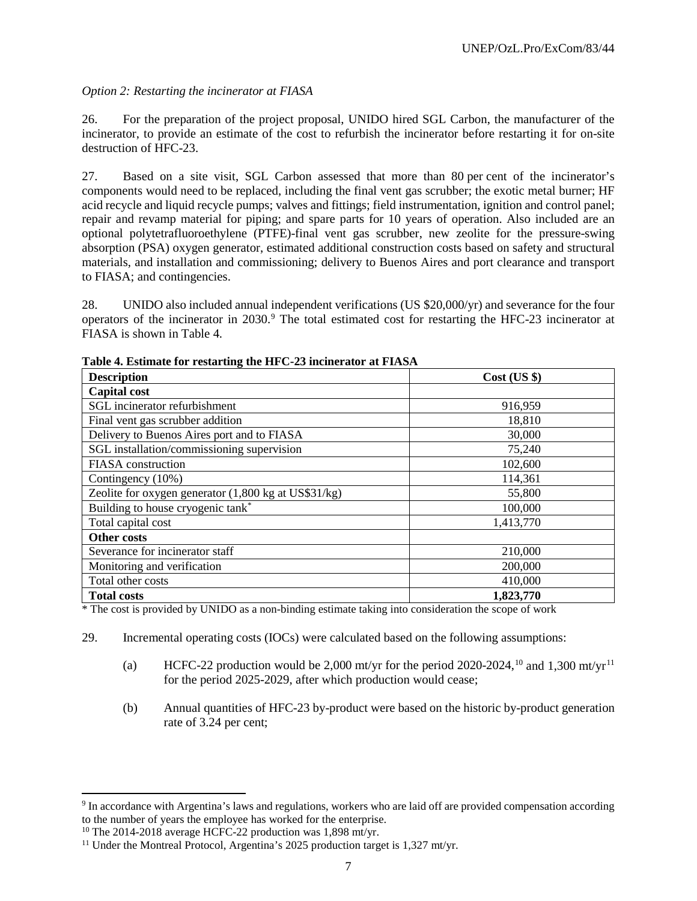## *Option 2: Restarting the incinerator at FIASA*

26. For the preparation of the project proposal, UNIDO hired SGL Carbon, the manufacturer of the incinerator, to provide an estimate of the cost to refurbish the incinerator before restarting it for on-site destruction of HFC-23.

27. Based on a site visit, SGL Carbon assessed that more than 80 per cent of the incinerator's components would need to be replaced, including the final vent gas scrubber; the exotic metal burner; HF acid recycle and liquid recycle pumps; valves and fittings; field instrumentation, ignition and control panel; repair and revamp material for piping; and spare parts for 10 years of operation. Also included are an optional polytetrafluoroethylene (PTFE)-final vent gas scrubber, new zeolite for the pressure-swing absorption (PSA) oxygen generator, estimated additional construction costs based on safety and structural materials, and installation and commissioning; delivery to Buenos Aires and port clearance and transport to FIASA; and contingencies.

28. UNIDO also included annual independent verifications (US \$20,000/yr) and severance for the four operators of the incinerator in 2030.<sup>[9](#page-49-0)</sup> The total estimated cost for restarting the HFC-23 incinerator at FIASA is shown in Table 4.

| <b>Description</b>                                   | $Cost$ (US $\})$ |
|------------------------------------------------------|------------------|
| <b>Capital cost</b>                                  |                  |
| SGL incinerator refurbishment                        | 916,959          |
| Final vent gas scrubber addition                     | 18,810           |
| Delivery to Buenos Aires port and to FIASA           | 30,000           |
| SGL installation/commissioning supervision           | 75,240           |
| FIASA construction                                   | 102,600          |
| Contingency (10%)                                    | 114,361          |
| Zeolite for oxygen generator (1,800 kg at US\$31/kg) | 55,800           |
| Building to house cryogenic tank*                    | 100,000          |
| Total capital cost                                   | 1,413,770        |
| Other costs                                          |                  |
| Severance for incinerator staff                      | 210,000          |
| Monitoring and verification                          | 200,000          |
| Total other costs                                    | 410,000          |
| <b>Total costs</b>                                   | 1,823,770        |

**Table 4. Estimate for restarting the HFC-23 incinerator at FIASA**

\* The cost is provided by UNIDO as a non-binding estimate taking into consideration the scope of work

- 29. Incremental operating costs (IOCs) were calculated based on the following assumptions:
	- (a) HCFC-22 production would be 2,000 mt/yr for the period 2020-2024,<sup>[10](#page-49-1)</sup> and 1,300 mt/yr<sup>[11](#page-49-2)</sup> for the period 2025-2029, after which production would cease;
	- (b) Annual quantities of HFC-23 by-product were based on the historic by-product generation rate of 3.24 per cent;

<span id="page-49-0"></span><sup>&</sup>lt;sup>9</sup> In accordance with Argentina's laws and regulations, workers who are laid off are provided compensation according to the number of years the employee has worked for the enterprise.

<span id="page-49-1"></span><sup>&</sup>lt;sup>10</sup> The 2014-2018 average HCFC-22 production was  $1,898$  mt/yr.

<span id="page-49-2"></span><sup>&</sup>lt;sup>11</sup> Under the Montreal Protocol, Argentina's 2025 production target is 1,327 mt/yr.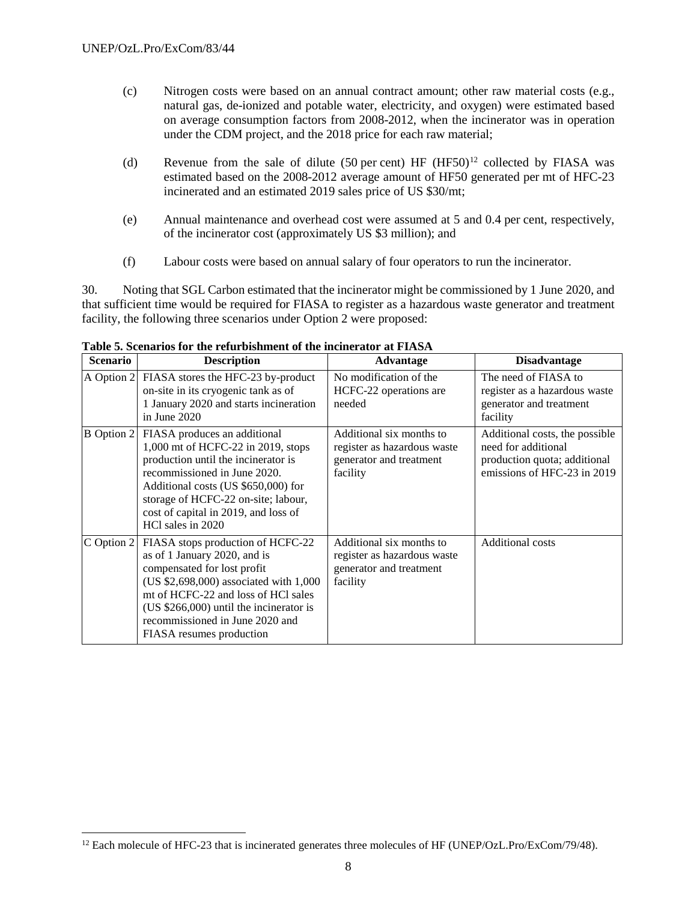- (c) Nitrogen costs were based on an annual contract amount; other raw material costs (e.g., natural gas, de-ionized and potable water, electricity, and oxygen) were estimated based on average consumption factors from 2008-2012, when the incinerator was in operation under the CDM project, and the 2018 price for each raw material;
- (d) Revenue from the sale of dilute (50 per cent) HF  $(HF50)^{12}$  $(HF50)^{12}$  $(HF50)^{12}$  collected by FIASA was estimated based on the 2008-2012 average amount of HF50 generated per mt of HFC-23 incinerated and an estimated 2019 sales price of US \$30/mt;
- (e) Annual maintenance and overhead cost were assumed at 5 and 0.4 per cent, respectively, of the incinerator cost (approximately US \$3 million); and
- (f) Labour costs were based on annual salary of four operators to run the incinerator.

30. Noting that SGL Carbon estimated that the incinerator might be commissioned by 1 June 2020, and that sufficient time would be required for FIASA to register as a hazardous waste generator and treatment facility, the following three scenarios under Option 2 were proposed:

| <b>Scenario</b>   | <b>Description</b>                                                                                                                                                                                                                                                                           | Advantage                                                                                      | <b>Disadvantage</b>                                                                                                  |
|-------------------|----------------------------------------------------------------------------------------------------------------------------------------------------------------------------------------------------------------------------------------------------------------------------------------------|------------------------------------------------------------------------------------------------|----------------------------------------------------------------------------------------------------------------------|
| A Option 2        | FIASA stores the HFC-23 by-product<br>on-site in its cryogenic tank as of<br>1 January 2020 and starts incineration<br>in June $2020$                                                                                                                                                        | No modification of the<br>HCFC-22 operations are<br>needed                                     | The need of FIASA to<br>register as a hazardous waste<br>generator and treatment<br>facility                         |
| <b>B</b> Option 2 | FIASA produces an additional<br>1,000 mt of HCFC-22 in 2019, stops<br>production until the incinerator is<br>recommissioned in June 2020.<br>Additional costs (US \$650,000) for<br>storage of HCFC-22 on-site; labour,<br>cost of capital in 2019, and loss of<br>HCl sales in 2020         | Additional six months to<br>register as hazardous waste<br>generator and treatment<br>facility | Additional costs, the possible<br>need for additional<br>production quota; additional<br>emissions of HFC-23 in 2019 |
| C Option 2        | FIASA stops production of HCFC-22<br>as of 1 January 2020, and is<br>compensated for lost profit<br>(US \$2,698,000) associated with 1,000<br>mt of HCFC-22 and loss of HCl sales<br>$(US $266,000)$ until the incinerator is<br>recommissioned in June 2020 and<br>FIASA resumes production | Additional six months to<br>register as hazardous waste<br>generator and treatment<br>facility | <b>Additional costs</b>                                                                                              |

**Table 5. Scenarios for the refurbishment of the incinerator at FIASA**

<span id="page-50-0"></span><sup>&</sup>lt;sup>12</sup> Each molecule of HFC-23 that is incinerated generates three molecules of HF (UNEP/OzL.Pro/ExCom/79/48).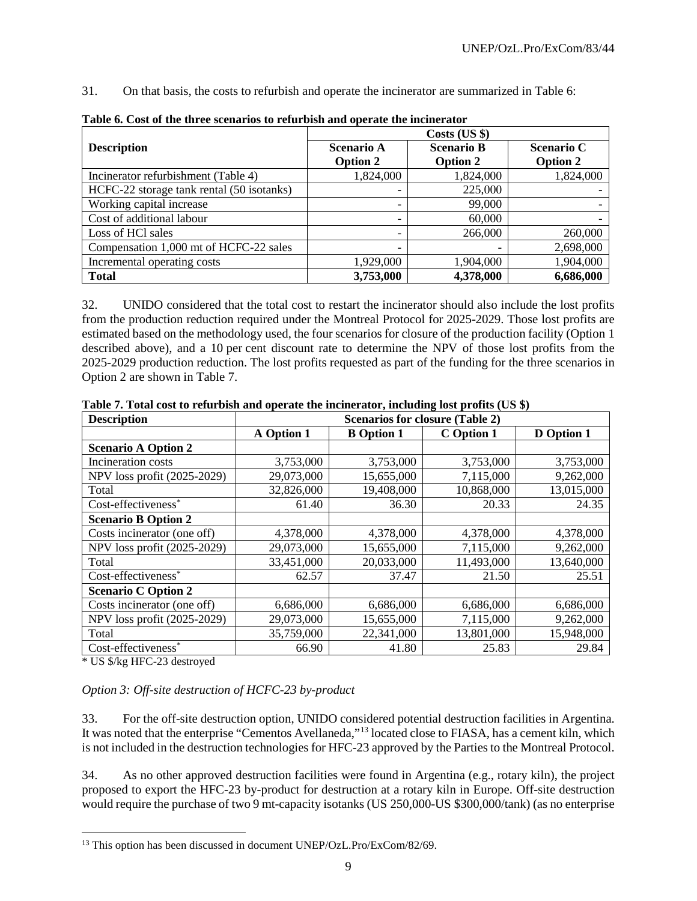31. On that basis, the costs to refurbish and operate the incinerator are summarized in Table 6:

|                                           | Costs (US \$)     |                   |                   |  |  |  |
|-------------------------------------------|-------------------|-------------------|-------------------|--|--|--|
| <b>Description</b>                        | <b>Scenario A</b> | <b>Scenario B</b> | <b>Scenario C</b> |  |  |  |
|                                           | <b>Option 2</b>   | <b>Option 2</b>   | <b>Option 2</b>   |  |  |  |
| Incinerator refurbishment (Table 4)       | 1,824,000         | 1,824,000         | 1,824,000         |  |  |  |
| HCFC-22 storage tank rental (50 isotanks) |                   | 225,000           |                   |  |  |  |
| Working capital increase                  |                   | 99,000            |                   |  |  |  |
| Cost of additional labour                 |                   | 60,000            |                   |  |  |  |
| Loss of HCl sales                         |                   | 266,000           | 260,000           |  |  |  |
| Compensation 1,000 mt of HCFC-22 sales    |                   |                   | 2,698,000         |  |  |  |
| Incremental operating costs               | 1,929,000         | 1,904,000         | 1,904,000         |  |  |  |
| <b>Total</b>                              | 3,753,000         | 4,378,000         | 6,686,000         |  |  |  |

**Table 6. Cost of the three scenarios to refurbish and operate the incinerator**

32. UNIDO considered that the total cost to restart the incinerator should also include the lost profits from the production reduction required under the Montreal Protocol for 2025-2029. Those lost profits are estimated based on the methodology used, the four scenarios for closure of the production facility (Option 1 described above), and a 10 per cent discount rate to determine the NPV of those lost profits from the 2025-2029 production reduction. The lost profits requested as part of the funding for the three scenarios in Option 2 are shown in Table 7.

| <b>Description</b>          | <b>Scenarios for closure (Table 2)</b> |                   |            |                   |  |
|-----------------------------|----------------------------------------|-------------------|------------|-------------------|--|
|                             | A Option 1                             | <b>B</b> Option 1 | C Option 1 | <b>D</b> Option 1 |  |
| <b>Scenario A Option 2</b>  |                                        |                   |            |                   |  |
| Incineration costs          | 3,753,000                              | 3,753,000         | 3,753,000  | 3,753,000         |  |
| NPV loss profit (2025-2029) | 29,073,000                             | 15,655,000        | 7,115,000  | 9,262,000         |  |
| Total                       | 32,826,000                             | 19,408,000        | 10,868,000 | 13,015,000        |  |
| Cost-effectiveness*         | 61.40                                  | 36.30             | 20.33      | 24.35             |  |
| <b>Scenario B Option 2</b>  |                                        |                   |            |                   |  |
| Costs incinerator (one off) | 4,378,000                              | 4,378,000         | 4,378,000  | 4,378,000         |  |
| NPV loss profit (2025-2029) | 29,073,000                             | 15,655,000        | 7,115,000  | 9,262,000         |  |
| Total                       | 33,451,000                             | 20,033,000        | 11,493,000 | 13,640,000        |  |
| Cost-effectiveness*         | 62.57                                  | 37.47             | 21.50      | 25.51             |  |
| <b>Scenario C Option 2</b>  |                                        |                   |            |                   |  |
| Costs incinerator (one off) | 6,686,000                              | 6,686,000         | 6,686,000  | 6,686,000         |  |
| NPV loss profit (2025-2029) | 29,073,000                             | 15,655,000        | 7,115,000  | 9,262,000         |  |
| Total                       | 35,759,000                             | 22,341,000        | 13,801,000 | 15,948,000        |  |
| Cost-effectiveness*         | 66.90                                  | 41.80             | 25.83      | 29.84             |  |

**Table 7. Total cost to refurbish and operate the incinerator, including lost profits (US \$)**

\* US \$/kg HFC-23 destroyed

#### *Option 3: Off-site destruction of HCFC-23 by-product*

33. For the off-site destruction option, UNIDO considered potential destruction facilities in Argentina. It was noted that the enterprise "Cementos Avellaneda,"<sup>[13](#page-51-0)</sup> located close to FIASA, has a cement kiln, which is not included in the destruction technologies for HFC-23 approved by the Parties to the Montreal Protocol.

34. As no other approved destruction facilities were found in Argentina (e.g., rotary kiln), the project proposed to export the HFC-23 by-product for destruction at a rotary kiln in Europe. Off-site destruction would require the purchase of two 9 mt-capacity isotanks (US 250,000-US \$300,000/tank) (as no enterprise

<span id="page-51-0"></span><sup>&</sup>lt;sup>13</sup> This option has been discussed in document UNEP/OzL.Pro/ExCom/82/69.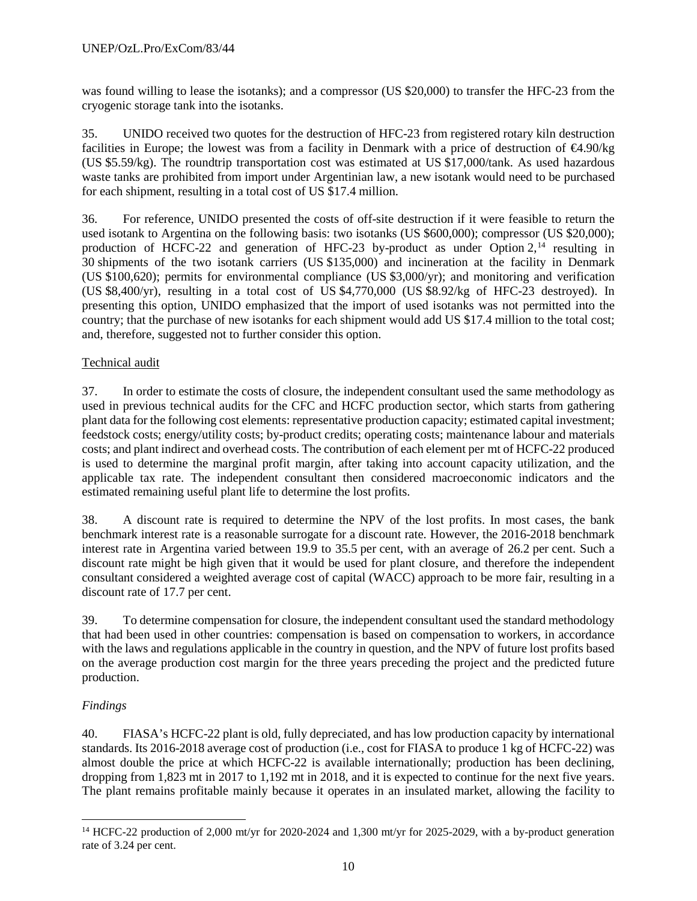was found willing to lease the isotanks); and a compressor (US \$20,000) to transfer the HFC-23 from the cryogenic storage tank into the isotanks.

35. UNIDO received two quotes for the destruction of HFC-23 from registered rotary kiln destruction facilities in Europe; the lowest was from a facility in Denmark with a price of destruction of €4.90/kg (US \$5.59/kg). The roundtrip transportation cost was estimated at US \$17,000/tank. As used hazardous waste tanks are prohibited from import under Argentinian law, a new isotank would need to be purchased for each shipment, resulting in a total cost of US \$17.4 million.

36. For reference, UNIDO presented the costs of off-site destruction if it were feasible to return the used isotank to Argentina on the following basis: two isotanks (US \$600,000); compressor (US \$20,000); production of HCFC-22 and generation of HFC-23 by-product as under Option  $2$ ,<sup>[14](#page-52-0)</sup> resulting in 30 shipments of the two isotank carriers (US \$135,000) and incineration at the facility in Denmark (US \$100,620); permits for environmental compliance (US \$3,000/yr); and monitoring and verification (US \$8,400/yr), resulting in a total cost of US \$4,770,000 (US \$8.92/kg of HFC-23 destroyed). In presenting this option, UNIDO emphasized that the import of used isotanks was not permitted into the country; that the purchase of new isotanks for each shipment would add US \$17.4 million to the total cost; and, therefore, suggested not to further consider this option.

# Technical audit

37. In order to estimate the costs of closure, the independent consultant used the same methodology as used in previous technical audits for the CFC and HCFC production sector, which starts from gathering plant data for the following cost elements: representative production capacity; estimated capital investment; feedstock costs; energy/utility costs; by-product credits; operating costs; maintenance labour and materials costs; and plant indirect and overhead costs. The contribution of each element per mt of HCFC-22 produced is used to determine the marginal profit margin, after taking into account capacity utilization, and the applicable tax rate. The independent consultant then considered macroeconomic indicators and the estimated remaining useful plant life to determine the lost profits.

38. A discount rate is required to determine the NPV of the lost profits. In most cases, the bank benchmark interest rate is a reasonable surrogate for a discount rate. However, the 2016-2018 benchmark interest rate in Argentina varied between 19.9 to 35.5 per cent, with an average of 26.2 per cent. Such a discount rate might be high given that it would be used for plant closure, and therefore the independent consultant considered a weighted average cost of capital (WACC) approach to be more fair, resulting in a discount rate of 17.7 per cent.

39. To determine compensation for closure, the independent consultant used the standard methodology that had been used in other countries: compensation is based on compensation to workers, in accordance with the laws and regulations applicable in the country in question, and the NPV of future lost profits based on the average production cost margin for the three years preceding the project and the predicted future production.

# *Findings*

40. FIASA's HCFC-22 plant is old, fully depreciated, and has low production capacity by international standards. Its 2016-2018 average cost of production (i.e., cost for FIASA to produce 1 kg of HCFC-22) was almost double the price at which HCFC-22 is available internationally; production has been declining, dropping from 1,823 mt in 2017 to 1,192 mt in 2018, and it is expected to continue for the next five years. The plant remains profitable mainly because it operates in an insulated market, allowing the facility to

<span id="page-52-0"></span><sup>&</sup>lt;sup>14</sup> HCFC-22 production of 2,000 mt/yr for 2020-2024 and 1,300 mt/yr for 2025-2029, with a by-product generation rate of 3.24 per cent.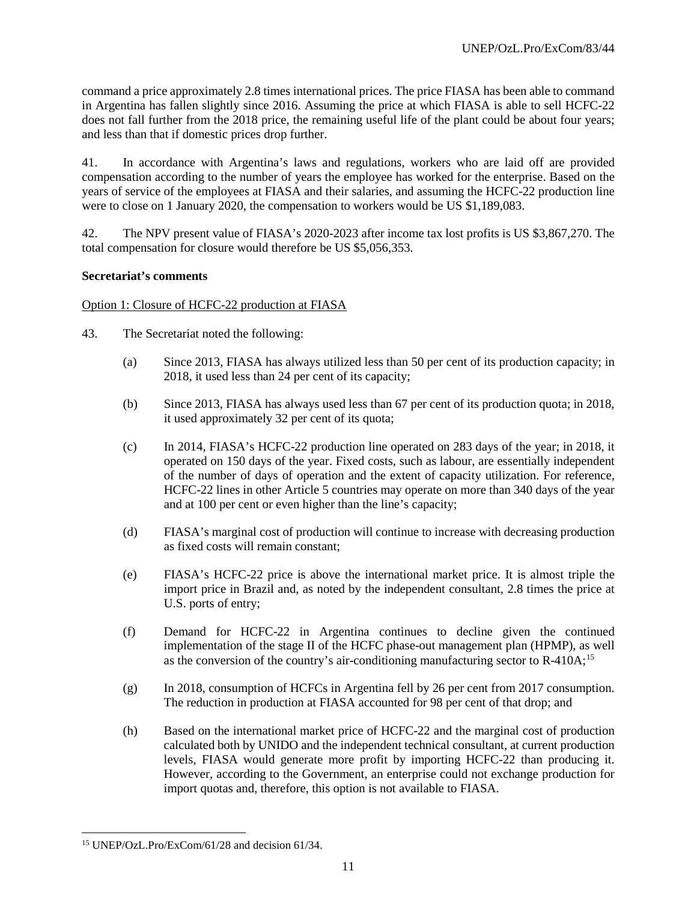command a price approximately 2.8 times international prices. The price FIASA has been able to command in Argentina has fallen slightly since 2016. Assuming the price at which FIASA is able to sell HCFC-22 does not fall further from the 2018 price, the remaining useful life of the plant could be about four years; and less than that if domestic prices drop further.

41. In accordance with Argentina's laws and regulations, workers who are laid off are provided compensation according to the number of years the employee has worked for the enterprise. Based on the years of service of the employees at FIASA and their salaries, and assuming the HCFC-22 production line were to close on 1 January 2020, the compensation to workers would be US \$1,189,083.

42. The NPV present value of FIASA's 2020-2023 after income tax lost profits is US \$3,867,270. The total compensation for closure would therefore be US \$5,056,353.

#### **Secretariat's comments**

#### Option 1: Closure of HCFC-22 production at FIASA

- 43. The Secretariat noted the following:
	- (a) Since 2013, FIASA has always utilized less than 50 per cent of its production capacity; in 2018, it used less than 24 per cent of its capacity;
	- (b) Since 2013, FIASA has always used less than 67 per cent of its production quota; in 2018, it used approximately 32 per cent of its quota;
	- (c) In 2014, FIASA's HCFC-22 production line operated on 283 days of the year; in 2018, it operated on 150 days of the year. Fixed costs, such as labour, are essentially independent of the number of days of operation and the extent of capacity utilization. For reference, HCFC-22 lines in other Article 5 countries may operate on more than 340 days of the year and at 100 per cent or even higher than the line's capacity;
	- (d) FIASA's marginal cost of production will continue to increase with decreasing production as fixed costs will remain constant;
	- (e) FIASA's HCFC-22 price is above the international market price. It is almost triple the import price in Brazil and, as noted by the independent consultant, 2.8 times the price at U.S. ports of entry;
	- (f) Demand for HCFC-22 in Argentina continues to decline given the continued implementation of the stage II of the HCFC phase-out management plan (HPMP), as well as the conversion of the country's air-conditioning manufacturing sector to R-410A;[15](#page-53-0)
	- (g) In 2018, consumption of HCFCs in Argentina fell by 26 per cent from 2017 consumption. The reduction in production at FIASA accounted for 98 per cent of that drop; and
	- (h) Based on the international market price of HCFC-22 and the marginal cost of production calculated both by UNIDO and the independent technical consultant, at current production levels, FIASA would generate more profit by importing HCFC-22 than producing it. However, according to the Government, an enterprise could not exchange production for import quotas and, therefore, this option is not available to FIASA.

<span id="page-53-0"></span> <sup>15</sup> UNEP/OzL.Pro/ExCom/61/28 and decision 61/34.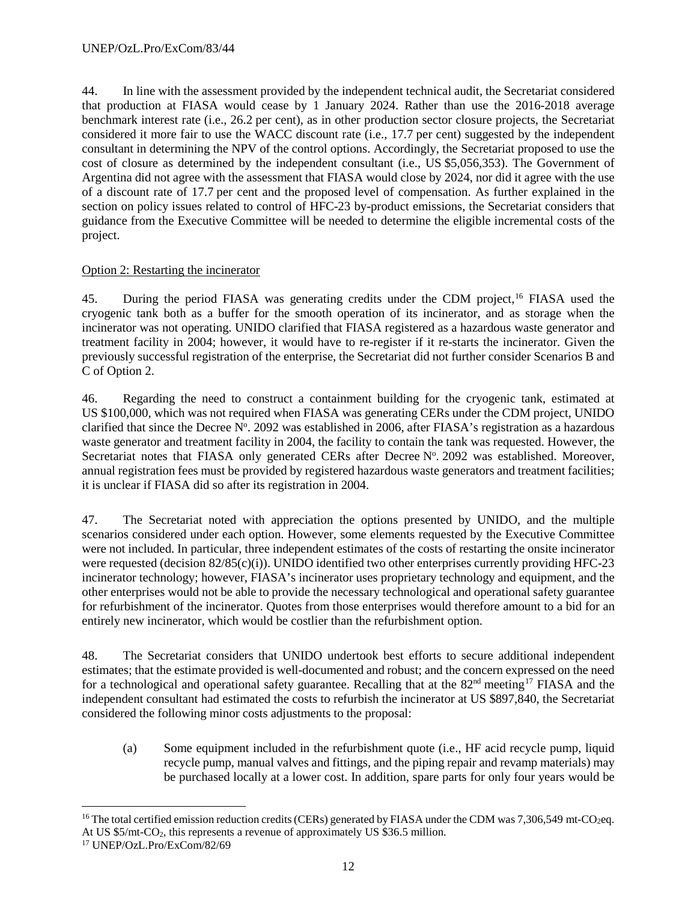44. In line with the assessment provided by the independent technical audit, the Secretariat considered that production at FIASA would cease by 1 January 2024. Rather than use the 2016-2018 average benchmark interest rate (i.e., 26.2 per cent), as in other production sector closure projects, the Secretariat considered it more fair to use the WACC discount rate (i.e., 17.7 per cent) suggested by the independent consultant in determining the NPV of the control options. Accordingly, the Secretariat proposed to use the cost of closure as determined by the independent consultant (i.e., US \$5,056,353). The Government of Argentina did not agree with the assessment that FIASA would close by 2024, nor did it agree with the use of a discount rate of 17.7 per cent and the proposed level of compensation. As further explained in the section on policy issues related to control of HFC-23 by-product emissions, the Secretariat considers that guidance from the Executive Committee will be needed to determine the eligible incremental costs of the project.

# Option 2: Restarting the incinerator

45. During the period FIASA was generating credits under the CDM project,<sup>[16](#page-54-0)</sup> FIASA used the cryogenic tank both as a buffer for the smooth operation of its incinerator, and as storage when the incinerator was not operating. UNIDO clarified that FIASA registered as a hazardous waste generator and treatment facility in 2004; however, it would have to re-register if it re-starts the incinerator. Given the previously successful registration of the enterprise, the Secretariat did not further consider Scenarios B and C of Option 2.

46. Regarding the need to construct a containment building for the cryogenic tank, estimated at US \$100,000, which was not required when FIASA was generating CERs under the CDM project, UNIDO clarified that since the Decree  $N^{\circ}$ . 2092 was established in 2006, after FIASA's registration as a hazardous waste generator and treatment facility in 2004, the facility to contain the tank was requested. However, the Secretariat notes that FIASA only generated CERs after Decree Nº. 2092 was established. Moreover, annual registration fees must be provided by registered hazardous waste generators and treatment facilities; it is unclear if FIASA did so after its registration in 2004.

47. The Secretariat noted with appreciation the options presented by UNIDO, and the multiple scenarios considered under each option. However, some elements requested by the Executive Committee were not included. In particular, three independent estimates of the costs of restarting the onsite incinerator were requested (decision  $82/85(c)(i)$ ). UNIDO identified two other enterprises currently providing HFC-23 incinerator technology; however, FIASA's incinerator uses proprietary technology and equipment, and the other enterprises would not be able to provide the necessary technological and operational safety guarantee for refurbishment of the incinerator. Quotes from those enterprises would therefore amount to a bid for an entirely new incinerator, which would be costlier than the refurbishment option.

48. The Secretariat considers that UNIDO undertook best efforts to secure additional independent estimates; that the estimate provided is well-documented and robust; and the concern expressed on the need for a technological and operational safety guarantee. Recalling that at the  $82<sup>nd</sup>$  meeting<sup>[17](#page-54-1)</sup> FIASA and the independent consultant had estimated the costs to refurbish the incinerator at US \$897,840, the Secretariat considered the following minor costs adjustments to the proposal:

(a) Some equipment included in the refurbishment quote (i.e., HF acid recycle pump, liquid recycle pump, manual valves and fittings, and the piping repair and revamp materials) may be purchased locally at a lower cost. In addition, spare parts for only four years would be

<span id="page-54-0"></span><sup>&</sup>lt;sup>16</sup> The total certified emission reduction credits (CERs) generated by FIASA under the CDM was 7,306,549 mt-CO<sub>2</sub>eq. At US \$5/mt-CO2, this represents a revenue of approximately US \$36.5 million.

<span id="page-54-1"></span><sup>17</sup> UNEP/OzL.Pro/ExCom/82/69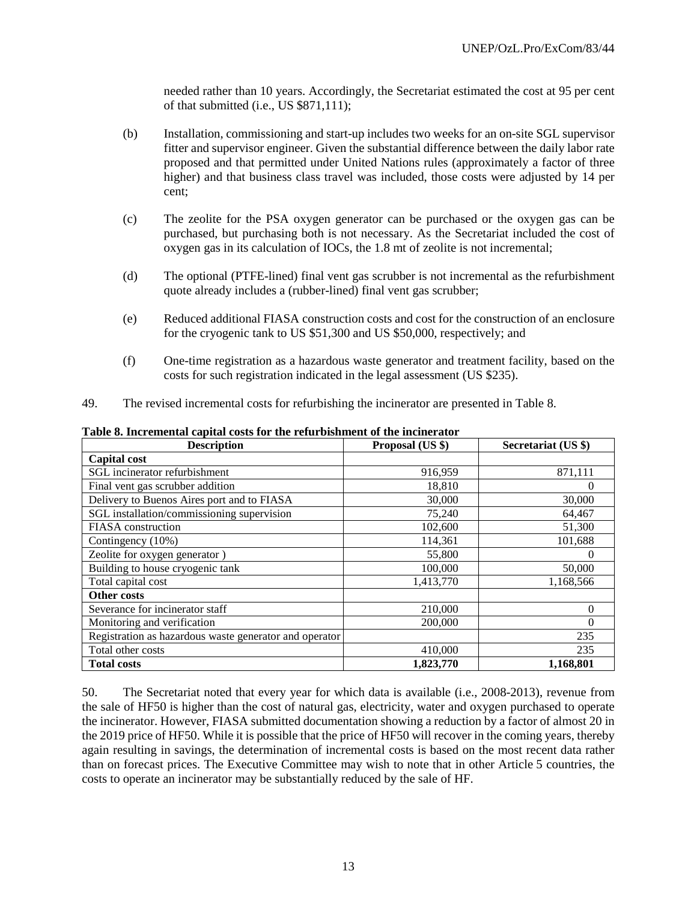needed rather than 10 years. Accordingly, the Secretariat estimated the cost at 95 per cent of that submitted (i.e., US \$871,111);

- (b) Installation, commissioning and start-up includes two weeks for an on-site SGL supervisor fitter and supervisor engineer. Given the substantial difference between the daily labor rate proposed and that permitted under United Nations rules (approximately a factor of three higher) and that business class travel was included, those costs were adjusted by 14 per cent;
- (c) The zeolite for the PSA oxygen generator can be purchased or the oxygen gas can be purchased, but purchasing both is not necessary. As the Secretariat included the cost of oxygen gas in its calculation of IOCs, the 1.8 mt of zeolite is not incremental;
- (d) The optional (PTFE-lined) final vent gas scrubber is not incremental as the refurbishment quote already includes a (rubber-lined) final vent gas scrubber;
- (e) Reduced additional FIASA construction costs and cost for the construction of an enclosure for the cryogenic tank to US \$51,300 and US \$50,000, respectively; and
- (f) One-time registration as a hazardous waste generator and treatment facility, based on the costs for such registration indicated in the legal assessment (US \$235).
- 49. The revised incremental costs for refurbishing the incinerator are presented in Table 8.

| <b>Description</b>                                     | Proposal (US \$) | Secretariat (US \$) |
|--------------------------------------------------------|------------------|---------------------|
| <b>Capital cost</b>                                    |                  |                     |
| SGL incinerator refurbishment                          | 916,959          | 871,111             |
| Final vent gas scrubber addition                       | 18,810           | 0                   |
| Delivery to Buenos Aires port and to FIASA             | 30,000           | 30,000              |
| SGL installation/commissioning supervision             | 75,240           | 64,467              |
| <b>FIASA</b> construction                              | 102,600          | 51,300              |
| Contingency (10%)                                      | 114,361          | 101,688             |
| Zeolite for oxygen generator)                          | 55,800           | $\Omega$            |
| Building to house cryogenic tank                       | 100,000          | 50,000              |
| Total capital cost                                     | 1,413,770        | 1,168,566           |
| Other costs                                            |                  |                     |
| Severance for incinerator staff                        | 210,000          | 0                   |
| Monitoring and verification                            | 200,000          | 0                   |
| Registration as hazardous waste generator and operator |                  | 235                 |
| Total other costs                                      | 410,000          | 235                 |
| <b>Total costs</b>                                     | 1,823,770        | 1,168,801           |

**Table 8. Incremental capital costs for the refurbishment of the incinerator**

50. The Secretariat noted that every year for which data is available (i.e., 2008-2013), revenue from the sale of HF50 is higher than the cost of natural gas, electricity, water and oxygen purchased to operate the incinerator. However, FIASA submitted documentation showing a reduction by a factor of almost 20 in the 2019 price of HF50. While it is possible that the price of HF50 will recover in the coming years, thereby again resulting in savings, the determination of incremental costs is based on the most recent data rather than on forecast prices. The Executive Committee may wish to note that in other Article 5 countries, the costs to operate an incinerator may be substantially reduced by the sale of HF.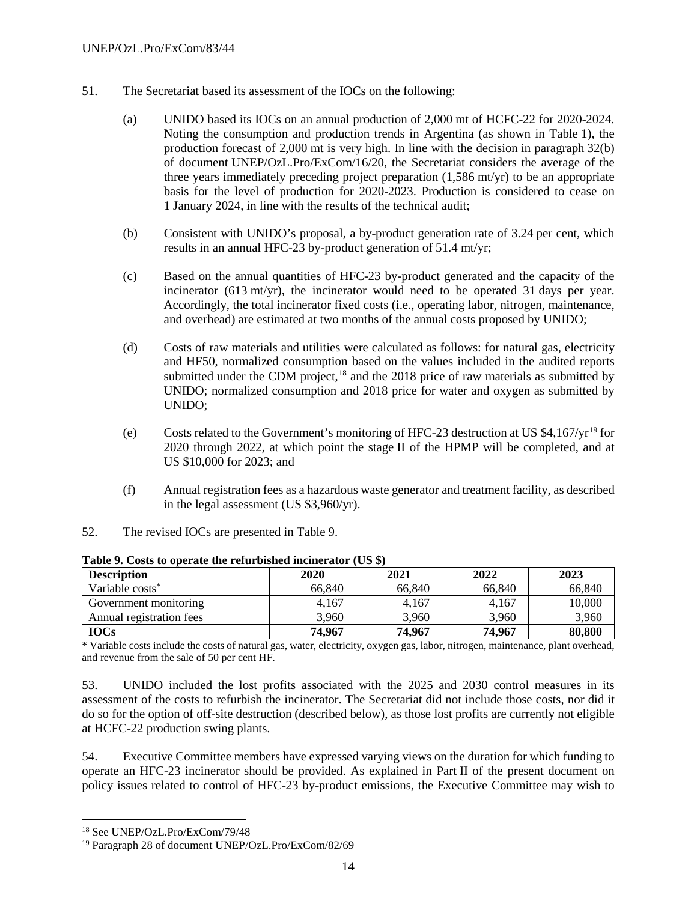- 51. The Secretariat based its assessment of the IOCs on the following:
	- (a) UNIDO based its IOCs on an annual production of 2,000 mt of HCFC-22 for 2020-2024. Noting the consumption and production trends in Argentina (as shown in Table 1), the production forecast of 2,000 mt is very high. In line with the decision in paragraph 32(b) of document UNEP/OzL.Pro/ExCom/16/20, the Secretariat considers the average of the three years immediately preceding project preparation (1,586 mt/yr) to be an appropriate basis for the level of production for 2020-2023. Production is considered to cease on 1 January 2024, in line with the results of the technical audit;
	- (b) Consistent with UNIDO's proposal, a by-product generation rate of 3.24 per cent, which results in an annual HFC-23 by-product generation of 51.4 mt/yr;
	- (c) Based on the annual quantities of HFC-23 by-product generated and the capacity of the incinerator (613 mt/yr), the incinerator would need to be operated 31 days per year. Accordingly, the total incinerator fixed costs (i.e., operating labor, nitrogen, maintenance, and overhead) are estimated at two months of the annual costs proposed by UNIDO;
	- (d) Costs of raw materials and utilities were calculated as follows: for natural gas, electricity and HF50, normalized consumption based on the values included in the audited reports submitted under the CDM project,  $18$  and the 2018 price of raw materials as submitted by UNIDO; normalized consumption and 2018 price for water and oxygen as submitted by UNIDO;
	- (e) Costs related to the Government's monitoring of HFC-23 destruction at US  $$4.167/yr^{19}$  $$4.167/yr^{19}$  $$4.167/yr^{19}$  for 2020 through 2022, at which point the stage II of the HPMP will be completed, and at US \$10,000 for 2023; and
	- (f) Annual registration fees as a hazardous waste generator and treatment facility, as described in the legal assessment (US \$3,960/yr).
- 52. The revised IOCs are presented in Table 9.

| <b>Description</b>          | 2020   | 2021   | 2022   | 2023   |
|-----------------------------|--------|--------|--------|--------|
| Variable costs <sup>*</sup> | 66,840 | 66.840 | 66.840 | 66,840 |
| Government monitoring       | 4.167  | 4.167  | 4,167  | 10,000 |
| Annual registration fees    | 3.960  | 3,960  | 3.960  | 3,960  |
| <b>IOCs</b>                 | 74,967 | 74,967 | 74,967 | 80,800 |

**Table 9. Costs to operate the refurbished incinerator (US \$)** 

\* Variable costs include the costs of natural gas, water, electricity, oxygen gas, labor, nitrogen, maintenance, plant overhead, and revenue from the sale of 50 per cent HF.

53. UNIDO included the lost profits associated with the 2025 and 2030 control measures in its assessment of the costs to refurbish the incinerator. The Secretariat did not include those costs, nor did it do so for the option of off-site destruction (described below), as those lost profits are currently not eligible at HCFC-22 production swing plants.

54. Executive Committee members have expressed varying views on the duration for which funding to operate an HFC-23 incinerator should be provided. As explained in Part II of the present document on policy issues related to control of HFC-23 by-product emissions, the Executive Committee may wish to

<span id="page-56-0"></span> <sup>18</sup> See UNEP/OzL.Pro/ExCom/79/48

<span id="page-56-1"></span><sup>19</sup> Paragraph 28 of document UNEP/OzL.Pro/ExCom/82/69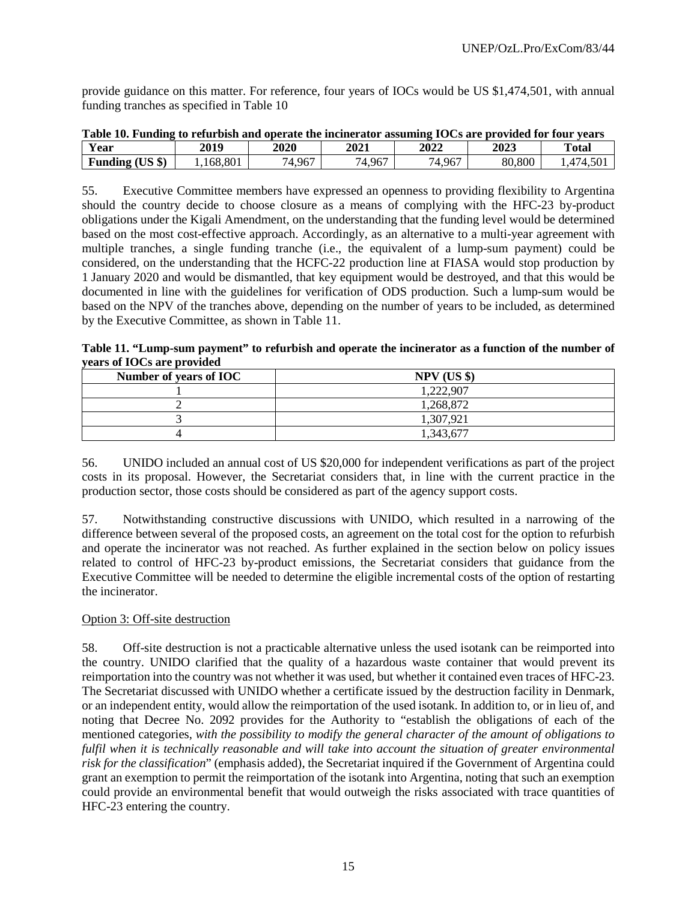provide guidance on this matter. For reference, four years of IOCs would be US \$1,474,501, with annual funding tranches as specified in Table 10

| Table 10. Funding to refurbish and operate the incinerator assuming IOCs are provided for four vears |          |        |        |        |        |         |
|------------------------------------------------------------------------------------------------------|----------|--------|--------|--------|--------|---------|
| Year                                                                                                 | 2019     | 2020   | 2021   | 2022   | 2023   | Total   |
| Funding (US \$)                                                                                      | .168.801 | '4.967 | 74.967 | 74.967 | 80,800 | .474.50 |

**Table 10. Funding to refurbish and operate the incinerator assuming IOCs are provided for four years**

55. Executive Committee members have expressed an openness to providing flexibility to Argentina should the country decide to choose closure as a means of complying with the HFC-23 by-product obligations under the Kigali Amendment, on the understanding that the funding level would be determined based on the most cost-effective approach. Accordingly, as an alternative to a multi-year agreement with multiple tranches, a single funding tranche (i.e., the equivalent of a lump-sum payment) could be considered, on the understanding that the HCFC-22 production line at FIASA would stop production by 1 January 2020 and would be dismantled, that key equipment would be destroyed, and that this would be documented in line with the guidelines for verification of ODS production. Such a lump-sum would be based on the NPV of the tranches above, depending on the number of years to be included, as determined by the Executive Committee, as shown in Table 11.

**Table 11. "Lump-sum payment" to refurbish and operate the incinerator as a function of the number of years of IOCs are provided**

| Number of years of IOC | $NPV$ (US \$) |
|------------------------|---------------|
|                        | 1,222,907     |
|                        | 1,268,872     |
|                        | 1,307,921     |
|                        | 343.677       |

56. UNIDO included an annual cost of US \$20,000 for independent verifications as part of the project costs in its proposal. However, the Secretariat considers that, in line with the current practice in the production sector, those costs should be considered as part of the agency support costs.

57. Notwithstanding constructive discussions with UNIDO, which resulted in a narrowing of the difference between several of the proposed costs, an agreement on the total cost for the option to refurbish and operate the incinerator was not reached. As further explained in the section below on policy issues related to control of HFC-23 by-product emissions, the Secretariat considers that guidance from the Executive Committee will be needed to determine the eligible incremental costs of the option of restarting the incinerator.

# Option 3: Off-site destruction

58. Off-site destruction is not a practicable alternative unless the used isotank can be reimported into the country. UNIDO clarified that the quality of a hazardous waste container that would prevent its reimportation into the country was not whether it was used, but whether it contained even traces of HFC-23. The Secretariat discussed with UNIDO whether a certificate issued by the destruction facility in Denmark, or an independent entity, would allow the reimportation of the used isotank. In addition to, or in lieu of, and noting that Decree No. 2092 provides for the Authority to "establish the obligations of each of the mentioned categories, *with the possibility to modify the general character of the amount of obligations to fulfil when it is technically reasonable and will take into account the situation of greater environmental risk for the classification*" (emphasis added), the Secretariat inquired if the Government of Argentina could grant an exemption to permit the reimportation of the isotank into Argentina, noting that such an exemption could provide an environmental benefit that would outweigh the risks associated with trace quantities of HFC-23 entering the country.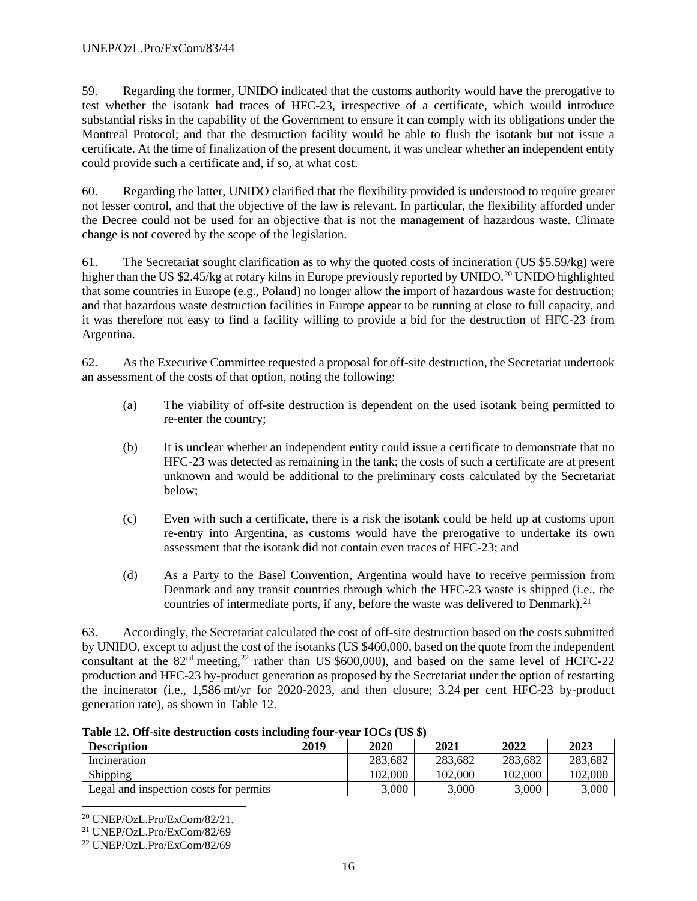59. Regarding the former, UNIDO indicated that the customs authority would have the prerogative to test whether the isotank had traces of HFC-23, irrespective of a certificate, which would introduce substantial risks in the capability of the Government to ensure it can comply with its obligations under the Montreal Protocol; and that the destruction facility would be able to flush the isotank but not issue a certificate. At the time of finalization of the present document, it was unclear whether an independent entity could provide such a certificate and, if so, at what cost.

60. Regarding the latter, UNIDO clarified that the flexibility provided is understood to require greater not lesser control, and that the objective of the law is relevant. In particular, the flexibility afforded under the Decree could not be used for an objective that is not the management of hazardous waste. Climate change is not covered by the scope of the legislation.

61. The Secretariat sought clarification as to why the quoted costs of incineration (US \$5.59/kg) were higher than the US \$2.45/kg at rotary kilns in Europe previously reported by UNIDO.<sup>[20](#page-58-0)</sup> UNIDO highlighted that some countries in Europe (e.g., Poland) no longer allow the import of hazardous waste for destruction; and that hazardous waste destruction facilities in Europe appear to be running at close to full capacity, and it was therefore not easy to find a facility willing to provide a bid for the destruction of HFC-23 from Argentina.

62. As the Executive Committee requested a proposal for off-site destruction, the Secretariat undertook an assessment of the costs of that option, noting the following:

- (a) The viability of off-site destruction is dependent on the used isotank being permitted to re-enter the country;
- (b) It is unclear whether an independent entity could issue a certificate to demonstrate that no HFC-23 was detected as remaining in the tank; the costs of such a certificate are at present unknown and would be additional to the preliminary costs calculated by the Secretariat below;
- (c) Even with such a certificate, there is a risk the isotank could be held up at customs upon re-entry into Argentina, as customs would have the prerogative to undertake its own assessment that the isotank did not contain even traces of HFC-23; and
- (d) As a Party to the Basel Convention, Argentina would have to receive permission from Denmark and any transit countries through which the HFC-23 waste is shipped (i.e., the countries of intermediate ports, if any, before the waste was delivered to Denmark).<sup>[21](#page-58-1)</sup>

63. Accordingly, the Secretariat calculated the cost of off-site destruction based on the costs submitted by UNIDO, except to adjust the cost of the isotanks (US \$460,000, based on the quote from the independent consultant at the 82<sup>nd</sup> meeting,<sup>[22](#page-58-2)</sup> rather than US \$600,000), and based on the same level of HCFC-22 production and HFC-23 by-product generation as proposed by the Secretariat under the option of restarting the incinerator (i.e., 1,586 mt/yr for 2020-2023, and then closure; 3.24 per cent HFC-23 by-product generation rate), as shown in Table 12.

| <b>Description</b>                     | 2019 | 2020    | 2021    | 2022    | 2023    |
|----------------------------------------|------|---------|---------|---------|---------|
| Incineration                           |      | 283,682 | 283,682 | 283,682 | 283,682 |
| Shipping                               |      | 102,000 | 102,000 | 102,000 | 102,000 |
| Legal and inspection costs for permits |      | 5,000   | 3.000   | 3.000   | 3,000   |

**Table 12. Off-site destruction costs including four-year IOCs (US \$)**

<span id="page-58-0"></span> <sup>20</sup> UNEP/OzL.Pro/ExCom/82/21.

<span id="page-58-1"></span><sup>21</sup> UNEP/OzL.Pro/ExCom/82/69

<span id="page-58-2"></span><sup>22</sup> UNEP/OzL.Pro/ExCom/82/69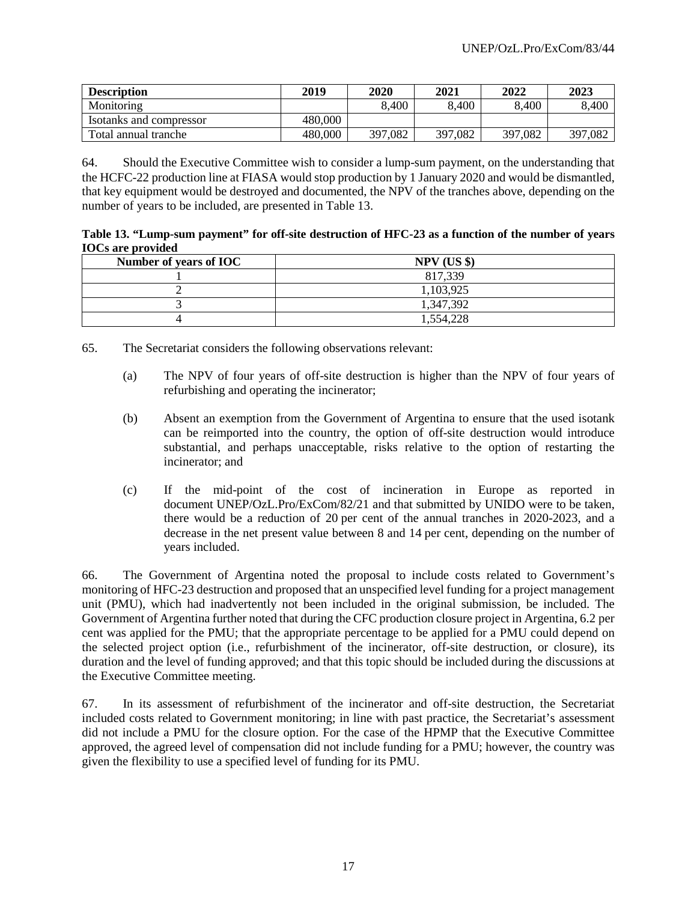| <b>Description</b>      | 2019    | 2020    | 2021    | 2022    | 2023    |
|-------------------------|---------|---------|---------|---------|---------|
| Monitoring              |         | 8,400   | 8,400   | 8.400   | 8,400   |
| Isotanks and compressor | 480,000 |         |         |         |         |
| Total annual tranche    | 480,000 | 397,082 | 397,082 | 397,082 | 397,082 |

64. Should the Executive Committee wish to consider a lump-sum payment, on the understanding that the HCFC-22 production line at FIASA would stop production by 1 January 2020 and would be dismantled, that key equipment would be destroyed and documented, the NPV of the tranches above, depending on the number of years to be included, are presented in Table 13.

|                          | Table 13. "Lump-sum payment" for off-site destruction of HFC-23 as a function of the number of years |  |  |
|--------------------------|------------------------------------------------------------------------------------------------------|--|--|
| <b>IOCs are provided</b> |                                                                                                      |  |  |

| Number of years of IOC | $NPV$ (US \$) |
|------------------------|---------------|
|                        | 817,339       |
|                        | 1,103,925     |
|                        | 1,347,392     |
|                        | 1,554,228     |

65. The Secretariat considers the following observations relevant:

- (a) The NPV of four years of off-site destruction is higher than the NPV of four years of refurbishing and operating the incinerator;
- (b) Absent an exemption from the Government of Argentina to ensure that the used isotank can be reimported into the country, the option of off-site destruction would introduce substantial, and perhaps unacceptable, risks relative to the option of restarting the incinerator; and
- (c) If the mid-point of the cost of incineration in Europe as reported in document UNEP/OzL.Pro/ExCom/82/21 and that submitted by UNIDO were to be taken, there would be a reduction of 20 per cent of the annual tranches in 2020-2023, and a decrease in the net present value between 8 and 14 per cent, depending on the number of years included.

66. The Government of Argentina noted the proposal to include costs related to Government's monitoring of HFC-23 destruction and proposed that an unspecified level funding for a project management unit (PMU), which had inadvertently not been included in the original submission, be included. The Government of Argentina further noted that during the CFC production closure project in Argentina, 6.2 per cent was applied for the PMU; that the appropriate percentage to be applied for a PMU could depend on the selected project option (i.e., refurbishment of the incinerator, off-site destruction, or closure), its duration and the level of funding approved; and that this topic should be included during the discussions at the Executive Committee meeting.

67. In its assessment of refurbishment of the incinerator and off-site destruction, the Secretariat included costs related to Government monitoring; in line with past practice, the Secretariat's assessment did not include a PMU for the closure option. For the case of the HPMP that the Executive Committee approved, the agreed level of compensation did not include funding for a PMU; however, the country was given the flexibility to use a specified level of funding for its PMU.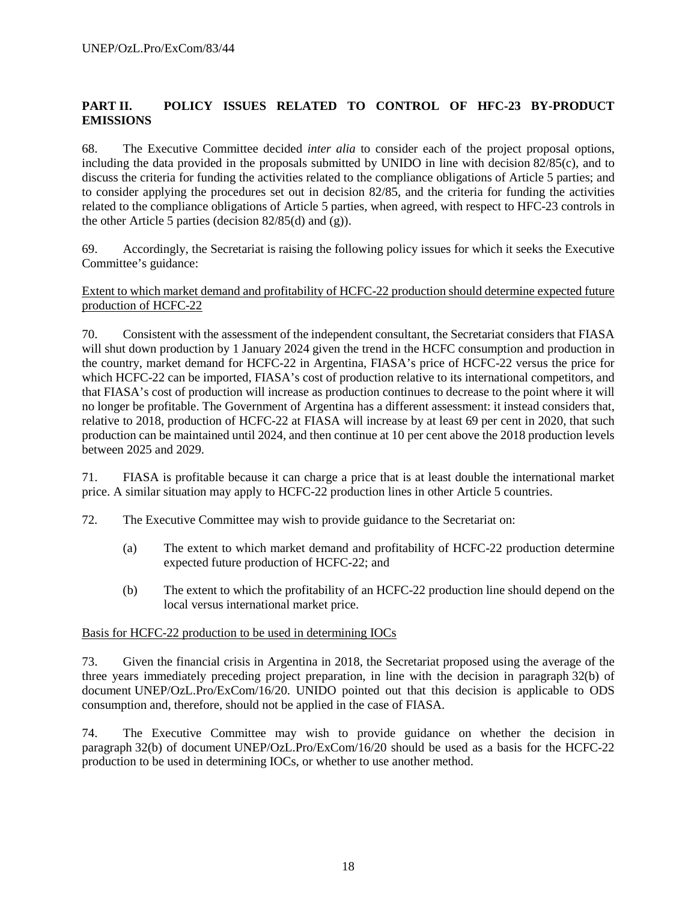# **PART II. POLICY ISSUES RELATED TO CONTROL OF HFC-23 BY-PRODUCT EMISSIONS**

68. The Executive Committee decided *inter alia* to consider each of the project proposal options, including the data provided in the proposals submitted by UNIDO in line with decision 82/85(c), and to discuss the criteria for funding the activities related to the compliance obligations of Article 5 parties; and to consider applying the procedures set out in decision 82/85, and the criteria for funding the activities related to the compliance obligations of Article 5 parties, when agreed, with respect to HFC-23 controls in the other Article 5 parties (decision 82/85(d) and (g)).

69. Accordingly, the Secretariat is raising the following policy issues for which it seeks the Executive Committee's guidance:

#### Extent to which market demand and profitability of HCFC-22 production should determine expected future production of HCFC-22

70. Consistent with the assessment of the independent consultant, the Secretariat considers that FIASA will shut down production by 1 January 2024 given the trend in the HCFC consumption and production in the country, market demand for HCFC-22 in Argentina, FIASA's price of HCFC-22 versus the price for which HCFC-22 can be imported, FIASA's cost of production relative to its international competitors, and that FIASA's cost of production will increase as production continues to decrease to the point where it will no longer be profitable. The Government of Argentina has a different assessment: it instead considers that, relative to 2018, production of HCFC-22 at FIASA will increase by at least 69 per cent in 2020, that such production can be maintained until 2024, and then continue at 10 per cent above the 2018 production levels between 2025 and 2029.

71. FIASA is profitable because it can charge a price that is at least double the international market price. A similar situation may apply to HCFC-22 production lines in other Article 5 countries.

- 72. The Executive Committee may wish to provide guidance to the Secretariat on:
	- (a) The extent to which market demand and profitability of HCFC-22 production determine expected future production of HCFC-22; and
	- (b) The extent to which the profitability of an HCFC-22 production line should depend on the local versus international market price.

#### Basis for HCFC-22 production to be used in determining IOCs

73. Given the financial crisis in Argentina in 2018, the Secretariat proposed using the average of the three years immediately preceding project preparation, in line with the decision in paragraph 32(b) of document UNEP/OzL.Pro/ExCom/16/20. UNIDO pointed out that this decision is applicable to ODS consumption and, therefore, should not be applied in the case of FIASA.

74. The Executive Committee may wish to provide guidance on whether the decision in paragraph 32(b) of document UNEP/OzL.Pro/ExCom/16/20 should be used as a basis for the HCFC-22 production to be used in determining IOCs, or whether to use another method.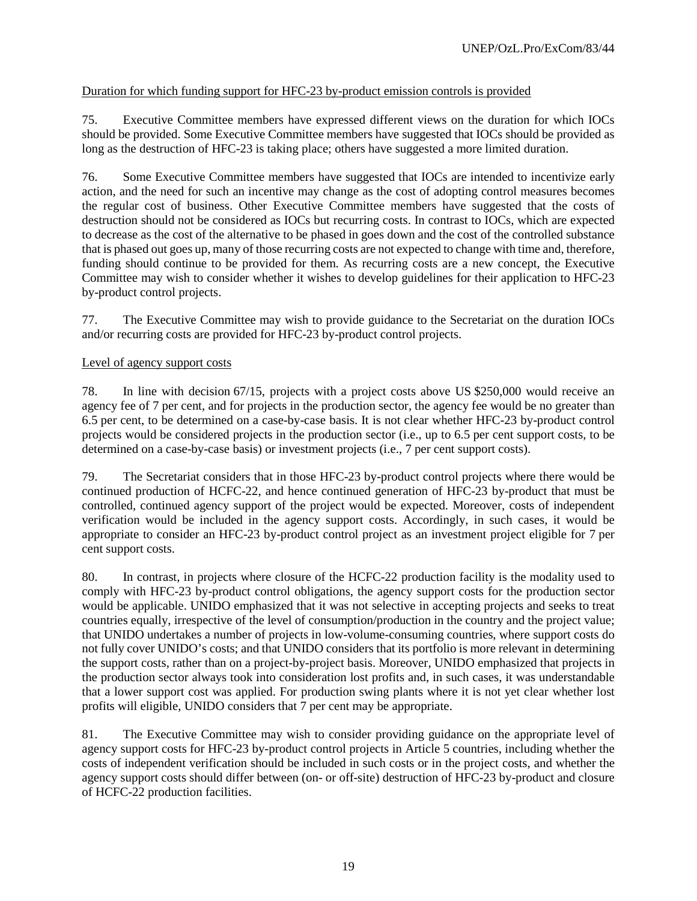# Duration for which funding support for HFC-23 by-product emission controls is provided

75. Executive Committee members have expressed different views on the duration for which IOCs should be provided. Some Executive Committee members have suggested that IOCs should be provided as long as the destruction of HFC-23 is taking place; others have suggested a more limited duration.

76. Some Executive Committee members have suggested that IOCs are intended to incentivize early action, and the need for such an incentive may change as the cost of adopting control measures becomes the regular cost of business. Other Executive Committee members have suggested that the costs of destruction should not be considered as IOCs but recurring costs. In contrast to IOCs, which are expected to decrease as the cost of the alternative to be phased in goes down and the cost of the controlled substance that is phased out goes up, many of those recurring costs are not expected to change with time and, therefore, funding should continue to be provided for them. As recurring costs are a new concept, the Executive Committee may wish to consider whether it wishes to develop guidelines for their application to HFC-23 by-product control projects.

77. The Executive Committee may wish to provide guidance to the Secretariat on the duration IOCs and/or recurring costs are provided for HFC-23 by-product control projects.

#### Level of agency support costs

78. In line with decision 67/15, projects with a project costs above US \$250,000 would receive an agency fee of 7 per cent, and for projects in the production sector, the agency fee would be no greater than 6.5 per cent, to be determined on a case-by-case basis. It is not clear whether HFC-23 by-product control projects would be considered projects in the production sector (i.e., up to 6.5 per cent support costs, to be determined on a case-by-case basis) or investment projects (i.e., 7 per cent support costs).

79. The Secretariat considers that in those HFC-23 by-product control projects where there would be continued production of HCFC-22, and hence continued generation of HFC-23 by-product that must be controlled, continued agency support of the project would be expected. Moreover, costs of independent verification would be included in the agency support costs. Accordingly, in such cases, it would be appropriate to consider an HFC-23 by-product control project as an investment project eligible for 7 per cent support costs.

80. In contrast, in projects where closure of the HCFC-22 production facility is the modality used to comply with HFC-23 by-product control obligations, the agency support costs for the production sector would be applicable. UNIDO emphasized that it was not selective in accepting projects and seeks to treat countries equally, irrespective of the level of consumption/production in the country and the project value; that UNIDO undertakes a number of projects in low-volume-consuming countries, where support costs do not fully cover UNIDO's costs; and that UNIDO considers that its portfolio is more relevant in determining the support costs, rather than on a project-by-project basis. Moreover, UNIDO emphasized that projects in the production sector always took into consideration lost profits and, in such cases, it was understandable that a lower support cost was applied. For production swing plants where it is not yet clear whether lost profits will eligible, UNIDO considers that 7 per cent may be appropriate.

81. The Executive Committee may wish to consider providing guidance on the appropriate level of agency support costs for HFC-23 by-product control projects in Article 5 countries, including whether the costs of independent verification should be included in such costs or in the project costs, and whether the agency support costs should differ between (on- or off-site) destruction of HFC-23 by-product and closure of HCFC-22 production facilities.